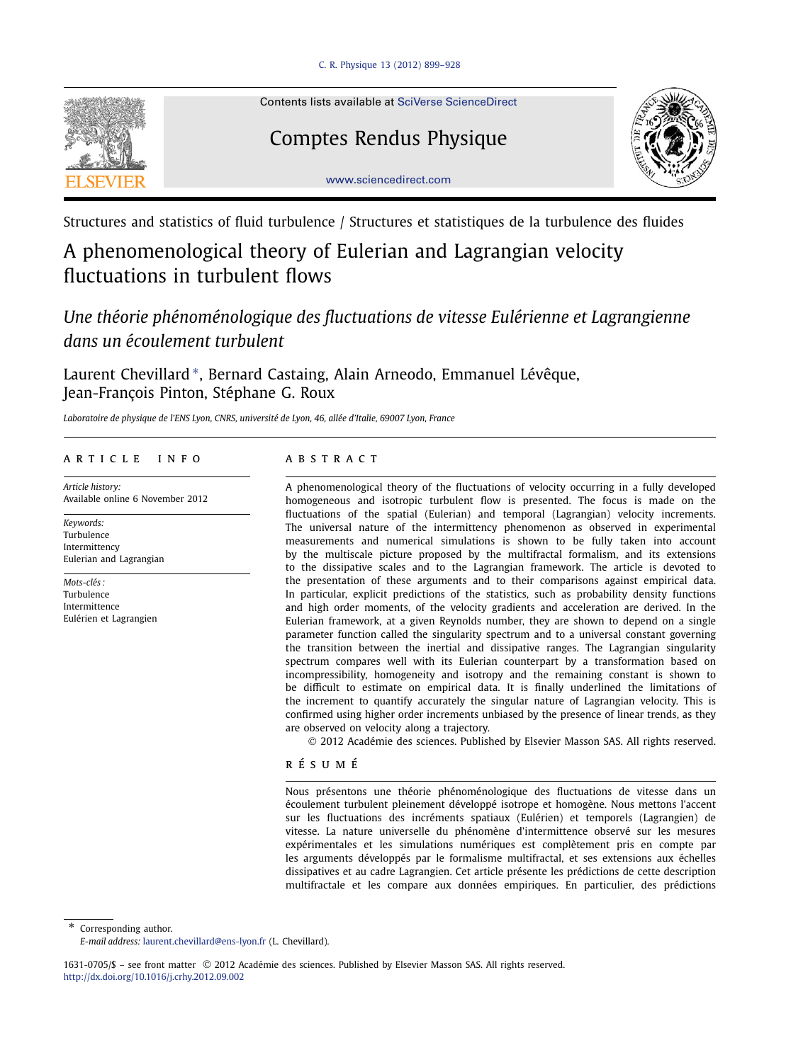

# Contents lists available at [SciVerse ScienceDirect](http://www.ScienceDirect.com/)

# Comptes Rendus Physique



[www.sciencedirect.com](http://www.sciencedirect.com)

Structures and statistics of fluid turbulence / Structures et statistiques de la turbulence des fluides

# A phenomenological theory of Eulerian and Lagrangian velocity fluctuations in turbulent flows

*Une théorie phénoménologique des fluctuations de vitesse Eulérienne et Lagrangienne dans un écoulement turbulent*

Laurent Chevillard \*, Bernard Castaing, Alain Arneodo, Emmanuel Lévêque, Jean-François Pinton, Stéphane G. Roux

*Laboratoire de physique de l'ENS Lyon, CNRS, université de Lyon, 46, allée d'Italie, 69007 Lyon, France*

# article info abstract

*Article history:* Available online 6 November 2012

*Keywords:* Turbulence Intermittency Eulerian and Lagrangian

*Mots-clés :* Turbulence Intermittence Eulérien et Lagrangien

A phenomenological theory of the fluctuations of velocity occurring in a fully developed homogeneous and isotropic turbulent flow is presented. The focus is made on the fluctuations of the spatial (Eulerian) and temporal (Lagrangian) velocity increments. The universal nature of the intermittency phenomenon as observed in experimental measurements and numerical simulations is shown to be fully taken into account by the multiscale picture proposed by the multifractal formalism, and its extensions to the dissipative scales and to the Lagrangian framework. The article is devoted to the presentation of these arguments and to their comparisons against empirical data. In particular, explicit predictions of the statistics, such as probability density functions and high order moments, of the velocity gradients and acceleration are derived. In the Eulerian framework, at a given Reynolds number, they are shown to depend on a single parameter function called the singularity spectrum and to a universal constant governing the transition between the inertial and dissipative ranges. The Lagrangian singularity spectrum compares well with its Eulerian counterpart by a transformation based on incompressibility, homogeneity and isotropy and the remaining constant is shown to be difficult to estimate on empirical data. It is finally underlined the limitations of the increment to quantify accurately the singular nature of Lagrangian velocity. This is confirmed using higher order increments unbiased by the presence of linear trends, as they are observed on velocity along a trajectory.

© 2012 Académie des sciences. Published by Elsevier Masson SAS. All rights reserved.

# résumé

Nous présentons une théorie phénoménologique des fluctuations de vitesse dans un écoulement turbulent pleinement développé isotrope et homogène. Nous mettons l'accent sur les fluctuations des incréments spatiaux (Eulérien) et temporels (Lagrangien) de vitesse. La nature universelle du phénomène d'intermittence observé sur les mesures expérimentales et les simulations numériques est complètement pris en compte par les arguments développés par le formalisme multifractal, et ses extensions aux échelles dissipatives et au cadre Lagrangien. Cet article présente les prédictions de cette description multifractale et les compare aux données empiriques. En particulier, des prédictions

Corresponding author.

*E-mail address:* [laurent.chevillard@ens-lyon.fr](mailto:laurent.chevillard@ens-lyon.fr) (L. Chevillard).

1631-0705/\$ – see front matter © 2012 Académie des sciences. Published by Elsevier Masson SAS. All rights reserved. <http://dx.doi.org/10.1016/j.crhy.2012.09.002>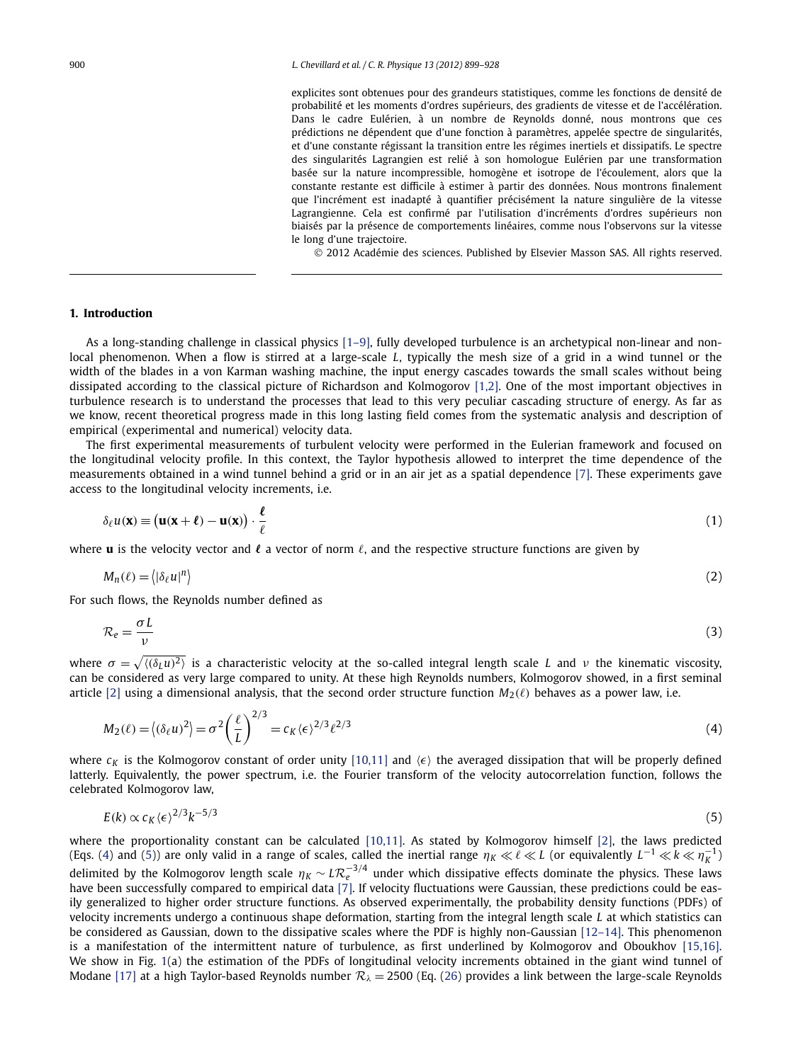<span id="page-1-0"></span>explicites sont obtenues pour des grandeurs statistiques, comme les fonctions de densité de probabilité et les moments d'ordres supérieurs, des gradients de vitesse et de l'accélération. Dans le cadre Eulérien, à un nombre de Reynolds donné, nous montrons que ces prédictions ne dépendent que d'une fonction à paramètres, appelée spectre de singularités, et d'une constante régissant la transition entre les régimes inertiels et dissipatifs. Le spectre des singularités Lagrangien est relié à son homologue Eulérien par une transformation basée sur la nature incompressible, homogène et isotrope de l'écoulement, alors que la constante restante est difficile à estimer à partir des données. Nous montrons finalement que l'incrément est inadapté à quantifier précisément la nature singulière de la vitesse Lagrangienne. Cela est confirmé par l'utilisation d'incréments d'ordres supérieurs non biaisés par la présence de comportements linéaires, comme nous l'observons sur la vitesse le long d'une trajectoire.

© 2012 Académie des sciences. Published by Elsevier Masson SAS. All rights reserved.

# **1. Introduction**

As a long-standing challenge in classical physics [\[1–9\],](#page-27-0) fully developed turbulence is an archetypical non-linear and nonlocal phenomenon. When a flow is stirred at a large-scale *L*, typically the mesh size of a grid in a wind tunnel or the width of the blades in a von Karman washing machine, the input energy cascades towards the small scales without being dissipated according to the classical picture of Richardson and Kolmogorov [\[1,2\].](#page-27-0) One of the most important objectives in turbulence research is to understand the processes that lead to this very peculiar cascading structure of energy. As far as we know, recent theoretical progress made in this long lasting field comes from the systematic analysis and description of empirical (experimental and numerical) velocity data.

The first experimental measurements of turbulent velocity were performed in the Eulerian framework and focused on the longitudinal velocity profile. In this context, the Taylor hypothesis allowed to interpret the time dependence of the measurements obtained in a wind tunnel behind a grid or in an air jet as a spatial dependence [\[7\].](#page-27-0) These experiments gave access to the longitudinal velocity increments, i.e.

$$
\delta_{\ell}u(\mathbf{x}) \equiv \left(\mathbf{u}(\mathbf{x}+\ell) - \mathbf{u}(\mathbf{x})\right) \cdot \frac{\ell}{\ell} \tag{1}
$$

where **u** is the velocity vector and  $\ell$  a vector of norm  $\ell$ , and the respective structure functions are given by

$$
M_n(\ell) = \left\langle \left| \delta_\ell u \right|^n \right\rangle \tag{2}
$$

For such flows, the Reynolds number defined as

$$
\mathcal{R}_e = \frac{\sigma L}{\nu} \tag{3}
$$

where  $\sigma = \sqrt{\langle(\delta_L u)^2\rangle}$  is a characteristic velocity at the so-called integral length scale *L* and *v* the kinematic viscosity, can be considered as very large compared to unity. At these high Reynolds numbers, Kolmogorov showed, in a first seminal article [\[2\]](#page-27-0) using a dimensional analysis, that the second order structure function  $M_2(\ell)$  behaves as a power law, i.e.

$$
M_2(\ell) = \left\langle (\delta_\ell u)^2 \right\rangle = \sigma^2 \left(\frac{\ell}{L}\right)^{2/3} = c_K \langle \epsilon \rangle^{2/3} \ell^{2/3}
$$
\n(4)

where  $c_K$  is the Kolmogorov constant of order unity [\[10,11\]](#page-27-0) and  $\langle \epsilon \rangle$  the averaged dissipation that will be properly defined latterly. Equivalently, the power spectrum, i.e. the Fourier transform of the velocity autocorrelation function, follows the celebrated Kolmogorov law,

$$
E(k) \propto c_K \langle \epsilon \rangle^{2/3} k^{-5/3} \tag{5}
$$

where the proportionality constant can be calculated [\[10,11\].](#page-27-0) As stated by Kolmogorov himself [\[2\],](#page-27-0) the laws predicted (Eqs. (4) and (5)) are only valid in a range of scales, called the inertial range  $\eta_K \ll \ell \ll L$  (or equivalently  $L^{-1} \ll k \ll \eta_K^{-1}$ ) delimited by the Kolmogorov length scale  $\eta_K \sim L \mathcal{R}_e^{-3/4}$  under which dissipative effects dominate the physics. These laws have been successfully compared to empirical data [\[7\].](#page-27-0) If velocity fluctuations were Gaussian, these predictions could be easily generalized to higher order structure functions. As observed experimentally, the probability density functions (PDFs) of velocity increments undergo a continuous shape deformation, starting from the integral length scale *L* at which statistics can be considered as Gaussian, down to the dissipative scales where the PDF is highly non-Gaussian [\[12–14\].](#page-27-0) This phenomenon is a manifestation of the intermittent nature of turbulence, as first underlined by Kolmogorov and Oboukhov [\[15,16\].](#page-27-0) We show in Fig. [1\(](#page-2-0)a) the estimation of the PDFs of longitudinal velocity increments obtained in the giant wind tunnel of Modane [\[17\]](#page-27-0) at a high Taylor-based Reynolds number R*<sup>λ</sup>* = 2500 (Eq. [\(26\)](#page-7-0) provides a link between the large-scale Reynolds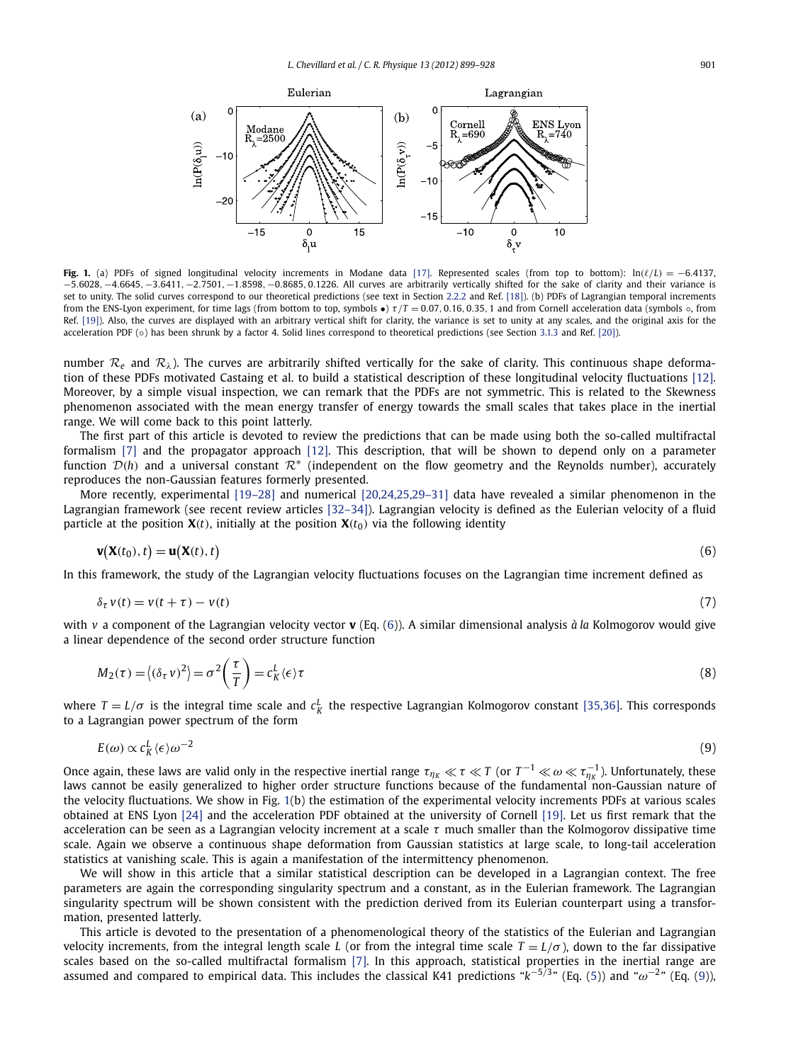<span id="page-2-0"></span>

**Fig. 1.** (a) PDFs of signed longitudinal velocity increments in Modane data [\[17\].](#page-27-0) Represented scales (from top to bottom): ln*(/L)* = −6*.*4137,  $-5.6028$ ,  $-4.6645$ ,  $-3.6411$ ,  $-2.7501$ ,  $-1.8598$ ,  $-0.8685$ , 0.1226. All curves are arbitrarily vertically shifted for the sake of clarity and their variance is set to unity. The solid curves correspond to our theoretical predictions (see text in Section [2.2.2](#page-11-0) and Ref. [\[18\]\)](#page-27-0). (b) PDFs of Lagrangian temporal increments from the ENS-Lyon experiment, for time lags (from bottom to top, symbols •) *τ /T* = 0*.*07*,* 0*.*16*,* 0*.*35*,* 1 and from Cornell acceleration data (symbols ◦, from Ref. [\[19\]\)](#page-27-0). Also, the curves are displayed with an arbitrary vertical shift for clarity, the variance is set to unity at any scales, and the original axis for the acceleration PDF (◦) has been shrunk by a factor 4. Solid lines correspond to theoretical predictions (see Section [3.1.3](#page-15-0) and Ref. [\[20\]\)](#page-27-0).

number  $\mathcal{R}_e$  and  $\mathcal{R}_\lambda$ ). The curves are arbitrarily shifted vertically for the sake of clarity. This continuous shape deformation of these PDFs motivated Castaing et al. to build a statistical description of these longitudinal velocity fluctuations [\[12\].](#page-27-0) Moreover, by a simple visual inspection, we can remark that the PDFs are not symmetric. This is related to the Skewness phenomenon associated with the mean energy transfer of energy towards the small scales that takes place in the inertial range. We will come back to this point latterly.

The first part of this article is devoted to review the predictions that can be made using both the so-called multifractal formalism [\[7\]](#page-27-0) and the propagator approach [\[12\].](#page-27-0) This description, that will be shown to depend only on a parameter function  $\mathcal{D}(h)$  and a universal constant  $\mathcal{R}^*$  (independent on the flow geometry and the Reynolds number), accurately reproduces the non-Gaussian features formerly presented.

More recently, experimental [\[19–28\]](#page-27-0) and numerical [\[20,24,25,29–31\]](#page-27-0) data have revealed a similar phenomenon in the Lagrangian framework (see recent review articles [\[32–34\]\)](#page-28-0). Lagrangian velocity is defined as the Eulerian velocity of a fluid particle at the position  $\mathbf{X}(t)$ , initially at the position  $\mathbf{X}(t_0)$  via the following identity

$$
\mathbf{v}(\mathbf{X}(t_0),t) = \mathbf{u}(\mathbf{X}(t),t) \tag{6}
$$

In this framework, the study of the Lagrangian velocity fluctuations focuses on the Lagrangian time increment defined as

$$
\delta_{\tau} v(t) = v(t + \tau) - v(t) \tag{7}
$$

with *v* a component of the Lagrangian velocity vector **v** (Eq. (6)). A similar dimensional analysis *à la* Kolmogorov would give a linear dependence of the second order structure function

$$
M_2(\tau) = \langle (\delta_\tau v)^2 \rangle = \sigma^2 \left( \frac{\tau}{T} \right) = c_K^L \langle \epsilon \rangle \tau
$$
\n(8)

where  $T = L/\sigma$  is the integral time scale and  $c_K^L$  the respective Lagrangian Kolmogorov constant [\[35,36\].](#page-28-0) This corresponds to a Lagrangian power spectrum of the form

$$
E(\omega) \propto c_K^L \langle \epsilon \rangle \omega^{-2} \tag{9}
$$

Once again, these laws are valid only in the respective inertial range  $\tau_{\eta_K} \ll \tau \ll T$  (or  $T^{-1} \ll \omega \ll \tau_{\eta_K}^{-1}$ ). Unfortunately, these laws cannot be easily generalized to higher order structure functions because of the fundamental non-Gaussian nature of the velocity fluctuations. We show in Fig. 1(b) the estimation of the experimental velocity increments PDFs at various scales obtained at ENS Lyon [\[24\]](#page-28-0) and the acceleration PDF obtained at the university of Cornell [\[19\].](#page-27-0) Let us first remark that the acceleration can be seen as a Lagrangian velocity increment at a scale *τ* much smaller than the Kolmogorov dissipative time scale. Again we observe a continuous shape deformation from Gaussian statistics at large scale, to long-tail acceleration statistics at vanishing scale. This is again a manifestation of the intermittency phenomenon.

We will show in this article that a similar statistical description can be developed in a Lagrangian context. The free parameters are again the corresponding singularity spectrum and a constant, as in the Eulerian framework. The Lagrangian singularity spectrum will be shown consistent with the prediction derived from its Eulerian counterpart using a transformation, presented latterly.

This article is devoted to the presentation of a phenomenological theory of the statistics of the Eulerian and Lagrangian velocity increments, from the integral length scale *L* (or from the integral time scale  $T = L/\sigma$ ), down to the far dissipative scales based on the so-called multifractal formalism [\[7\].](#page-27-0) In this approach, statistical properties in the inertial range are assumed and compared to empirical data. This includes the classical K41 predictions "*k*−5*/*3" (Eq. [\(5\)](#page-1-0)) and "*ω*<sup>−</sup>2" (Eq. (9)),

$$
f_{\rm{max}}
$$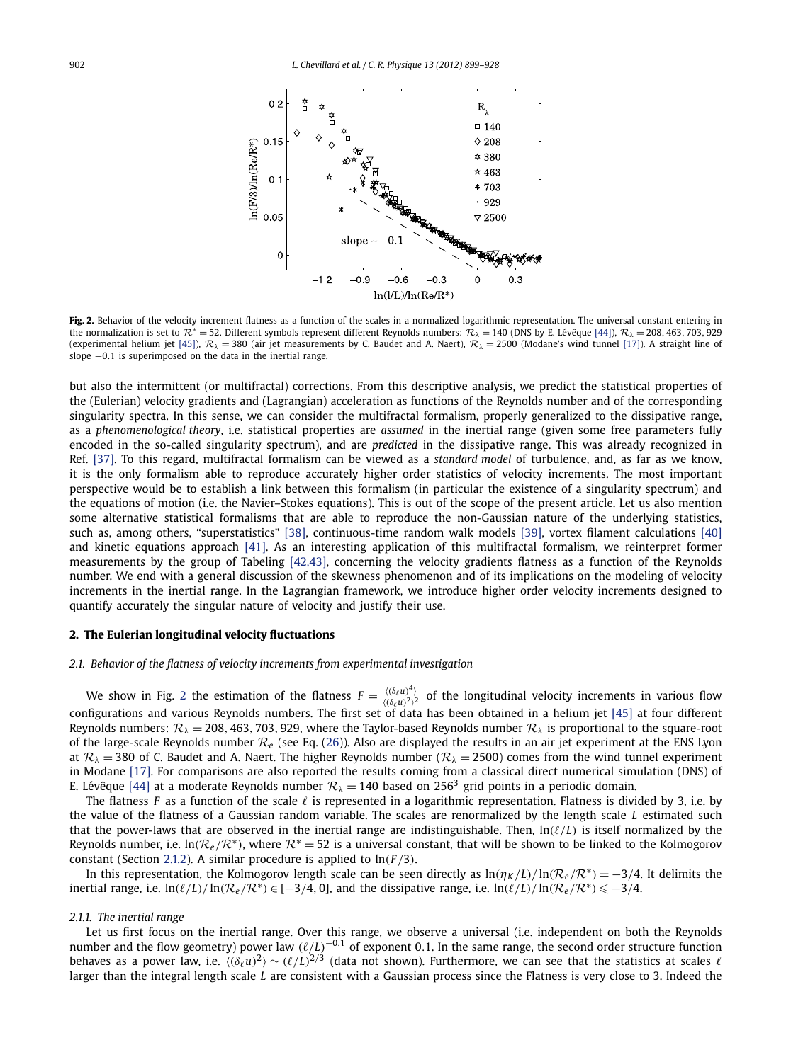<span id="page-3-0"></span>

**Fig. 2.** Behavior of the velocity increment flatness as a function of the scales in a normalized logarithmic representation. The universal constant entering in the normalization is set to  $\mathcal{R}^*$  = 52. Different symbols represent different Reynolds numbers:  $\mathcal{R}_\lambda$  = 140 (DNS by E. Lévêque [\[44\]\)](#page-28-0),  $\mathcal{R}_\lambda$  = 208*,* 463*, 703, 929* (experimental helium jet [\[45\]\)](#page-28-0),  $\mathcal{R}_{\lambda}$  = 380 (air jet measurements by C. Baudet and A. Naert),  $\mathcal{R}_{\lambda}$  = 2500 (Modane's wind tunnel [\[17\]\)](#page-27-0). A straight line of slope −0*.*1 is superimposed on the data in the inertial range.

but also the intermittent (or multifractal) corrections. From this descriptive analysis, we predict the statistical properties of the (Eulerian) velocity gradients and (Lagrangian) acceleration as functions of the Reynolds number and of the corresponding singularity spectra. In this sense, we can consider the multifractal formalism, properly generalized to the dissipative range, as a *phenomenological theory*, i.e. statistical properties are *assumed* in the inertial range (given some free parameters fully encoded in the so-called singularity spectrum), and are *predicted* in the dissipative range. This was already recognized in Ref. [\[37\].](#page-28-0) To this regard, multifractal formalism can be viewed as a *standard model* of turbulence, and, as far as we know, it is the only formalism able to reproduce accurately higher order statistics of velocity increments. The most important perspective would be to establish a link between this formalism (in particular the existence of a singularity spectrum) and the equations of motion (i.e. the Navier–Stokes equations). This is out of the scope of the present article. Let us also mention some alternative statistical formalisms that are able to reproduce the non-Gaussian nature of the underlying statistics, such as, among others, "superstatistics" [\[38\],](#page-28-0) continuous-time random walk models [\[39\],](#page-28-0) vortex filament calculations [\[40\]](#page-28-0) and kinetic equations approach [\[41\].](#page-28-0) As an interesting application of this multifractal formalism, we reinterpret former measurements by the group of Tabeling [\[42,43\],](#page-28-0) concerning the velocity gradients flatness as a function of the Reynolds number. We end with a general discussion of the skewness phenomenon and of its implications on the modeling of velocity increments in the inertial range. In the Lagrangian framework, we introduce higher order velocity increments designed to quantify accurately the singular nature of velocity and justify their use.

### **2. The Eulerian longitudinal velocity fluctuations**

# *2.1. Behavior of the flatness of velocity increments from experimental investigation*

We show in Fig. 2 the estimation of the flatness  $F = \frac{(\delta_\ell u)^4}{(\delta_\ell u)^2}$  of the longitudinal velocity increments in various flow configurations and various Reynolds numbers. The first set of data has been obtained in a helium jet  $[45]$  at four different Reynolds numbers:  $\mathcal{R}_{\lambda} = 208, 463, 703, 929$ , where the Taylor-based Reynolds number  $\mathcal{R}_{\lambda}$  is proportional to the square-root of the large-scale Reynolds number R*<sup>e</sup>* (see Eq. [\(26\)](#page-7-0)). Also are displayed the results in an air jet experiment at the ENS Lyon at R*<sup>λ</sup>* = 380 of C. Baudet and A. Naert. The higher Reynolds number (R*<sup>λ</sup>* = 2500) comes from the wind tunnel experiment in Modane [\[17\].](#page-27-0) For comparisons are also reported the results coming from a classical direct numerical simulation (DNS) of E. Lévêque [\[44\]](#page-28-0) at a moderate Reynolds number  $\mathcal{R}_{\lambda} = 140$  based on 256<sup>3</sup> grid points in a periodic domain.

The flatness *F* as a function of the scale  $\ell$  is represented in a logarithmic representation. Flatness is divided by 3, i.e. by the value of the flatness of a Gaussian random variable. The scales are renormalized by the length scale *L* estimated such that the power-laws that are observed in the inertial range are indistinguishable. Then,  $\ln(\ell/L)$  is itself normalized by the Reynolds number, i.e. ln( $\mathcal{R}_e/\mathcal{R}^*$ ), where  $\mathcal{R}^*=52$  is a universal constant, that will be shown to be linked to the Kolmogorov constant (Section [2.1.2\)](#page-5-0). A similar procedure is applied to ln*(F /*3*)*.

In this representation, the Kolmogorov length scale can be seen directly as  $\ln(\eta_K/L)/\ln(\mathcal{R}_e/\mathcal{R}^*) = -3/4$ . It delimits the inertial range, i.e.  $\ln(\ell/L)/\ln(\mathcal{R}_e/\mathcal{R}^*) \in [-3/4, 0]$ , and the dissipative range, i.e.  $\ln(\ell/L)/\ln(\mathcal{R}_e/\mathcal{R}^*) \leq -3/4$ .

#### *2.1.1. The inertial range*

Let us first focus on the inertial range. Over this range, we observe a universal (i.e. independent on both the Reynolds number and the flow geometry) power law  $(\ell/L)^{-0.1}$  of exponent 0.1. In the same range, the second order structure function behaves as a power law, i.e.  $\langle (\delta_\ell u)^2 \rangle \sim (\ell/L)^{2/3}$  (data not shown). Furthermore, we can see that the statistics at scales  $\ell$ larger than the integral length scale *L* are consistent with a Gaussian process since the Flatness is very close to 3. Indeed the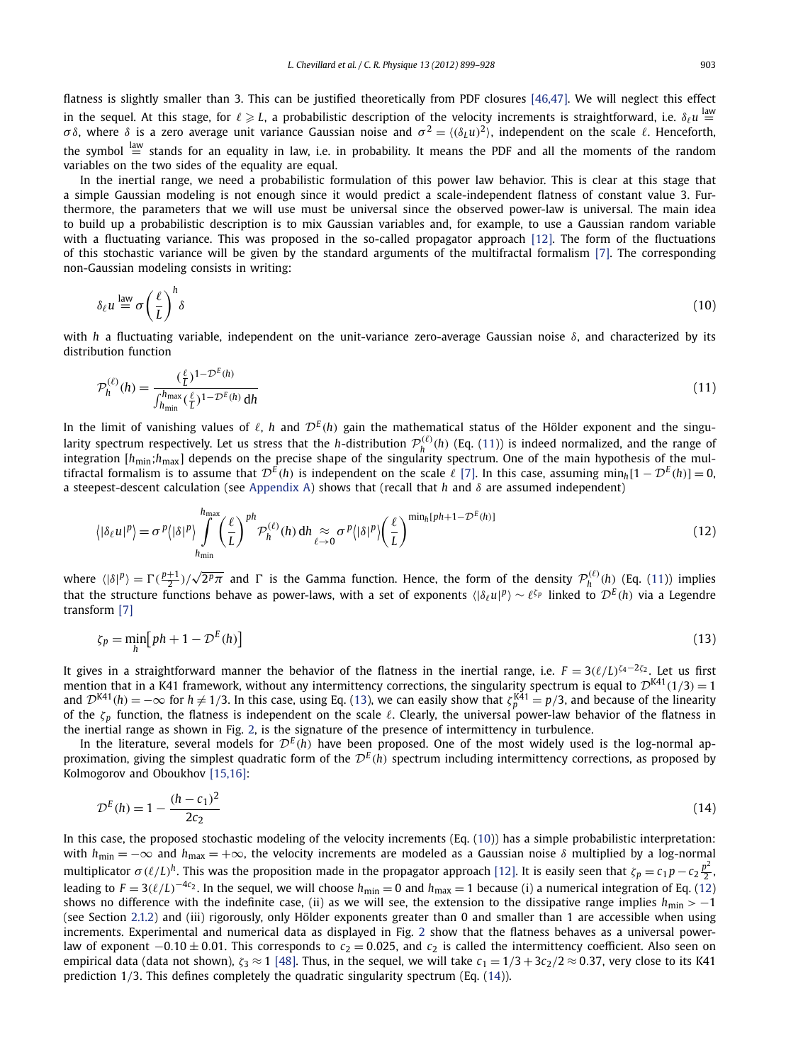<span id="page-4-0"></span>flatness is slightly smaller than 3. This can be justified theoretically from PDF closures [\[46,47\].](#page-28-0) We will neglect this effect in the sequel. At this stage, for  $\ell\geqslant L$ , a probabilistic description of the velocity increments is straightforward, i.e.  $\delta_\ell u\stackrel{\rm law}{=}$ *σδ*, where *δ* is a zero average unit variance Gaussian noise and  $\sigma^2 = \langle (\delta_I u)^2 \rangle$ , independent on the scale  $\ell$ . Henceforth, the symbol  $\frac{\text{law}}{=}$  stands for an equality in law, i.e. in probability. It means the PDF and all the moments of the random variables on the two sides of the equality are equal.

In the inertial range, we need a probabilistic formulation of this power law behavior. This is clear at this stage that a simple Gaussian modeling is not enough since it would predict a scale-independent flatness of constant value 3. Furthermore, the parameters that we will use must be universal since the observed power-law is universal. The main idea to build up a probabilistic description is to mix Gaussian variables and, for example, to use a Gaussian random variable with a fluctuating variance. This was proposed in the so-called propagator approach [\[12\].](#page-27-0) The form of the fluctuations of this stochastic variance will be given by the standard arguments of the multifractal formalism [\[7\].](#page-27-0) The corresponding non-Gaussian modeling consists in writing:

$$
\delta_{\ell} u \stackrel{\text{law}}{=} \sigma \left(\frac{\ell}{L}\right)^h \delta \tag{10}
$$

with *h* a fluctuating variable, independent on the unit-variance zero-average Gaussian noise *δ*, and characterized by its distribution function

$$
\mathcal{P}_h^{(\ell)}(h) = \frac{(\frac{\ell}{L})^{1 - \mathcal{D}^E(h)}}{\int_{h_{\min}}^{h_{\max}} (\frac{\ell}{L})^{1 - \mathcal{D}^E(h)} dh}
$$
(11)

In the limit of vanishing values of  $\ell$ , *h* and  $\mathcal{D}^E(h)$  gain the mathematical status of the Hölder exponent and the singularity spectrum respectively. Let us stress that the *h*-distribution  $\mathcal{P}_h^{(\ell)}(h)$  (Eq. (11)) is indeed normalized, and the range of integration [*h*min;*h*max] depends on the precise shape of the singularity spectrum. One of the main hypothesis of the multifractal formalism is to assume that  $\mathcal{D}^E(h)$  is independent on the scale  $\ell$  [\[7\].](#page-27-0) In this case, assuming min<sub>h</sub>[1 –  $\mathcal{D}^E(h)$ ] = 0, a steepest-descent calculation (see [Appendix A\)](#page-26-0) shows that (recall that *h* and *δ* are assumed independent)

$$
\langle |\delta_{\ell} u|^p \rangle = \sigma^p \langle |\delta|^p \rangle \int_{h_{\min}}^{h_{\max}} \left(\frac{\ell}{L}\right)^{ph} \mathcal{P}_h^{(\ell)}(h) dh \underset{\ell \to 0}{\approx} \sigma^p \langle |\delta|^p \rangle \left(\frac{\ell}{L}\right)^{\min_h [ph+1-\mathcal{D}^E(h)]}
$$
(12)

where  $\langle |\delta|^p \rangle = \Gamma(\frac{p+1}{2})/\sqrt{2^p\pi}$  and  $\Gamma$  is the Gamma function. Hence, the form of the density  $\mathcal{P}_h^{(\ell)}(h)$  (Eq. (11)) implies that the structure functions behave as power-laws, with a set of exponents  $\langle |\delta_\ell u|^p \rangle \sim \ell^{\zeta_p}$  linked to  $\mathcal{D}^E(h)$  via a Legendre transform [\[7\]](#page-27-0)

$$
\zeta_p = \min_h \left[ ph + 1 - \mathcal{D}^E(h) \right] \tag{13}
$$

It gives in a straightforward manner the behavior of the flatness in the inertial range, i.e.  $F = 3(\ell/L)^{\zeta_4-2\zeta_2}$ . Let us first mention that in a K41 framework, without any intermittency corrections, the singularity spectrum is equal to  $\mathcal{D}^{K41}(1/3) = 1$ and  $\mathcal{D}^{K41}(h) = -\infty$  for  $h \neq 1/3$ . In this case, using Eq. (13), we can easily show that  $\zeta_p^{K41} = p/3$ , and because of the linearity of the  $\zeta_p$  function, the flatness is independent on the scale  $\ell$ . Clearly, the universal power-law behavior of the flatness in the inertial range as shown in Fig. [2,](#page-3-0) is the signature of the presence of intermittency in turbulence.

In the literature, several models for  $\mathcal{D}^E(h)$  have been proposed. One of the most widely used is the log-normal approximation, giving the simplest quadratic form of the  $\mathcal{D}^E(h)$  spectrum including intermittency corrections, as proposed by Kolmogorov and Oboukhov [\[15,16\]:](#page-27-0)

$$
\mathcal{D}^{E}(h) = 1 - \frac{(h - c_1)^2}{2c_2} \tag{14}
$$

In this case, the proposed stochastic modeling of the velocity increments (Eq. (10)) has a simple probabilistic interpretation: with  $h_{\text{min}} = -\infty$  and  $h_{\text{max}} = +\infty$ , the velocity increments are modeled as a Gaussian noise  $\delta$  multiplied by a log-normal multiplicator  $\sigma(\ell/L)^h$ . This was the proposition made in the propagator approach [\[12\].](#page-27-0) It is easily seen that  $\zeta_p=c_1p-c_2\frac{p^2}{2}$ , leading to  $F = 3(\ell/L)^{-4c_2}$ . In the sequel, we will choose  $h_{\min} = 0$  and  $h_{\max} = 1$  because (i) a numerical integration of Eq. (12) shows no difference with the indefinite case, (ii) as we will see, the extension to the dissipative range implies  $h_{\text{min}} > -1$ (see Section [2.1.2\)](#page-5-0) and (iii) rigorously, only Hölder exponents greater than 0 and smaller than 1 are accessible when using increments. Experimental and numerical data as displayed in Fig. [2](#page-3-0) show that the flatness behaves as a universal powerlaw of exponent −0*.*10 ± 0*.*01. This corresponds to *c*<sup>2</sup> = 0*.*025, and *c*<sup>2</sup> is called the intermittency coefficient. Also seen on empirical data (data not shown),  $\zeta_3 \approx 1$  [\[48\].](#page-28-0) Thus, in the sequel, we will take  $c_1 = 1/3 + 3c_2/2 \approx 0.37$ , very close to its K41 prediction 1*/*3. This defines completely the quadratic singularity spectrum (Eq. (14)).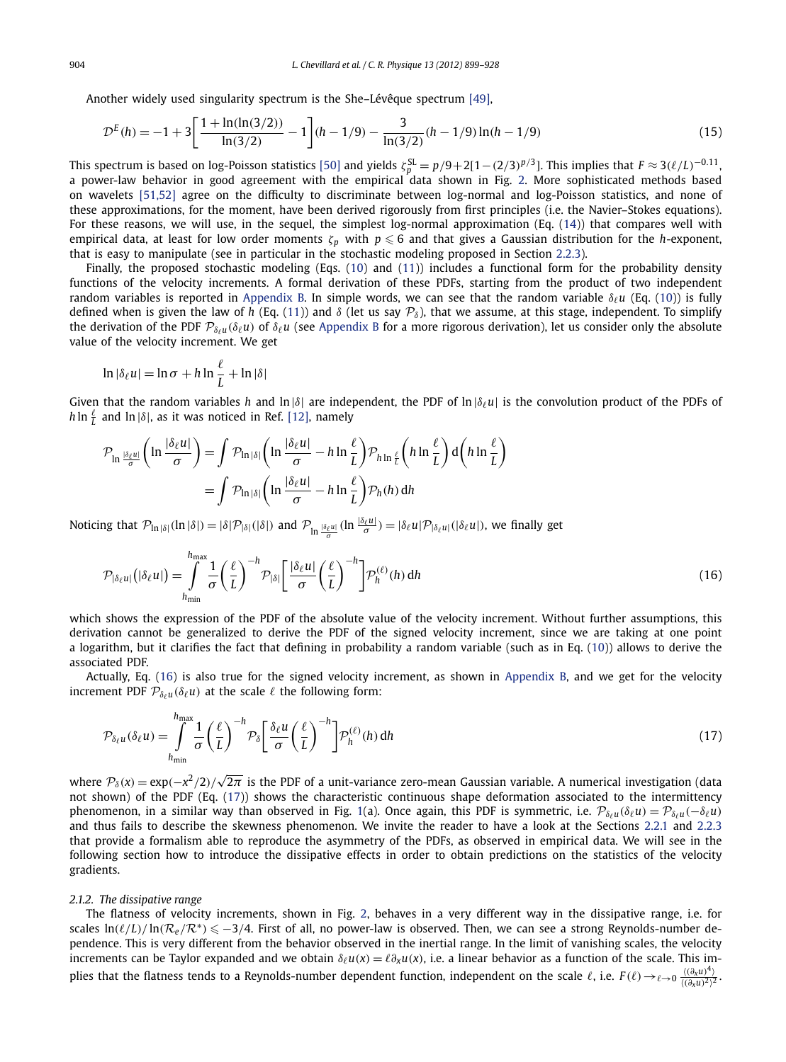<span id="page-5-0"></span>Another widely used singularity spectrum is the She–Lévêque spectrum [\[49\],](#page-28-0)

$$
\mathcal{D}^{E}(h) = -1 + 3 \left[ \frac{1 + \ln(\ln(3/2))}{\ln(3/2)} - 1 \right] (h - 1/9) - \frac{3}{\ln(3/2)} (h - 1/9) \ln(h - 1/9)
$$
\n(15)

This spectrum is based on log-Poisson statistics [\[50\]](#page-28-0) and yields  $\zeta_p^{\rm SL}=p/9+2[1-(2/3)^{p/3}]$ . This implies that  $F\approx 3(\ell/L)^{-0.11}$ , a power-law behavior in good agreement with the empirical data shown in Fig. [2.](#page-3-0) More sophisticated methods based on wavelets [\[51,52\]](#page-28-0) agree on the difficulty to discriminate between log-normal and log-Poisson statistics, and none of these approximations, for the moment, have been derived rigorously from first principles (i.e. the Navier–Stokes equations). For these reasons, we will use, in the sequel, the simplest log-normal approximation (Eq. [\(14\)](#page-4-0)) that compares well with empirical data, at least for low order moments *ζ<sup>p</sup>* with *p* - 6 and that gives a Gaussian distribution for the *h*-exponent, that is easy to manipulate (see in particular in the stochastic modeling proposed in Section [2.2.3\)](#page-12-0).

Finally, the proposed stochastic modeling (Eqs. [\(10\)](#page-4-0) and [\(11\)](#page-4-0)) includes a functional form for the probability density functions of the velocity increments. A formal derivation of these PDFs, starting from the product of two independent random variables is reported in [Appendix B.](#page-27-0) In simple words, we can see that the random variable *δu* (Eq. [\(10\)](#page-4-0)) is fully defined when is given the law of *h* (Eq. [\(11\)](#page-4-0)) and  $\delta$  (let us say  $P_\delta$ ), that we assume, at this stage, independent. To simplify the derivation of the PDF  $\mathcal{P}_{\delta_\ell u}(\delta_\ell u)$  of  $\delta_\ell u$  (see [Appendix B](#page-27-0) for a more rigorous derivation), let us consider only the absolute value of the velocity increment. We get

$$
\ln|\delta_{\ell} u| = \ln \sigma + h \ln \frac{\ell}{L} + \ln|\delta|
$$

Given that the random variables *h* and ln | $\delta$ | are independent, the PDF of ln | $\delta_\ell u$ | is the convolution product of the PDFs of  $h \ln \frac{\ell}{L}$  and  $\ln |\delta|$ , as it was noticed in Ref. [\[12\],](#page-27-0) namely

$$
\mathcal{P}_{\ln \frac{|\delta_{\ell} u|}{\sigma}} \left( \ln \frac{|\delta_{\ell} u|}{\sigma} \right) = \int \mathcal{P}_{\ln |\delta|} \left( \ln \frac{|\delta_{\ell} u|}{\sigma} - h \ln \frac{\ell}{L} \right) \mathcal{P}_{h \ln \frac{\ell}{L}} \left( h \ln \frac{\ell}{L} \right) d \left( h \ln \frac{\ell}{L} \right)
$$

$$
= \int \mathcal{P}_{\ln |\delta|} \left( \ln \frac{|\delta_{\ell} u|}{\sigma} - h \ln \frac{\ell}{L} \right) \mathcal{P}_{h}(h) dh
$$

Noticing that  $\mathcal{P}_{\ln|\delta|}(\ln|\delta|) = |\delta|\mathcal{P}_{|\delta|}(|\delta|)$  and  $\mathcal{P}_{\ln\frac{|\delta_\ell u|}{\sigma}}(\ln\frac{|\delta_\ell u|}{\sigma}) = |\delta_\ell u|\mathcal{P}_{|\delta_\ell u|}(|\delta_\ell u|)$ , we finally get

$$
\mathcal{P}_{|\delta_{\ell}u|}(|\delta_{\ell}u|) = \int_{h_{\min}}^{h_{\max}} \frac{1}{\sigma} \left(\frac{\ell}{L}\right)^{-h} \mathcal{P}_{|\delta|} \left[\frac{|\delta_{\ell}u|}{\sigma} \left(\frac{\ell}{L}\right)^{-h}\right] \mathcal{P}_h^{(\ell)}(h) dh \tag{16}
$$

which shows the expression of the PDF of the absolute value of the velocity increment. Without further assumptions, this derivation cannot be generalized to derive the PDF of the signed velocity increment, since we are taking at one point a logarithm, but it clarifies the fact that defining in probability a random variable (such as in Eq. [\(10\)](#page-4-0)) allows to derive the associated PDF.

Actually, Eq. (16) is also true for the signed velocity increment, as shown in [Appendix B,](#page-27-0) and we get for the velocity increment PDF  $\mathcal{P}_{\delta \rho u}(\delta_{\ell} u)$  at the scale  $\ell$  the following form:

$$
\mathcal{P}_{\delta_{\ell}u}(\delta_{\ell}u) = \int_{h_{\min}}^{h_{\max}} \frac{1}{\sigma} \left(\frac{\ell}{L}\right)^{-h} \mathcal{P}_{\delta} \left[\frac{\delta_{\ell}u}{\sigma}\left(\frac{\ell}{L}\right)^{-h}\right] \mathcal{P}_{h}^{(\ell)}(h) dh \tag{17}
$$

where  $P_\delta(x) = \exp(-x^2/2)/\sqrt{2\pi}$  is the PDF of a unit-variance zero-mean Gaussian variable. A numerical investigation (data not shown) of the PDF (Eq. (17)) shows the characteristic continuous shape deformation associated to the intermittency phenomenon, in a similar way than observed in Fig. [1\(](#page-2-0)a). Once again, this PDF is symmetric, i.e.  $P_{\delta_\ell u}(\delta_\ell u) = P_{\delta_\ell u}(-\delta_\ell u)$ and thus fails to describe the skewness phenomenon. We invite the reader to have a look at the Sections [2.2.1](#page-10-0) and [2.2.3](#page-12-0) that provide a formalism able to reproduce the asymmetry of the PDFs, as observed in empirical data. We will see in the following section how to introduce the dissipative effects in order to obtain predictions on the statistics of the velocity gradients.

# *2.1.2. The dissipative range*

The flatness of velocity increments, shown in Fig. [2,](#page-3-0) behaves in a very different way in the dissipative range, i.e. for scales  $\ln(\ell/L)/\ln(\mathcal{R}_e/\mathcal{R}^*) \le -3/4$ . First of all, no power-law is observed. Then, we can see a strong Reynolds-number dependence. This is very different from the behavior observed in the inertial range. In the limit of vanishing scales, the velocity increments can be Taylor expanded and we obtain  $\delta_\ell u(x) = \ell \partial_x u(x)$ , i.e. a linear behavior as a function of the scale. This implies that the flatness tends to a Reynolds-number dependent function, independent on the scale  $\ell$ , i.e.  $F(\ell) \to_{\ell \to 0} \frac{\langle (\partial_x u)^4 \rangle}{\langle (\partial_x u)^2 \rangle^2}$ .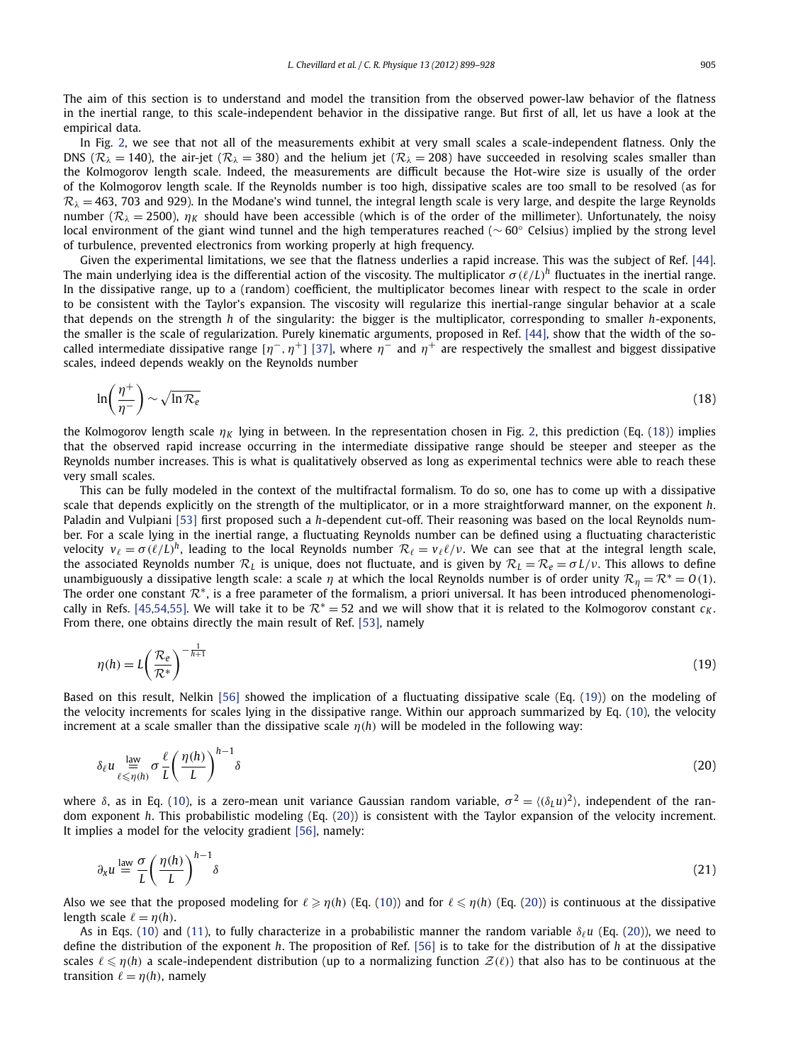<span id="page-6-0"></span>The aim of this section is to understand and model the transition from the observed power-law behavior of the flatness in the inertial range, to this scale-independent behavior in the dissipative range. But first of all, let us have a look at the empirical data.

In Fig. [2,](#page-3-0) we see that not all of the measurements exhibit at very small scales a scale-independent flatness. Only the DNS ( $\mathcal{R}_{\lambda}$  = 140), the air-jet ( $\mathcal{R}_{\lambda}$  = 380) and the helium jet ( $\mathcal{R}_{\lambda}$  = 208) have succeeded in resolving scales smaller than the Kolmogorov length scale. Indeed, the measurements are difficult because the Hot-wire size is usually of the order of the Kolmogorov length scale. If the Reynolds number is too high, dissipative scales are too small to be resolved (as for  $\mathcal{R}_{\lambda}$  = 463, 703 and 929). In the Modane's wind tunnel, the integral length scale is very large, and despite the large Reynolds number ( $\mathcal{R}_{\lambda}$  = 2500),  $\eta_K$  should have been accessible (which is of the order of the millimeter). Unfortunately, the noisy local environment of the giant wind tunnel and the high temperatures reached (∼ 60◦ Celsius) implied by the strong level of turbulence, prevented electronics from working properly at high frequency.

Given the experimental limitations, we see that the flatness underlies a rapid increase. This was the subject of Ref. [\[44\].](#page-28-0) The main underlying idea is the differential action of the viscosity. The multiplicator *σ(/L) <sup>h</sup>* fluctuates in the inertial range. In the dissipative range, up to a (random) coefficient, the multiplicator becomes linear with respect to the scale in order to be consistent with the Taylor's expansion. The viscosity will regularize this inertial-range singular behavior at a scale that depends on the strength *h* of the singularity: the bigger is the multiplicator, corresponding to smaller *h*-exponents, the smaller is the scale of regularization. Purely kinematic arguments, proposed in Ref. [\[44\],](#page-28-0) show that the width of the socalled intermediate dissipative range  $[\eta^-, \eta^+]$  [\[37\],](#page-28-0) where  $\eta^-$  and  $\eta^+$  are respectively the smallest and biggest dissipative scales, indeed depends weakly on the Reynolds number

$$
\ln\left(\frac{\eta^+}{\eta^-}\right) \sim \sqrt{\ln \mathcal{R}_e} \tag{18}
$$

the Kolmogorov length scale *η<sup>K</sup>* lying in between. In the representation chosen in Fig. [2,](#page-3-0) this prediction (Eq. (18)) implies that the observed rapid increase occurring in the intermediate dissipative range should be steeper and steeper as the Reynolds number increases. This is what is qualitatively observed as long as experimental technics were able to reach these very small scales.

This can be fully modeled in the context of the multifractal formalism. To do so, one has to come up with a dissipative scale that depends explicitly on the strength of the multiplicator, or in a more straightforward manner, on the exponent *h*. Paladin and Vulpiani [\[53\]](#page-28-0) first proposed such a *h*-dependent cut-off. Their reasoning was based on the local Reynolds number. For a scale lying in the inertial range, a fluctuating Reynolds number can be defined using a fluctuating characteristic *velocity*  $v_\ell = \sigma(\ell/L)^h$ , leading to the local Reynolds number  $\mathcal{R}_\ell = v_\ell \ell/v$ . We can see that at the integral length scale, the associated Reynolds number  $\mathcal{R}_L$  is unique, does not fluctuate, and is given by  $\mathcal{R}_L = \mathcal{R}_e = \sigma L/\nu$ . This allows to define unambiguously a dissipative length scale: a scale *η* at which the local Reynolds number is of order unity  $\mathcal{R}_n = \mathcal{R}^* = O(1)$ . The order one constant  $\mathcal{R}^*$ , is a free parameter of the formalism, a priori universal. It has been introduced phenomenologi-cally in Refs. [\[45,54,55\].](#page-28-0) We will take it to be  $\mathcal{R}^* = 52$  and we will show that it is related to the Kolmogorov constant  $c_K$ . From there, one obtains directly the main result of Ref. [\[53\],](#page-28-0) namely

$$
\eta(h) = L \left(\frac{\mathcal{R}_e}{\mathcal{R}^*}\right)^{-\frac{1}{h+1}} \tag{19}
$$

Based on this result, Nelkin [\[56\]](#page-28-0) showed the implication of a fluctuating dissipative scale (Eq. (19)) on the modeling of the velocity increments for scales lying in the dissipative range. Within our approach summarized by Eq. [\(10\)](#page-4-0), the velocity increment at a scale smaller than the dissipative scale  $\eta(h)$  will be modeled in the following way:

$$
\delta_{\ell} u \underset{\ell \leq \eta(h)}{\stackrel{\text{law}}{=} \sigma} \frac{\ell}{L} \left( \frac{\eta(h)}{L} \right)^{h-1} \delta \tag{20}
$$

where *δ*, as in Eq. [\(10\)](#page-4-0), is a zero-mean unit variance Gaussian random variable,  $σ<sup>2</sup> = \langle (δ<sub>L</sub>u)<sup>2</sup> \rangle$ , independent of the random exponent *h*. This probabilistic modeling (Eq. (20)) is consistent with the Taylor expansion of the velocity increment. It implies a model for the velocity gradient [\[56\],](#page-28-0) namely:

$$
\partial_{\mathbf{x}} u \stackrel{\text{law}}{=} \frac{\sigma}{L} \left( \frac{\eta(h)}{L} \right)^{h-1} \delta \tag{21}
$$

Also we see that the proposed modeling for  $\ell \geqslant \eta(h)$  (Eq. [\(10\)](#page-4-0)) and for  $\ell \leqslant \eta(h)$  (Eq. (20)) is continuous at the dissipative length scale  $\ell = \eta(h)$ .

As in Eqs. [\(10\)](#page-4-0) and [\(11\)](#page-4-0), to fully characterize in a probabilistic manner the random variable *δu* (Eq. (20)), we need to define the distribution of the exponent *h*. The proposition of Ref. [\[56\]](#page-28-0) is to take for the distribution of *h* at the dissipative scales  $\ell \leq \eta(h)$  a scale-independent distribution (up to a normalizing function  $\mathcal{Z}(\ell)$ ) that also has to be continuous at the transition  $\ell = \eta(h)$ , namely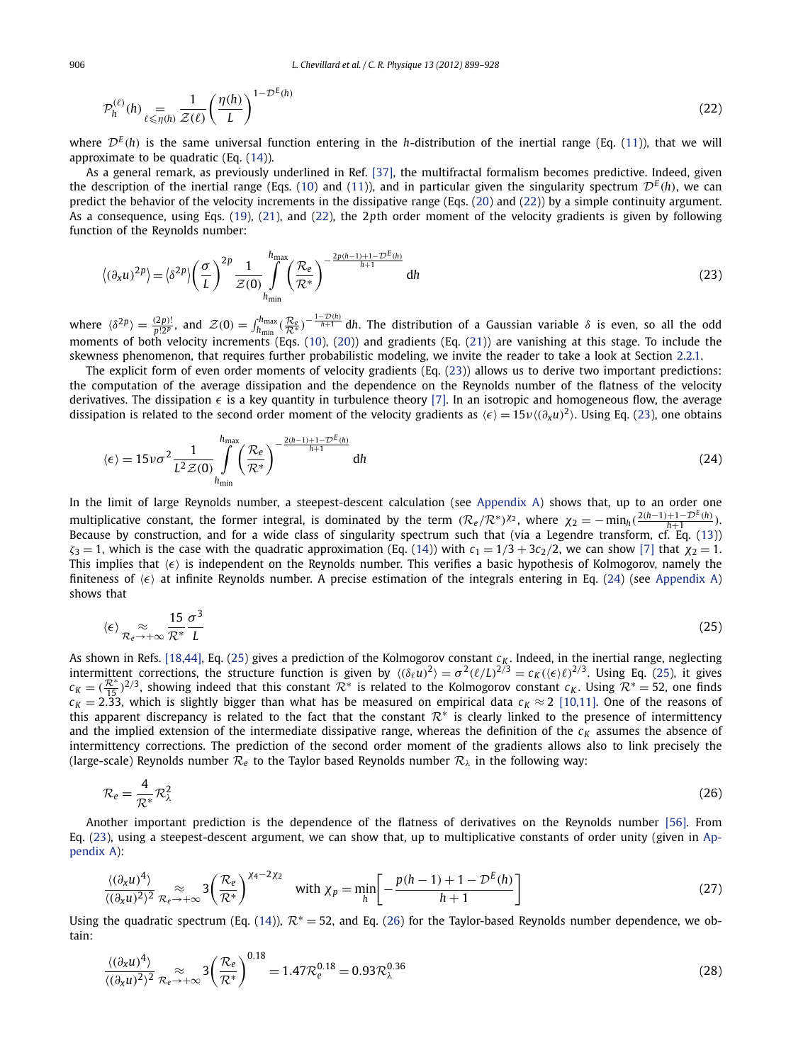<span id="page-7-0"></span>
$$
\mathcal{P}_h^{(\ell)}(h) \underset{\ell \le \eta(h)}{=} \frac{1}{\mathcal{Z}(\ell)} \left(\frac{\eta(h)}{L}\right)^{1-\mathcal{D}^E(h)}\tag{22}
$$

where  $\mathcal{D}^E(h)$  is the same universal function entering in the *h*-distribution of the inertial range (Eq. [\(11\)](#page-4-0)), that we will approximate to be quadratic  $(Eq. (14))$  $(Eq. (14))$  $(Eq. (14))$ .

As a general remark, as previously underlined in Ref. [\[37\],](#page-28-0) the multifractal formalism becomes predictive. Indeed, given the description of the inertial range (Eqs. [\(10\)](#page-4-0) and [\(11\)](#page-4-0)), and in particular given the singularity spectrum  $\mathcal{D}^{E}(h)$ , we can predict the behavior of the velocity increments in the dissipative range (Eqs. [\(20\)](#page-6-0) and (22)) by a simple continuity argument. As a consequence, using Eqs. [\(19\)](#page-6-0), [\(21\)](#page-6-0), and (22), the 2*p*th order moment of the velocity gradients is given by following function of the Reynolds number:

$$
\left\langle (\partial_x u)^{2p} \right\rangle = \left\langle \delta^{2p} \right\rangle \left( \frac{\sigma}{L} \right)^{2p} \frac{1}{\mathcal{Z}(0)} \int_{h_{\text{min}}}^{h_{\text{max}}} \left( \frac{\mathcal{R}_e}{\mathcal{R}^*} \right)^{-\frac{2p(h-1)+1-\mathcal{D}^E(h)}{h+1}} dh
$$
\n(23)

where  $\langle \delta^{2p} \rangle = \frac{(2p)!}{p!2^p}$ , and  $\mathcal{Z}(0) = \int_{h_{\min}}^{h_{\max}} \frac{(\mathcal{R}_e)}{h_{\min}} e^{-\frac{1 - \mathcal{D}(h)}{h}} dh$ . The distribution of a Gaussian variable  $\delta$  is even, so all the odd moments of both velocity increments (Eqs. [\(10\)](#page-4-0), [\(20\)](#page-6-0)) and gradients (Eq. [\(21\)](#page-6-0)) are vanishing at this stage. To include the skewness phenomenon, that requires further probabilistic modeling, we invite the reader to take a look at Section [2.2.1.](#page-10-0)

The explicit form of even order moments of velocity gradients (Eq. (23)) allows us to derive two important predictions: the computation of the average dissipation and the dependence on the Reynolds number of the flatness of the velocity derivatives. The dissipation  $\epsilon$  is a key quantity in turbulence theory [\[7\].](#page-27-0) In an isotropic and homogeneous flow, the average dissipation is related to the second order moment of the velocity gradients as  $\langle \epsilon \rangle = 15\nu \langle (\partial_x u)^2 \rangle$ . Using Eq. (23), one obtains

$$
\langle \epsilon \rangle = 15 \nu \sigma^2 \frac{1}{L^2 \mathcal{Z}(0)} \int_{h_{\text{min}}}^{h_{\text{max}}} \left( \frac{\mathcal{R}_e}{\mathcal{R}^*} \right)^{-\frac{2(h-1)+1-\mathcal{D}^E(h)}{h+1}} dh \tag{24}
$$

In the limit of large Reynolds number, a steepest-descent calculation (see [Appendix A\)](#page-26-0) shows that, up to an order one multiplicative constant, the former integral, is dominated by the term  $(\mathcal{R}_e/\mathcal{R}^*)^{\chi_2}$ , where  $\chi_2=-\min_h(\frac{2(h-1)+1-\mathcal{D}^E(h)}{h+1})$ .<br>Because by construction, and for a wide class of singularity spectrum such that (vi  $\zeta_3 = 1$ , which is the case with the quadratic approximation (Eq. [\(14\)](#page-4-0)) with  $c_1 = 1/3 + 3c_2/2$ , we can show [\[7\]](#page-27-0) that  $\chi_2 = 1$ . This implies that  $\langle \epsilon \rangle$  is independent on the Reynolds number. This verifies a basic hypothesis of Kolmogorov, namely the finiteness of  $\langle \epsilon \rangle$  at infinite Reynolds number. A precise estimation of the integrals entering in Eq. (24) (see [Appendix A\)](#page-26-0) shows that

$$
\langle \epsilon \rangle_{\mathcal{R}_e \to +\infty} \frac{15 \sigma^3}{\mathcal{R}^* L} \tag{25}
$$

As shown in Refs. [\[18,44\],](#page-27-0) Eq. (25) gives a prediction of the Kolmogorov constant  $c_K$ . Indeed, in the inertial range, neglecting intermittent corrections, the structure function is given by  $\langle (\delta_\ell u)^2 \rangle = \sigma^2 (\ell/L)^{2/3} = c_K (\langle \epsilon \rangle \ell)^{2/3}$ . Using Eq. (25), it gives  $c_K = (\frac{R^*}{15})^{2/3}$ , showing indeed that this constant  $\mathcal{R}^*$  is related to the Kolmogorov constant  $c_K$ . Using  $\mathcal{R}^* = 52$ , one finds  $c_K = 2.33$ , which is slightly bigger than what has be measured on empirical data  $c_K \approx 2$  [\[10,11\].](#page-27-0) One of the reasons of this apparent discrepancy is related to the fact that the constant  $\mathcal{R}^*$  is clearly linked to the presence of intermittency and the implied extension of the intermediate dissipative range, whereas the definition of the  $c_K$  assumes the absence of intermittency corrections. The prediction of the second order moment of the gradients allows also to link precisely the (large-scale) Reynolds number  $\mathcal{R}_e$  to the Taylor based Reynolds number  $\mathcal{R}_\lambda$  in the following way:

$$
\mathcal{R}_e = \frac{4}{\mathcal{R}^*} \mathcal{R}_\lambda^2 \tag{26}
$$

Another important prediction is the dependence of the flatness of derivatives on the Reynolds number [\[56\].](#page-28-0) From Eq. (23), using a steepest-descent argument, we can show that, up to multiplicative constants of order unity (given in [Ap](#page-26-0)[pendix A\)](#page-26-0):

$$
\frac{\langle (\partial_x u)^4 \rangle}{\langle (\partial_x u)^2 \rangle^2} \underset{\mathcal{R}_e \to +\infty}{\approx} 3 \left( \frac{\mathcal{R}_e}{\mathcal{R}^*} \right)^{\chi_4 - 2\chi_2} \quad \text{with } \chi_p = \min_h \left[ -\frac{p(h-1) + 1 - \mathcal{D}^E(h)}{h+1} \right] \tag{27}
$$

Using the quadratic spectrum (Eq. [\(14\)](#page-4-0)),  $\mathcal{R}^*$  = 52, and Eq. (26) for the Taylor-based Reynolds number dependence, we obtain:

$$
\frac{\langle (\partial_x u)^4 \rangle}{\langle (\partial_x u)^2 \rangle^2} \underset{\mathcal{R}_e \to +\infty}{\approx} 3 \left( \frac{\mathcal{R}_e}{\mathcal{R}^*} \right)^{0.18} = 1.47 \mathcal{R}_e^{0.18} = 0.93 \mathcal{R}_\lambda^{0.36}
$$
\n(28)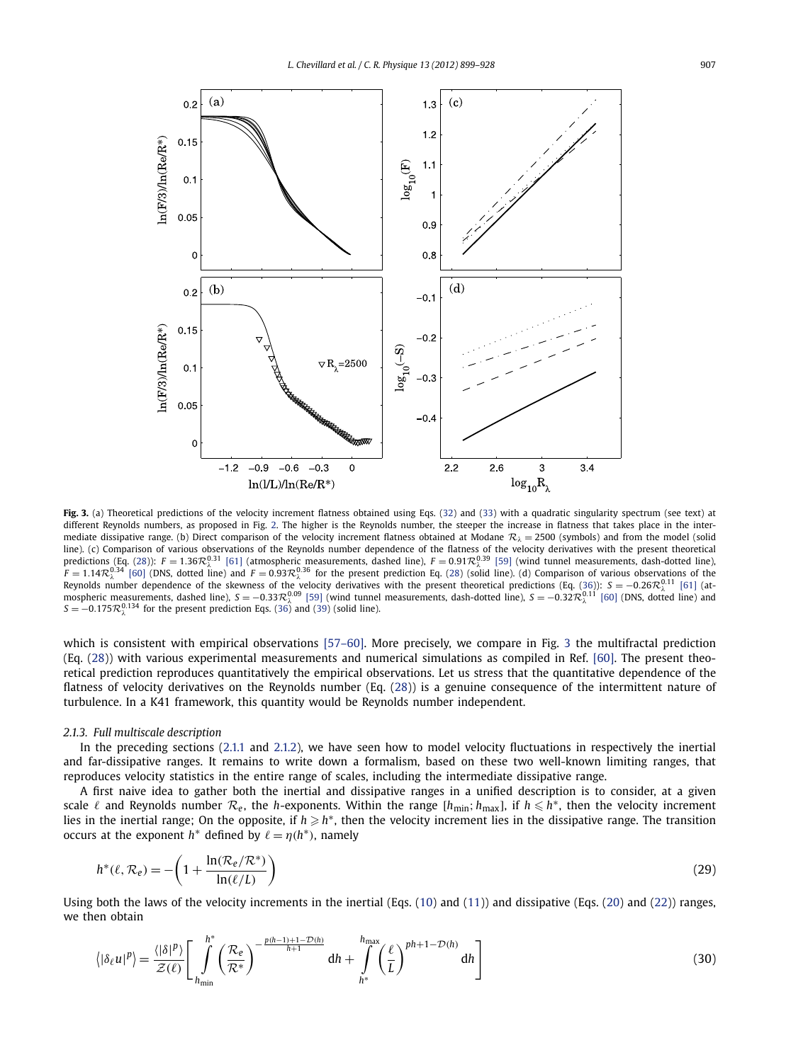<span id="page-8-0"></span>

**Fig. 3.** (a) Theoretical predictions of the velocity increment flatness obtained using Eqs. [\(32\)](#page-9-0) and [\(33\)](#page-9-0) with a quadratic singularity spectrum (see text) at different Reynolds numbers, as proposed in Fig. [2.](#page-3-0) The higher is the Reynolds number, the steeper the increase in flatness that takes place in the intermediate dissipative range. (b) Direct comparison of the velocity increment flatness obtained at Modane  $\mathcal{R}_\lambda$  = 2500 (symbols) and from the model (solid line). (c) Comparison of various observations of the Reynolds number dependence of the flatness of the velocity derivatives with the present theoretical predictions (Eq. [\(28\)](#page-7-0)):  $F = 1.36 \mathcal{R}_{\lambda}^{0.31}$  [\[61\]](#page-28-0) (atmospheric measurements, dashed line),  $F = 0.91 \mathcal{R}_{\lambda}^{0.39}$  [\[59\]](#page-28-0) (wind tunnel measurements, dash-dotted line),  $F = 1.14\mathcal{R}_\lambda^{0.34}$  [\[60\]](#page-28-0) (DNS, dotted line) and  $F = 0.93\mathcal{R}_\lambda^{0.36}$  for the present prediction Eq. [\(28\)](#page-7-0) (solid line). (d) Comparison of various observations of the Reynolds number dependence of the skewness of the mospheric measurements, dashed line),  $S = -0.33\mathcal{R}^{0.09}_{\lambda}$  [\[59\]](#page-28-0) (wind tunnel measurements, dash-dotted line),  $S = -0.32\mathcal{R}^{0.11}_{\lambda}$  [\[60\]](#page-28-0) (DNS, dotted line) and  $S = -0.175 \mathcal{R}_{\lambda}^{0.134}$  for the present prediction Eqs. [\(36\)](#page-10-0) and [\(39\)](#page-11-0) (solid line).

which is consistent with empirical observations [\[57–60\].](#page-28-0) More precisely, we compare in Fig. 3 the multifractal prediction (Eq. [\(28\)](#page-7-0)) with various experimental measurements and numerical simulations as compiled in Ref. [\[60\].](#page-28-0) The present theoretical prediction reproduces quantitatively the empirical observations. Let us stress that the quantitative dependence of the flatness of velocity derivatives on the Reynolds number (Eq. [\(28\)](#page-7-0)) is a genuine consequence of the intermittent nature of turbulence. In a K41 framework, this quantity would be Reynolds number independent.

# *2.1.3. Full multiscale description*

In the preceding sections [\(2.1.1](#page-3-0) and [2.1.2\)](#page-5-0), we have seen how to model velocity fluctuations in respectively the inertial and far-dissipative ranges. It remains to write down a formalism, based on these two well-known limiting ranges, that reproduces velocity statistics in the entire range of scales, including the intermediate dissipative range.

A first naive idea to gather both the inertial and dissipative ranges in a unified description is to consider, at a given scale  $\ell$  and Reynolds number  $\mathcal{R}_e$ , the *h*-exponents. Within the range  $[h_{\min}; h_{\max}]$ , if  $h \leq h^*$ , then the velocity increment lies in the inertial range; On the opposite, if  $h \geq h^*$ , then the velocity increment lies in the dissipative range. The transition occurs at the exponent *h*<sup>\*</sup> defined by  $\ell = \eta(h^*)$ , namely

$$
h^*(\ell, \mathcal{R}_e) = -\left(1 + \frac{\ln(\mathcal{R}_e/\mathcal{R}^*)}{\ln(\ell/L)}\right) \tag{29}
$$

Using both the laws of the velocity increments in the inertial (Eqs. [\(10\)](#page-4-0) and [\(11\)](#page-4-0)) and dissipative (Eqs. [\(20\)](#page-6-0) and [\(22\)](#page-7-0)) ranges, we then obtain

$$
\langle |\delta_{\ell} u|^p \rangle = \frac{\langle |\delta|^p \rangle}{\mathcal{Z}(\ell)} \left[ \int_{h_{\min}}^{h^*} \left( \frac{\mathcal{R}_e}{\mathcal{R}^*} \right)^{-\frac{p(h-1)+1-\mathcal{D}(h)}{h+1}} dh + \int_{h^*}^{h_{\max}} \left( \frac{\ell}{L} \right)^{ph+1-\mathcal{D}(h)} dh \right]
$$
(30)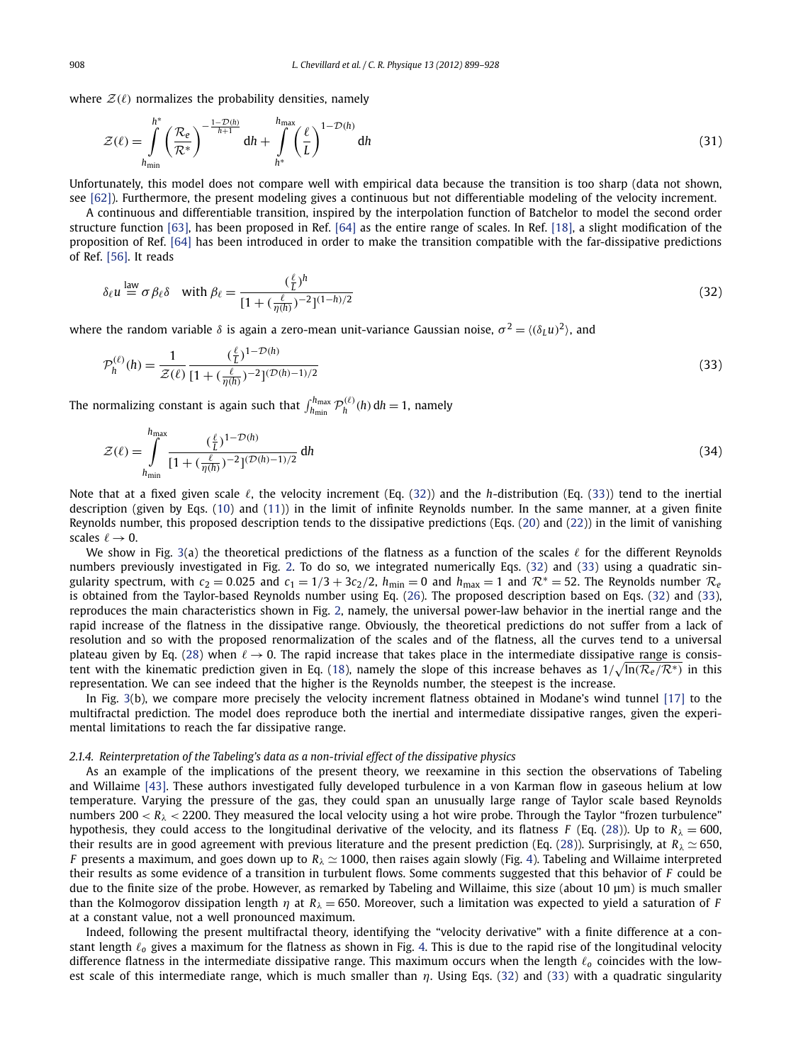<span id="page-9-0"></span>where  $\mathcal{Z}(\ell)$  normalizes the probability densities, namely

$$
\mathcal{Z}(\ell) = \int_{h_{\min}}^{h^*} \left(\frac{\mathcal{R}_e}{\mathcal{R}^*}\right)^{-\frac{1-\mathcal{D}(h)}{h+1}} \mathrm{d}h + \int_{h^*}^{h_{\max}} \left(\frac{\ell}{L}\right)^{1-\mathcal{D}(h)} \mathrm{d}h \tag{31}
$$

Unfortunately, this model does not compare well with empirical data because the transition is too sharp (data not shown, see [\[62\]\)](#page-28-0). Furthermore, the present modeling gives a continuous but not differentiable modeling of the velocity increment.

A continuous and differentiable transition, inspired by the interpolation function of Batchelor to model the second order structure function [\[63\],](#page-28-0) has been proposed in Ref. [\[64\]](#page-28-0) as the entire range of scales. In Ref. [\[18\],](#page-27-0) a slight modification of the proposition of Ref. [\[64\]](#page-28-0) has been introduced in order to make the transition compatible with the far-dissipative predictions of Ref. [\[56\].](#page-28-0) It reads

$$
\delta_{\ell} u \stackrel{\text{law}}{=} \sigma \beta_{\ell} \delta \quad \text{with } \beta_{\ell} = \frac{(\frac{\ell}{L})^h}{[1 + (\frac{\ell}{\eta(h)})^{-2}]^{(1-h)/2}} \tag{32}
$$

where the random variable  $\delta$  is again a zero-mean unit-variance Gaussian noise,  $\sigma^2 = \langle (\delta_I u)^2 \rangle$ . and

$$
\mathcal{P}_h^{(\ell)}(h) = \frac{1}{\mathcal{Z}(\ell)} \frac{(\frac{\ell}{L})^{1-\mathcal{D}(h)}}{[1 + (\frac{\ell}{\eta(h)})^{-2}]^{(\mathcal{D}(h)-1)/2}} \tag{33}
$$

The normalizing constant is again such that  $\int_{h_{\text{min}}}^{h_{\text{max}}} \mathcal{P}_h^{(\ell)}(h) dh = 1$ , namely

$$
\mathcal{Z}(\ell) = \int_{h_{\min}}^{h_{\max}} \frac{(\frac{\ell}{L})^{1-\mathcal{D}(h)}}{[1 + (\frac{\ell}{\eta(h)})^{-2}]^{(\mathcal{D}(h)-1)/2}} dh
$$
(34)

Note that at a fixed given scale  $\ell$ , the velocity increment (Eq. (32)) and the *h*-distribution (Eq. (33)) tend to the inertial description (given by Eqs. [\(10\)](#page-4-0) and [\(11\)](#page-4-0)) in the limit of infinite Reynolds number. In the same manner, at a given finite Reynolds number, this proposed description tends to the dissipative predictions (Eqs. [\(20\)](#page-6-0) and [\(22\)](#page-7-0)) in the limit of vanishing scales  $\ell \rightarrow 0$ .

We show in Fig. [3\(](#page-8-0)a) the theoretical predictions of the flatness as a function of the scales  $\ell$  for the different Reynolds numbers previously investigated in Fig. [2.](#page-3-0) To do so, we integrated numerically Eqs. (32) and (33) using a quadratic singularity spectrum, with  $c_2 = 0.025$  and  $c_1 = 1/3 + 3c_2/2$ ,  $h_{\text{min}} = 0$  and  $h_{\text{max}} = 1$  and  $\mathcal{R}^* = 52$ . The Reynolds number  $\mathcal{R}_e$ is obtained from the Taylor-based Reynolds number using Eq. [\(26\)](#page-7-0). The proposed description based on Eqs. (32) and (33), reproduces the main characteristics shown in Fig. [2,](#page-3-0) namely, the universal power-law behavior in the inertial range and the rapid increase of the flatness in the dissipative range. Obviously, the theoretical predictions do not suffer from a lack of resolution and so with the proposed renormalization of the scales and of the flatness, all the curves tend to a universal plateau given by Eq. [\(28\)](#page-7-0) when  $\ell \to 0$ . The rapid increase that takes place in the intermediate dissipative range is consis-tent with the kinematic prediction given in Eq. [\(18\)](#page-6-0), namely the slope of this increase behaves as  $1/\sqrt{\ln(R_e/R^*)}$  in this representation. We can see indeed that the higher is the Reynolds number, the steepest is the increase.

In Fig. [3\(](#page-8-0)b), we compare more precisely the velocity increment flatness obtained in Modane's wind tunnel [\[17\]](#page-27-0) to the multifractal prediction. The model does reproduce both the inertial and intermediate dissipative ranges, given the experimental limitations to reach the far dissipative range.

### *2.1.4. Reinterpretation of the Tabeling's data as a non-trivial effect of the dissipative physics*

As an example of the implications of the present theory, we reexamine in this section the observations of Tabeling and Willaime [\[43\].](#page-28-0) These authors investigated fully developed turbulence in a von Karman flow in gaseous helium at low temperature. Varying the pressure of the gas, they could span an unusually large range of Taylor scale based Reynolds numbers 200 *< R<sup>λ</sup> <* 2200. They measured the local velocity using a hot wire probe. Through the Taylor "frozen turbulence" hypothesis, they could access to the longitudinal derivative of the velocity, and its flatness *F* (Eq. [\(28\)](#page-7-0)). Up to  $R_\lambda = 600$ , their results are in good agreement with previous literature and the present prediction (Eq. [\(28\)](#page-7-0)). Surprisingly, at *R*<sub>λ</sub>  $\simeq$  650, *F* presents a maximum, and goes down up to  $R_\lambda \simeq 1000$ , then raises again slowly (Fig. [4\)](#page-10-0). Tabeling and Willaime interpreted their results as some evidence of a transition in turbulent flows. Some comments suggested that this behavior of *F* could be due to the finite size of the probe. However, as remarked by Tabeling and Willaime, this size (about 10 μm) is much smaller than the Kolmogorov dissipation length *η* at *R<sup>λ</sup>* = 650. Moreover, such a limitation was expected to yield a saturation of *F* at a constant value, not a well pronounced maximum.

Indeed, following the present multifractal theory, identifying the "velocity derivative" with a finite difference at a constant length  $\ell_0$  gives a maximum for the flatness as shown in Fig. [4.](#page-10-0) This is due to the rapid rise of the longitudinal velocity difference flatness in the intermediate dissipative range. This maximum occurs when the length  $\ell_0$  coincides with the lowest scale of this intermediate range, which is much smaller than *η*. Using Eqs. (32) and (33) with a quadratic singularity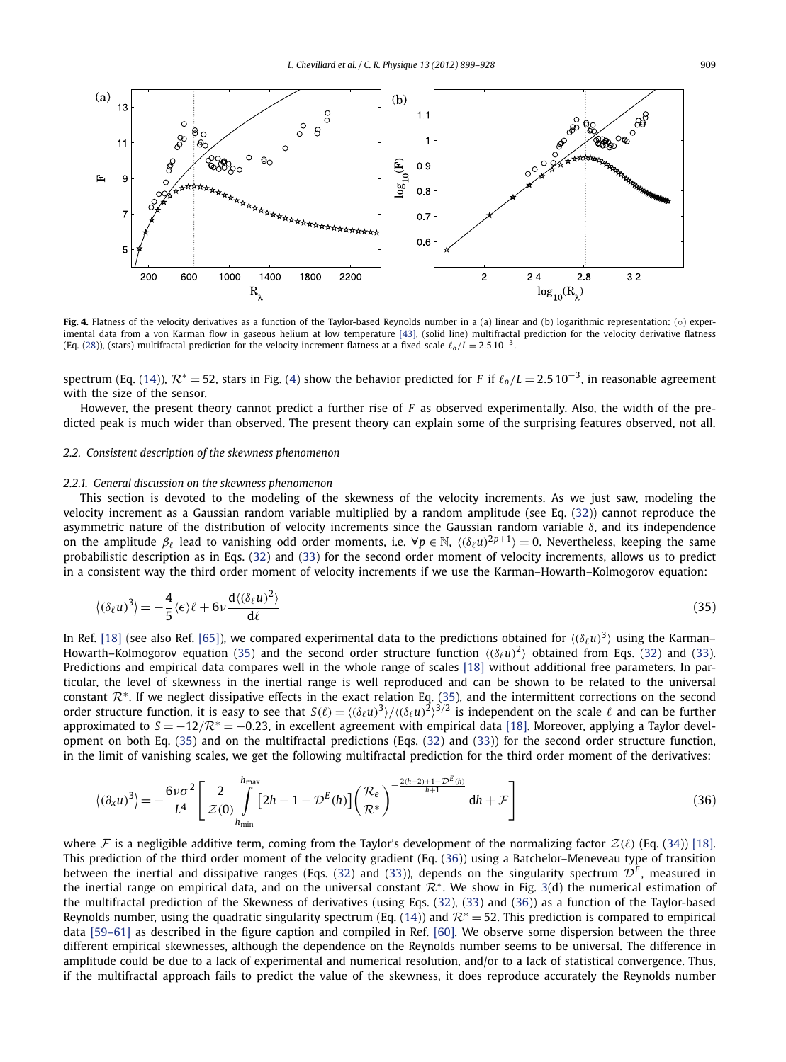<span id="page-10-0"></span>

**Fig. 4.** Flatness of the velocity derivatives as a function of the Taylor-based Reynolds number in a (a) linear and (b) logarithmic representation: (◦) experimental data from a von Karman flow in gaseous helium at low temperature [\[43\],](#page-28-0) (solid line) multifractal prediction for the velocity derivative flatness (Eq. [\(28\)](#page-7-0)), (stars) multifractal prediction for the velocity increment flatness at a fixed scale  $\ell_0/L = 2.5 10^{-3}$ .

spectrum (Eq. [\(14\)](#page-4-0)),  $\mathcal{R}^* = 52$ , stars in Fig. (4) show the behavior predicted for *F* if  $\ell_0/L = 2.5 \, 10^{-3}$ , in reasonable agreement with the size of the sensor.

However, the present theory cannot predict a further rise of *F* as observed experimentally. Also, the width of the predicted peak is much wider than observed. The present theory can explain some of the surprising features observed, not all.

# *2.2. Consistent description of the skewness phenomenon*

### *2.2.1. General discussion on the skewness phenomenon*

This section is devoted to the modeling of the skewness of the velocity increments. As we just saw, modeling the velocity increment as a Gaussian random variable multiplied by a random amplitude (see Eq. [\(32\)](#page-9-0)) cannot reproduce the asymmetric nature of the distribution of velocity increments since the Gaussian random variable *δ*, and its independence on the amplitude  $\beta_{\ell}$  lead to vanishing odd order moments, i.e.  $\forall p \in \mathbb{N}$ ,  $(\delta_{\ell} u)^{2p+1}$  = 0. Nevertheless, keeping the same probabilistic description as in Eqs. [\(32\)](#page-9-0) and [\(33\)](#page-9-0) for the second order moment of velocity increments, allows us to predict in a consistent way the third order moment of velocity increments if we use the Karman–Howarth–Kolmogorov equation:

$$
\langle (\delta_{\ell} u)^3 \rangle = -\frac{4}{5} \langle \epsilon \rangle \ell + 6\nu \frac{d \langle (\delta_{\ell} u)^2 \rangle}{d \ell} \tag{35}
$$

In Ref. [\[18\]](#page-27-0) (see also Ref. [\[65\]\)](#page-28-0), we compared experimental data to the predictions obtained for  $(\delta_\ell u)^3$  using the Karman– Howarth–Kolmogorov equation (35) and the second order structure function  $(\delta_\ell u)^2$  obtained from Eqs. [\(32\)](#page-9-0) and [\(33\)](#page-9-0). Predictions and empirical data compares well in the whole range of scales [\[18\]](#page-27-0) without additional free parameters. In particular, the level of skewness in the inertial range is well reproduced and can be shown to be related to the universal constant  $\mathcal{R}^*$ . If we neglect dissipative effects in the exact relation Eq. (35), and the intermittent corrections on the second order structure function, it is easy to see that  $S(\ell) = \langle (\delta_\ell u)^2 \rangle / \langle (\delta_\ell u)^2 \rangle^{3/2}$  is independent on the scale  $\ell$  and can be further approximated to *<sup>S</sup>* = −12*/*R<sup>∗</sup> = −0*.*23, in excellent agreement with empirical data [\[18\].](#page-27-0) Moreover, applying a Taylor development on both Eq. (35) and on the multifractal predictions (Eqs. [\(32\)](#page-9-0) and [\(33\)](#page-9-0)) for the second order structure function, in the limit of vanishing scales, we get the following multifractal prediction for the third order moment of the derivatives:

$$
\left\langle (\partial_x u)^3 \right\rangle = -\frac{6\nu\sigma^2}{L^4} \left[ \frac{2}{\mathcal{Z}(0)} \int_{h_{\text{min}}}^{h_{\text{max}}} \left[ 2h - 1 - \mathcal{D}^E(h) \right] \left( \frac{\mathcal{R}_e}{\mathcal{R}^*} \right)^{-\frac{2(h-2)+1-\mathcal{D}^E(h)}{h+1}} \mathrm{d}h + \mathcal{F} \right]
$$
(36)

where F is a negligible additive term, coming from the Taylor's development of the normalizing factor  $\mathcal{Z}(\ell)$  (Eq. [\(34\)](#page-9-0)) [\[18\].](#page-27-0) This prediction of the third order moment of the velocity gradient (Eq. (36)) using a Batchelor–Meneveau type of transition between the inertial and dissipative ranges (Eqs. [\(32\)](#page-9-0) and [\(33\)](#page-9-0)), depends on the singularity spectrum  $\mathcal{D}^E$ , measured in the inertial range on empirical data, and on the universal constant  $\mathcal{R}^*$ . We show in Fig. [3\(](#page-8-0)d) the numerical estimation of the multifractal prediction of the Skewness of derivatives (using Eqs. [\(32\)](#page-9-0), [\(33\)](#page-9-0) and (36)) as a function of the Taylor-based Reynolds number, using the quadratic singularity spectrum (Eq. [\(14\)](#page-4-0)) and  $\mathcal{R}^* = 52$ . This prediction is compared to empirical data [\[59–61\]](#page-28-0) as described in the figure caption and compiled in Ref. [\[60\].](#page-28-0) We observe some dispersion between the three different empirical skewnesses, although the dependence on the Reynolds number seems to be universal. The difference in amplitude could be due to a lack of experimental and numerical resolution, and/or to a lack of statistical convergence. Thus, if the multifractal approach fails to predict the value of the skewness, it does reproduce accurately the Reynolds number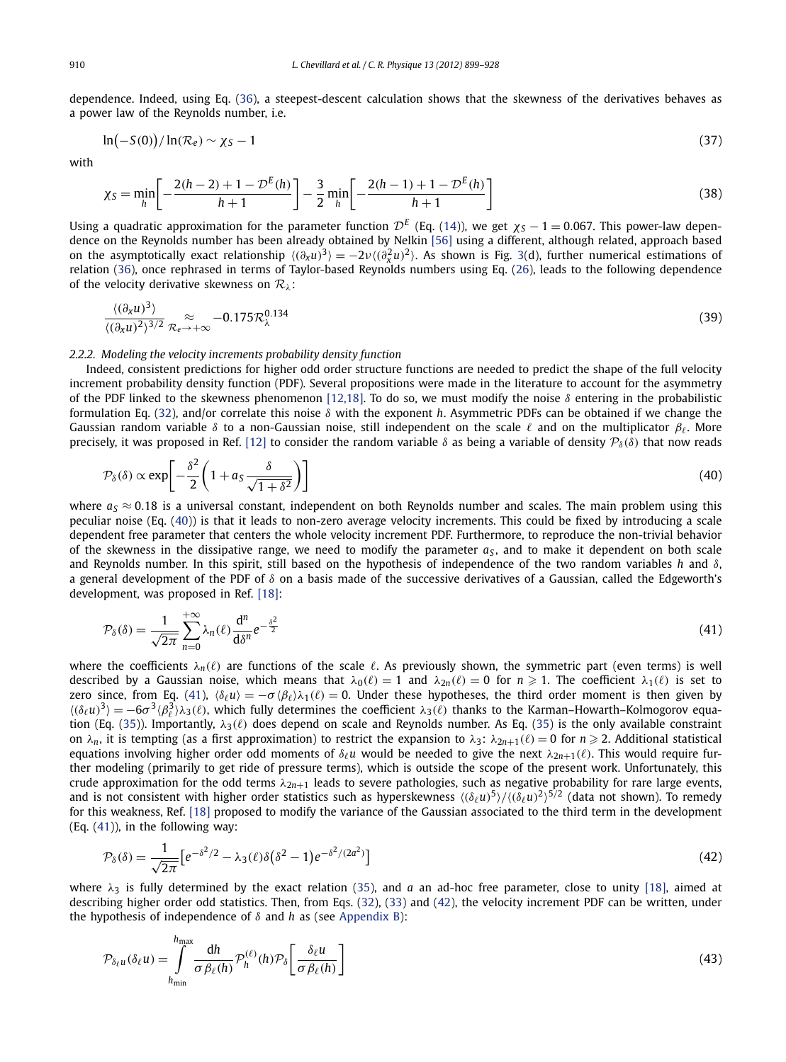<span id="page-11-0"></span>dependence. Indeed, using Eq. [\(36\)](#page-10-0), a steepest-descent calculation shows that the skewness of the derivatives behaves as a power law of the Reynolds number, i.e.

$$
\ln(-S(0))/\ln(\mathcal{R}_e) \sim \chi_S - 1\tag{37}
$$

with

$$
\chi_S = \min_{h} \left[ -\frac{2(h-2) + 1 - \mathcal{D}^E(h)}{h+1} \right] - \frac{3}{2} \min_{h} \left[ -\frac{2(h-1) + 1 - \mathcal{D}^E(h)}{h+1} \right] \tag{38}
$$

Using a quadratic approximation for the parameter function  $D^E$  (Eq. [\(14\)](#page-4-0)), we get  $\chi_S - 1 = 0.067$ . This power-law dependence on the Reynolds number has been already obtained by Nelkin [\[56\]](#page-28-0) using a different, although related, approach based on the asymptotically exact relationship  $\langle (\partial_x u)^3 \rangle = -2\nu \langle (\partial_x^2 u)^2 \rangle$ . As shown is Fig. [3\(](#page-8-0)d), further numerical estimations of relation [\(36\)](#page-10-0), once rephrased in terms of Taylor-based Reynolds numbers using Eq. [\(26\)](#page-7-0), leads to the following dependence of the velocity derivative skewness on R*λ*:

$$
\frac{\langle (\partial_{\chi}u)^{3}\rangle}{\langle (\partial_{\chi}u)^{2}\rangle^{3/2}}\underset{\mathcal{R}_{e}\to+\infty}{\approx}-0.175\mathcal{R}_{\lambda}^{0.134}
$$
\n(39)

#### *2.2.2. Modeling the velocity increments probability density function*

Indeed, consistent predictions for higher odd order structure functions are needed to predict the shape of the full velocity increment probability density function (PDF). Several propositions were made in the literature to account for the asymmetry of the PDF linked to the skewness phenomenon [\[12,18\].](#page-27-0) To do so, we must modify the noise *δ* entering in the probabilistic formulation Eq. [\(32\)](#page-9-0), and/or correlate this noise *δ* with the exponent *h*. Asymmetric PDFs can be obtained if we change the Gaussian random variable δ to a non-Gaussian noise, still independent on the scale  $\ell$  and on the multiplicator  $β_\ell$ . More precisely, it was proposed in Ref. [\[12\]](#page-27-0) to consider the random variable *δ* as being a variable of density P*<sup>δ</sup> (δ)* that now reads

$$
\mathcal{P}_{\delta}(\delta) \propto \exp\bigg[-\frac{\delta^2}{2}\bigg(1 + a_S \frac{\delta}{\sqrt{1 + \delta^2}}\bigg)\bigg] \tag{40}
$$

where  $a_S \approx 0.18$  is a universal constant, independent on both Reynolds number and scales. The main problem using this peculiar noise (Eq. (40)) is that it leads to non-zero average velocity increments. This could be fixed by introducing a scale dependent free parameter that centers the whole velocity increment PDF. Furthermore, to reproduce the non-trivial behavior of the skewness in the dissipative range, we need to modify the parameter  $a<sub>S</sub>$ , and to make it dependent on both scale and Reynolds number. In this spirit, still based on the hypothesis of independence of the two random variables *h* and *δ*, a general development of the PDF of *δ* on a basis made of the successive derivatives of a Gaussian, called the Edgeworth's development, was proposed in Ref. [\[18\]:](#page-27-0)

$$
\mathcal{P}_{\delta}(\delta) = \frac{1}{\sqrt{2\pi}} \sum_{n=0}^{+\infty} \lambda_n(\ell) \frac{d^n}{d\delta^n} e^{-\frac{\delta^2}{2}}
$$
\n(41)

where the coefficients  $\lambda_n(\ell)$  are functions of the scale  $\ell$ . As previously shown, the symmetric part (even terms) is well described by a Gaussian noise, which means that  $\lambda_0(\ell) = 1$  and  $\lambda_{2n}(\ell) = 0$  for  $n \ge 1$ . The coefficient  $\lambda_1(\ell)$  is set to zero since, from Eq. (41),  $\langle \delta_\ell u \rangle = -\sigma \langle \beta_\ell \rangle \lambda_1(\ell) = 0$ . Under these hypotheses, the third order moment is then given by  $\langle (\delta_\ell u)^3 \rangle = -6\sigma^3 \langle \beta_\ell^3 \rangle \lambda_3(\ell)$ , which fully determines the coefficient  $\lambda_3(\ell)$  thanks to the Karman–Howarth–Kolmogorov equa-tion (Eq. [\(35\)](#page-10-0)). Importantly,  $λ_3$ ( $\ell$ ) does depend on scale and Reynolds number. As Eq. (35) is the only available constraint on  $\lambda_n$ , it is tempting (as a first approximation) to restrict the expansion to  $\lambda_3$ :  $\lambda_{2n+1}(\ell) = 0$  for  $n \ge 2$ . Additional statistical equations involving higher order odd moments of  $\delta_\ell u$  would be needed to give the next  $\lambda_{2n+1}(\ell)$ . This would require further modeling (primarily to get ride of pressure terms), which is outside the scope of the present work. Unfortunately, this crude approximation for the odd terms *λ*2*n*+<sup>1</sup> leads to severe pathologies, such as negative probability for rare large events, and is not consistent with higher order statistics such as hyperskewness  $(\delta_\ell u)^5 \}/(\delta_\ell u)^2$ <sup>5/2</sup> (data not shown). To remedy for this weakness, Ref. [\[18\]](#page-27-0) proposed to modify the variance of the Gaussian associated to the third term in the development (Eq. (41)), in the following way:

$$
\mathcal{P}_{\delta}(\delta) = \frac{1}{\sqrt{2\pi}} \left[ e^{-\delta^2/2} - \lambda_3(\ell)\delta(\delta^2 - 1)e^{-\delta^2/(2a^2)} \right]
$$
\n(42)

where *λ*<sup>3</sup> is fully determined by the exact relation [\(35\)](#page-10-0), and *a* an ad-hoc free parameter, close to unity [\[18\],](#page-27-0) aimed at describing higher order odd statistics. Then, from Eqs. [\(32\)](#page-9-0), [\(33\)](#page-9-0) and (42), the velocity increment PDF can be written, under the hypothesis of independence of *δ* and *h* as (see [Appendix B\)](#page-27-0):

$$
\mathcal{P}_{\delta_{\ell}u}(\delta_{\ell}u) = \int_{h_{\min}}^{h_{\max}} \frac{dh}{\sigma \beta_{\ell}(h)} \mathcal{P}_h^{(\ell)}(h) \mathcal{P}_{\delta} \left[ \frac{\delta_{\ell}u}{\sigma \beta_{\ell}(h)} \right]
$$
(43)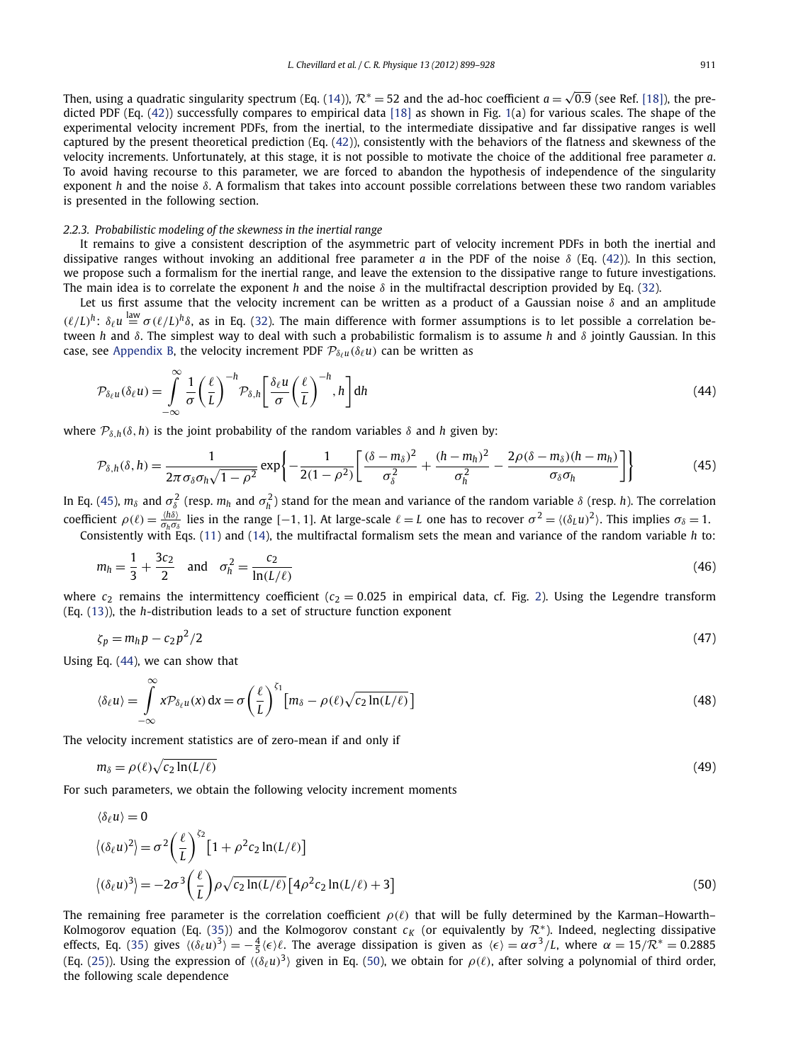<span id="page-12-0"></span>Then, using a quadratic singularity spectrum (Eq. [\(14\)](#page-4-0)),  $\mathcal{R}^*$  = 52 and the ad-hoc coefficient  $a = \sqrt{0.9}$  (see Ref. [\[18\]\)](#page-27-0), the predicted PDF (Eq. [\(42\)](#page-11-0)) successfully compares to empirical data [\[18\]](#page-27-0) as shown in Fig. [1\(](#page-2-0)a) for various scales. The shape of the experimental velocity increment PDFs, from the inertial, to the intermediate dissipative and far dissipative ranges is well captured by the present theoretical prediction (Eq.  $(42)$ ), consistently with the behaviors of the flatness and skewness of the velocity increments. Unfortunately, at this stage, it is not possible to motivate the choice of the additional free parameter *a*. To avoid having recourse to this parameter, we are forced to abandon the hypothesis of independence of the singularity exponent *h* and the noise *δ*. A formalism that takes into account possible correlations between these two random variables is presented in the following section.

# *2.2.3. Probabilistic modeling of the skewness in the inertial range*

It remains to give a consistent description of the asymmetric part of velocity increment PDFs in both the inertial and dissipative ranges without invoking an additional free parameter *a* in the PDF of the noise *δ* (Eq. [\(42\)](#page-11-0)). In this section, we propose such a formalism for the inertial range, and leave the extension to the dissipative range to future investigations. The main idea is to correlate the exponent *h* and the noise *δ* in the multifractal description provided by Eq. [\(32\)](#page-9-0).

Let us first assume that the velocity increment can be written as a product of a Gaussian noise *δ* and an amplitude  $(\ell/L)^h$ :  $\delta_\ell u \stackrel{\text{law}}{=} \sigma(\ell/L)^h \delta$ , as in Eq. [\(32\)](#page-9-0). The main difference with former assumptions is to let possible a correlation between *h* and *δ*. The simplest way to deal with such a probabilistic formalism is to assume *h* and *δ* jointly Gaussian. In this case, see [Appendix B,](#page-27-0) the velocity increment PDF  $\mathcal{P}_{\delta \ell u}(\delta_\ell u)$  can be written as

$$
\mathcal{P}_{\delta_{\ell}u}(\delta_{\ell}u) = \int_{-\infty}^{\infty} \frac{1}{\sigma} \left(\frac{\ell}{L}\right)^{-h} \mathcal{P}_{\delta,h} \left[\frac{\delta_{\ell}u}{\sigma}\left(\frac{\ell}{L}\right)^{-h}, h\right] dh \tag{44}
$$

where  $\mathcal{P}_{\delta,h}(\delta,h)$  is the joint probability of the random variables  $\delta$  and  $h$  given by:

$$
\mathcal{P}_{\delta,h}(\delta,h) = \frac{1}{2\pi\sigma_{\delta}\sigma_{h}\sqrt{1-\rho^{2}}}\exp\left\{-\frac{1}{2(1-\rho^{2})}\left[\frac{(\delta-m_{\delta})^{2}}{\sigma_{\delta}^{2}} + \frac{(h-m_{h})^{2}}{\sigma_{h}^{2}} - \frac{2\rho(\delta-m_{\delta})(h-m_{h})}{\sigma_{\delta}\sigma_{h}}\right]\right\}
$$
(45)

In Eq. (45),  $m_\delta$  and  $\sigma_\delta^2$  (resp.  $m_h$  and  $\sigma_h^2$ ) stand for the mean and variance of the random variable  $\delta$  (resp. *h*). The correlation coefficient  $\rho(\ell) = \frac{\langle h \delta \rangle}{\sigma_h \sigma_{\delta}}$  lies in the range [−1, 1]. At large-scale  $\ell = L$  one has to recover  $\sigma^2 = \langle (\delta_L u)^2 \rangle$ . This implies  $\sigma_{\delta} = 1$ . Consistently with Eqs. [\(11\)](#page-4-0) and [\(14\)](#page-4-0), the multifractal formalism sets the mean and variance of the random variable  $h$  to:

$$
m_h = \frac{1}{3} + \frac{3c_2}{2} \quad \text{and} \quad \sigma_h^2 = \frac{c_2}{\ln(L/\ell)}\tag{46}
$$

where  $c_2$  remains the intermittency coefficient ( $c_2$  = 0.025 in empirical data, cf. Fig. [2\)](#page-3-0). Using the Legendre transform (Eq. [\(13\)](#page-4-0)), the *h*-distribution leads to a set of structure function exponent

$$
\zeta_p = m_h p - c_2 p^2 / 2 \tag{47}
$$

Using Eq. (44), we can show that

$$
\langle \delta_{\ell} u \rangle = \int_{-\infty}^{\infty} x \mathcal{P}_{\delta_{\ell} u}(x) dx = \sigma \left(\frac{\ell}{L}\right)^{\zeta_1} \left[m_{\delta} - \rho(\ell) \sqrt{c_2 \ln(L/\ell)}\right]
$$
(48)

The velocity increment statistics are of zero-mean if and only if

$$
m_{\delta} = \rho(\ell)\sqrt{c_2 \ln(L/\ell)}\tag{49}
$$

For such parameters, we obtain the following velocity increment moments

$$
\langle \delta_{\ell} u \rangle = 0
$$
  

$$
\langle (\delta_{\ell} u)^2 \rangle = \sigma^2 \left( \frac{\ell}{L} \right)^{z_2} [1 + \rho^2 c_2 \ln(L/\ell)]
$$
  

$$
\langle (\delta_{\ell} u)^3 \rangle = -2\sigma^3 \left( \frac{\ell}{L} \right) \rho \sqrt{c_2 \ln(L/\ell)} [4\rho^2 c_2 \ln(L/\ell) + 3]
$$
 (50)

The remaining free parameter is the correlation coefficient  $\rho(\ell)$  that will be fully determined by the Karman–Howarth– Kolmogorov equation (Eq. [\(35\)](#page-10-0)) and the Kolmogorov constant  $c_K$  (or equivalently by  $\mathcal{R}^*$ ). Indeed, neglecting dissipative effects, Eq. [\(35\)](#page-10-0) gives  $\langle (\delta_\ell u)^3 \rangle = -\frac{4}{5} \langle \epsilon \rangle \ell$ . The average dissipation is given as  $\langle \epsilon \rangle = \alpha \sigma^3 / L$ , where  $\alpha = 15/R^* = 0.2885$ (Eq. [\(25\)](#page-7-0)). Using the expression of  $(\delta_\ell u)^3$  given in Eq. (50), we obtain for  $\rho(\ell)$ , after solving a polynomial of third order, the following scale dependence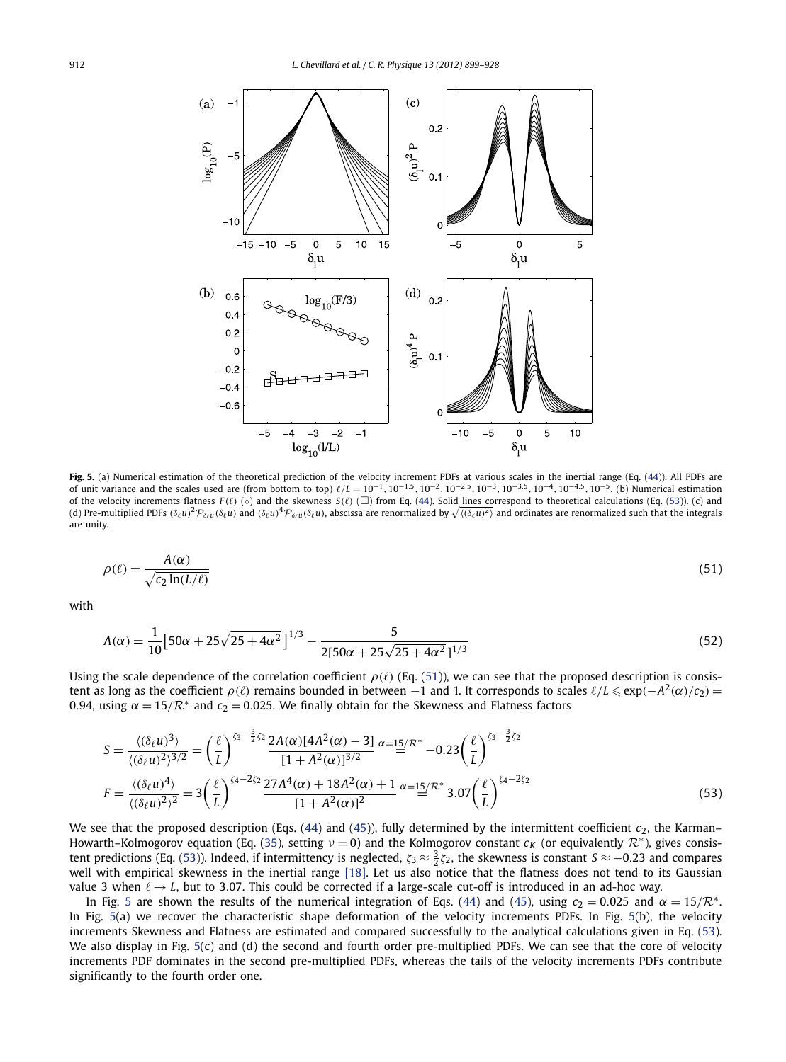

**Fig. 5.** (a) Numerical estimation of the theoretical prediction of the velocity increment PDFs at various scales in the inertial range (Eq. [\(44\)](#page-12-0)). All PDFs are of unit variance and the scales used are (from bottom to top of the velocity increments flatness  $F(\ell)$  ( $\circ$ ) and the skewness  $S(\ell)$  ( $\square$ ) from Eq. [\(44\)](#page-12-0). Solid lines correspond to theoretical calculations (Eq. (53)). (c) and (d) Pre-multiplied PDFs  $(\delta_\ell u)^2 \mathcal{P}_{\delta_\ell u} (\delta_\ell u)$  and  $(\delta_\ell u)^4 \mathcal{P}_{\delta_\ell u} (\delta_\ell u)$ , abscissa are renormalized by  $\sqrt{\langle (\delta_\ell u)^2 \rangle}$  and ordinates are renormalized such that the integrals are unity.

$$
\rho(\ell) = \frac{A(\alpha)}{\sqrt{c_2 \ln(L/\ell)}}\tag{51}
$$

with

$$
A(\alpha) = \frac{1}{10} \left[ 50\alpha + 25\sqrt{25 + 4\alpha^2} \right]^{1/3} - \frac{5}{2[50\alpha + 25\sqrt{25 + 4\alpha^2}]^{1/3}}
$$
(52)

Using the scale dependence of the correlation coefficient  $\rho(\ell)$  (Eq. (51)), we can see that the proposed description is consistent as long as the coefficient  $\rho(\ell)$  remains bounded in between  $-1$  and 1. It corresponds to scales  $\ell/L \leqslant \exp(-A^2(\alpha)/c_2) =$ 0.94, using  $\alpha = 15/R^*$  and  $c_2 = 0.025$ . We finally obtain for the Skewness and Flatness factors

$$
S = \frac{\langle (\delta_{\ell} u)^3 \rangle}{\langle (\delta_{\ell} u)^2 \rangle^{3/2}} = \left(\frac{\ell}{L}\right)^{\zeta_3 - \frac{3}{2}\zeta_2} \frac{2A(\alpha)[4A^2(\alpha) - 3]}{[1 + A^2(\alpha)]^{3/2}} \alpha = \frac{15}{\pi} \pi^* - 0.23 \left(\frac{\ell}{L}\right)^{\zeta_3 - \frac{3}{2}\zeta_2}
$$
  

$$
F = \frac{\langle (\delta_{\ell} u)^4 \rangle}{\langle (\delta_{\ell} u)^2 \rangle^2} = 3 \left(\frac{\ell}{L}\right)^{\zeta_4 - 2\zeta_2} \frac{27A^4(\alpha) + 18A^2(\alpha) + 1}{[1 + A^2(\alpha)]^2} \alpha = \frac{15}{\pi} \pi^* \frac{3.07 \left(\frac{\ell}{L}\right)^{\zeta_4 - 2\zeta_2}}{3.07 \left(\frac{\ell}{L}\right)^{\zeta_4 - 2\zeta_2}}
$$
(53)

We see that the proposed description (Eqs.  $(44)$  and  $(45)$ ), fully determined by the intermittent coefficient  $c_2$ , the Karman– Howarth–Kolmogorov equation (Eq. [\(35\)](#page-10-0), setting  $v = 0$ ) and the Kolmogorov constant  $c_K$  (or equivalently  $\mathcal{R}^*$ ), gives consistent predictions (Eq. (53)). Indeed, if intermittency is neglected,  $\zeta_3 \approx \frac{3}{2} \zeta_2$ , the skewness is constant *S* ≈ −0.23 and compares well with empirical skewness in the inertial range [\[18\].](#page-27-0) Let us also notice that the flatness does not tend to its Gaussian value 3 when  $\ell \to L$ , but to 3.07. This could be corrected if a large-scale cut-off is introduced in an ad-hoc way.

In Fig. 5 are shown the results of the numerical integration of Eqs. [\(44\)](#page-12-0) and [\(45\)](#page-12-0), using  $c_2 = 0.025$  and  $\alpha = 15/R^*$ . In Fig. 5(a) we recover the characteristic shape deformation of the velocity increments PDFs. In Fig. 5(b), the velocity increments Skewness and Flatness are estimated and compared successfully to the analytical calculations given in Eq. (53). We also display in Fig. 5(c) and (d) the second and fourth order pre-multiplied PDFs. We can see that the core of velocity increments PDF dominates in the second pre-multiplied PDFs, whereas the tails of the velocity increments PDFs contribute significantly to the fourth order one.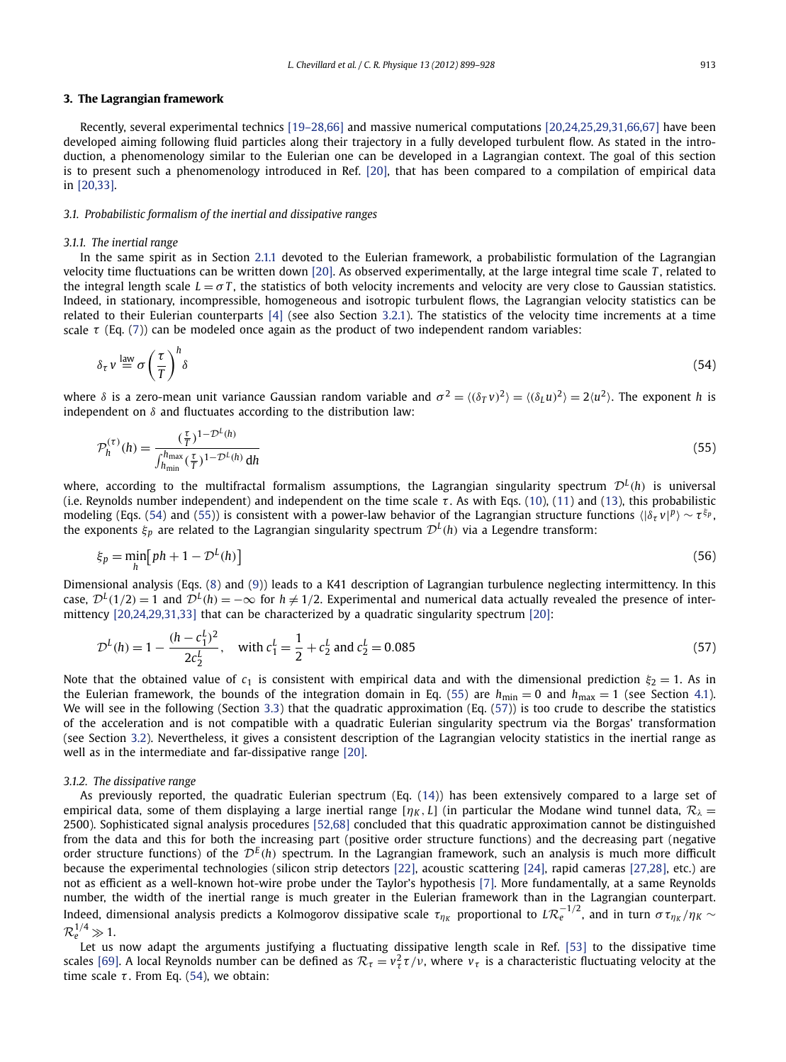# <span id="page-14-0"></span>**3. The Lagrangian framework**

Recently, several experimental technics [\[19–28,66\]](#page-27-0) and massive numerical computations [\[20,24,25,29,31,66,67\]](#page-27-0) have been developed aiming following fluid particles along their trajectory in a fully developed turbulent flow. As stated in the introduction, a phenomenology similar to the Eulerian one can be developed in a Lagrangian context. The goal of this section is to present such a phenomenology introduced in Ref. [\[20\],](#page-27-0) that has been compared to a compilation of empirical data in [\[20,33\].](#page-27-0)

### *3.1. Probabilistic formalism of the inertial and dissipative ranges*

# *3.1.1. The inertial range*

In the same spirit as in Section [2.1.1](#page-3-0) devoted to the Eulerian framework, a probabilistic formulation of the Lagrangian velocity time fluctuations can be written down [\[20\].](#page-27-0) As observed experimentally, at the large integral time scale *T* , related to the integral length scale  $L = \sigma T$ , the statistics of both velocity increments and velocity are very close to Gaussian statistics. Indeed, in stationary, incompressible, homogeneous and isotropic turbulent flows, the Lagrangian velocity statistics can be related to their Eulerian counterparts [\[4\]](#page-27-0) (see also Section [3.2.1\)](#page-18-0). The statistics of the velocity time increments at a time scale  $\tau$  (Eq. [\(7\)](#page-2-0)) can be modeled once again as the product of two independent random variables:

$$
\delta_{\tau} v \stackrel{\text{law}}{=} \sigma \left(\frac{\tau}{T}\right)^h \delta \tag{54}
$$

where *δ* is a zero-mean unit variance Gaussian random variable and  $\sigma^2 = \langle (\delta_T v)^2 \rangle = \langle (\delta_L u)^2 \rangle = 2 \langle u^2 \rangle$ . The exponent *h* is independent on  $\delta$  and fluctuates according to the distribution law:

$$
\mathcal{P}_h^{(\tau)}(h) = \frac{(\frac{\tau}{T})^{1 - \mathcal{D}^L(h)}}{\int_{h_{\min}}^{h_{\max}} (\frac{\tau}{T})^{1 - \mathcal{D}^L(h)} dh}
$$
(55)

where, according to the multifractal formalism assumptions, the Lagrangian singularity spectrum  $\mathcal{D}^L(h)$  is universal (i.e. Reynolds number independent) and independent on the time scale  $\tau$ . As with Eqs. [\(10\)](#page-4-0), [\(11\)](#page-4-0) and [\(13\)](#page-4-0), this probabilistic modeling (Eqs. (54) and (55)) is consistent with a power-law behavior of the Lagrangian structure functions  $\langle |\delta_\tau v|^p \rangle \sim \tau^{\xi_p}$ , the exponents  $\xi_p$  are related to the Lagrangian singularity spectrum  $\mathcal{D}^L(h)$  via a Legendre transform:

$$
\xi_p = \min_h \left[ ph + 1 - \mathcal{D}^L(h) \right] \tag{56}
$$

Dimensional analysis (Eqs. [\(8\)](#page-2-0) and [\(9\)](#page-2-0)) leads to a K41 description of Lagrangian turbulence neglecting intermittency. In this case,  $\mathcal{D}^{L}(1/2) = 1$  and  $\mathcal{D}^{L}(h) = -\infty$  for  $h \neq 1/2$ . Experimental and numerical data actually revealed the presence of intermittency [\[20,24,29,31,33\]](#page-27-0) that can be characterized by a quadratic singularity spectrum [\[20\]:](#page-27-0)

$$
\mathcal{D}^{L}(h) = 1 - \frac{(h - c_1^L)^2}{2c_2^L}, \quad \text{with } c_1^L = \frac{1}{2} + c_2^L \text{ and } c_2^L = 0.085
$$
 (57)

Note that the obtained value of  $c_1$  is consistent with empirical data and with the dimensional prediction  $\xi_2 = 1$ . As in the Eulerian framework, the bounds of the integration domain in Eq. (55) are  $h_{\text{min}} = 0$  and  $h_{\text{max}} = 1$  (see Section [4.1\)](#page-22-0). We will see in the following (Section [3.3\)](#page-20-0) that the quadratic approximation (Eq. (57)) is too crude to describe the statistics of the acceleration and is not compatible with a quadratic Eulerian singularity spectrum via the Borgas' transformation (see Section [3.2\)](#page-17-0). Nevertheless, it gives a consistent description of the Lagrangian velocity statistics in the inertial range as well as in the intermediate and far-dissipative range [\[20\].](#page-27-0)

# *3.1.2. The dissipative range*

As previously reported, the quadratic Eulerian spectrum (Eq. [\(14\)](#page-4-0)) has been extensively compared to a large set of empirical data, some of them displaying a large inertial range  $[\eta_K, L]$  (in particular the Modane wind tunnel data,  $\mathcal{R}_\lambda$  = 2500). Sophisticated signal analysis procedures [\[52,68\]](#page-28-0) concluded that this quadratic approximation cannot be distinguished from the data and this for both the increasing part (positive order structure functions) and the decreasing part (negative order structure functions) of the  $\mathcal{D}^{E}(h)$  spectrum. In the Lagrangian framework, such an analysis is much more difficult because the experimental technologies (silicon strip detectors [\[22\],](#page-28-0) acoustic scattering [\[24\],](#page-28-0) rapid cameras [\[27,28\],](#page-28-0) etc.) are not as efficient as a well-known hot-wire probe under the Taylor's hypothesis [\[7\].](#page-27-0) More fundamentally, at a same Reynolds number, the width of the inertial range is much greater in the Eulerian framework than in the Lagrangian counterpart. Indeed, dimensional analysis predicts a Kolmogorov dissipative scale  $\tau_{\eta_K}$  proportional to  $L\mathcal{R}_e^{-1/2}$ , and in turn  $\sigma\tau_{\eta_K}/\eta_K\sim$  $\mathcal{R}^{1/4}_e \gg 1.$ 

Let us now adapt the arguments justifying a fluctuating dissipative length scale in Ref. [\[53\]](#page-28-0) to the dissipative time scales [\[69\].](#page-28-0) A local Reynolds number can be defined as  $\mathcal{R}_{\tau} = v_{\tau}^2 \tau / v$ , where  $v_{\tau}$  is a characteristic fluctuating velocity at the time scale  $\tau$ . From Eq. (54), we obtain: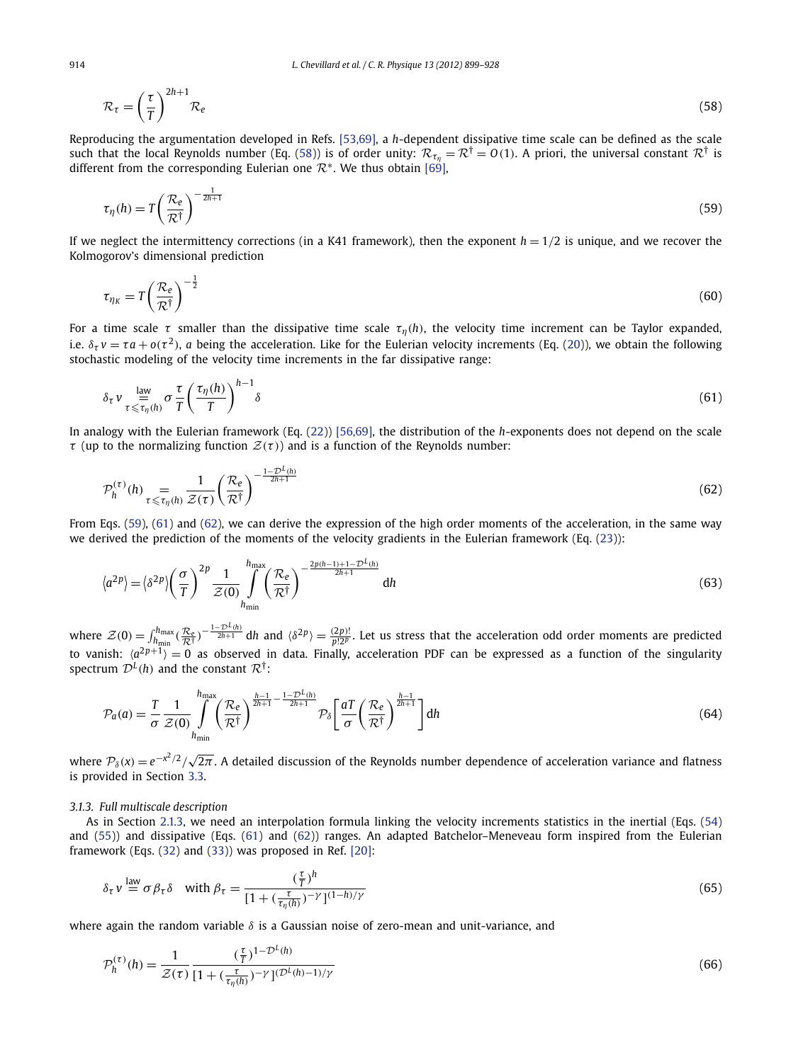<span id="page-15-0"></span>
$$
\mathcal{R}_{\tau} = \left(\frac{\tau}{T}\right)^{2h+1} \mathcal{R}_e \tag{58}
$$

Reproducing the argumentation developed in Refs. [\[53,69\],](#page-28-0) a *h*-dependent dissipative time scale can be defined as the scale such that the local Reynolds number (Eq. (58)) is of order unity:  $\mathcal{R}_{\tau_n} = \mathcal{R}^{\dagger} = 0$  (1). A priori, the universal constant  $\mathcal{R}^{\dagger}$  is different from the corresponding Eulerian one  $\mathcal{R}^*$ . We thus obtain [\[69\],](#page-28-0)

$$
\tau_{\eta}(h) = T \left(\frac{\mathcal{R}_e}{\mathcal{R}^{\dagger}}\right)^{-\frac{1}{2h+1}}
$$
\n<sup>(59)</sup>

If we neglect the intermittency corrections (in a K41 framework), then the exponent  $h = 1/2$  is unique, and we recover the Kolmogorov's dimensional prediction

$$
\tau_{\eta_K} = T \left(\frac{\mathcal{R}_e}{\mathcal{R}^\dagger}\right)^{-\frac{1}{2}} \tag{60}
$$

For a time scale  $\tau$  smaller than the dissipative time scale  $\tau_n(h)$ , the velocity time increment can be Taylor expanded, i.e.  $\delta_{\tau} v = \tau a + o(\tau^2)$ , *a* being the acceleration. Like for the Eulerian velocity increments (Eq. [\(20\)](#page-6-0)), we obtain the following stochastic modeling of the velocity time increments in the far dissipative range:

$$
\delta_{\tau} v \underset{\tau \leq \tau_{\eta}(h)}{\stackrel{\text{law}}{=} \sigma} \frac{\tau}{T} \left( \frac{\tau_{\eta}(h)}{T} \right)^{h-1} \delta \tag{61}
$$

In analogy with the Eulerian framework (Eq. [\(22\)](#page-7-0)) [\[56,69\],](#page-28-0) the distribution of the *h*-exponents does not depend on the scale *τ* (up to the normalizing function  $Z(\tau)$ ) and is a function of the Reynolds number:

$$
\mathcal{P}_h^{(\tau)}(h) \underset{\tau \leq \tau_\eta(h)}{=} \frac{1}{\mathcal{Z}(\tau)} \left(\frac{\mathcal{R}_e}{\mathcal{R}^\dagger}\right)^{-\frac{1-\mathcal{D}^L(h)}{2h+1}} \tag{62}
$$

From Eqs. (59), (61) and (62), we can derive the expression of the high order moments of the acceleration, in the same way we derived the prediction of the moments of the velocity gradients in the Eulerian framework (Eq. [\(23\)](#page-7-0)):

$$
\langle a^{2p} \rangle = \langle \delta^{2p} \rangle \left(\frac{\sigma}{T}\right)^{2p} \frac{1}{\mathcal{Z}(0)} \int_{h_{\min}}^{h_{\max}} \left(\frac{\mathcal{R}_e}{\mathcal{R}^\dagger}\right)^{-\frac{2p(h-1)+1-\mathcal{D}^L(h)}{2h+1}} dh
$$
(63)

where  $\mathcal{Z}(0) = \int_{h_{\text{min}}}^{h_{\text{max}}} (\frac{\mathcal{R}_e}{\mathcal{R}^{\dagger}})^{-\frac{1-\mathcal{D}^L(h)}{2h+1}} dh$  and  $\langle \delta^{2p} \rangle = \frac{(2p)!}{p!2^p}$ . Let us stress that the acceleration odd order moments are predicted to vanish:  $\langle a^{2p+1} \rangle = 0$  as observed in data. Finally, acceleration PDF can be expressed as a function of the singularity spectrum  $\mathcal{D}^{L}(h)$  and the constant  $\mathcal{R}^{\dagger}$ :

$$
\mathcal{P}_a(a) = \frac{T}{\sigma} \frac{1}{\mathcal{Z}(0)} \int_{h_{\min}}^{h_{\max}} \left(\frac{\mathcal{R}_e}{\mathcal{R}^\dagger}\right)^{\frac{h-1}{2h+1} - \frac{1-\mathcal{D}^L(h)}{2h+1}} \mathcal{P}_\delta\left[\frac{a}{\sigma}\left(\frac{\mathcal{R}_e}{\mathcal{R}^\dagger}\right)^{\frac{h-1}{2h+1}}\right] dh \tag{64}
$$

where  $\mathcal{P}_{\delta}(x)=e^{-x^2/2}/\sqrt{2\pi}$ . A detailed discussion of the Reynolds number dependence of acceleration variance and flatness is provided in Section [3.3.](#page-20-0)

### *3.1.3. Full multiscale description*

As in Section [2.1.3,](#page-8-0) we need an interpolation formula linking the velocity increments statistics in the inertial (Eqs. [\(54\)](#page-14-0) and [\(55\)](#page-14-0)) and dissipative (Eqs. (61) and (62)) ranges. An adapted Batchelor–Meneveau form inspired from the Eulerian framework (Eqs. [\(32\)](#page-9-0) and [\(33\)](#page-9-0)) was proposed in Ref. [\[20\]:](#page-27-0)

$$
\delta_{\tau} v \stackrel{\text{law}}{=} \sigma \beta_{\tau} \delta \quad \text{with } \beta_{\tau} = \frac{(\frac{\tau}{l})^h}{[1 + (\frac{\tau}{\tau_{\eta}(h)})^{-\gamma}]^{(1-h)/\gamma}} \tag{65}
$$

where again the random variable *δ* is a Gaussian noise of zero-mean and unit-variance, and

*h*

$$
\mathcal{P}_h^{(\tau)}(h) = \frac{1}{\mathcal{Z}(\tau)} \frac{(\frac{\tau}{l})^{1 - \mathcal{D}^L(h)}}{[1 + (\frac{\tau}{\tau_\eta(h)})^{-\gamma}]^{(\mathcal{D}^L(h) - 1)/\gamma}}
$$
(66)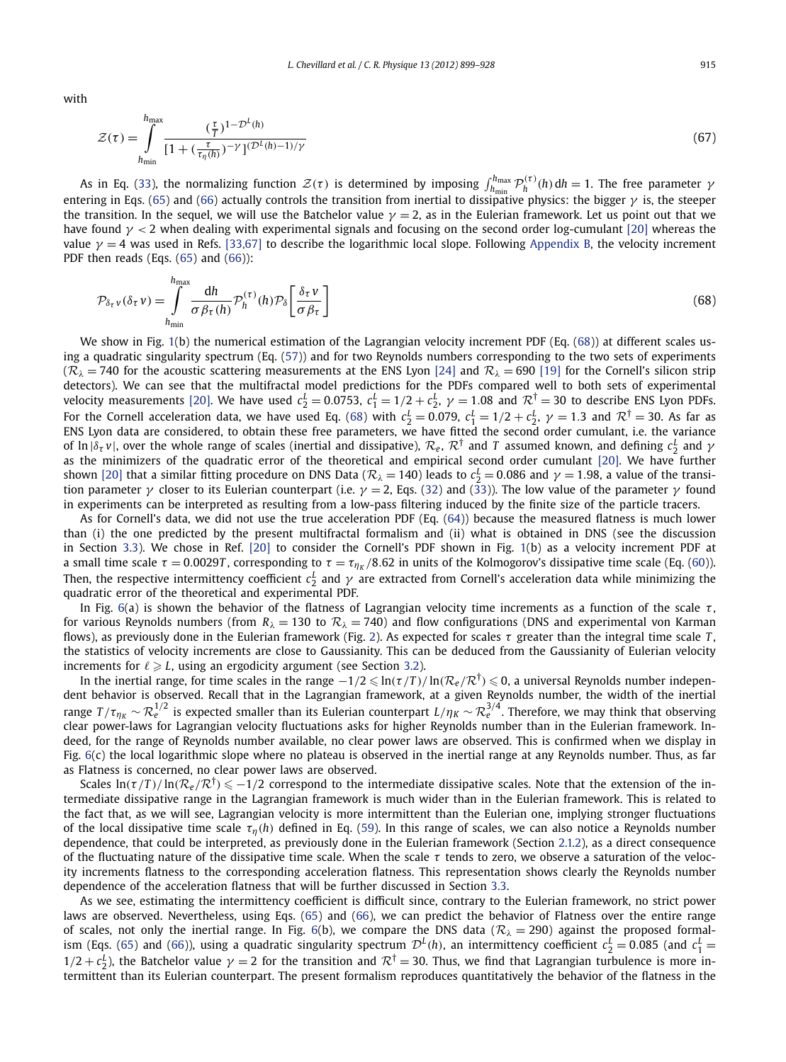with

$$
\mathcal{Z}(\tau) = \int_{h_{\min}}^{h_{\max}} \frac{(\frac{\tau}{T})^{1 - \mathcal{D}^L(h)}}{[1 + (\frac{\tau}{\tau_{\eta}(h)})^{-\gamma}]^{(\mathcal{D}^L(h) - 1)/\gamma}}
$$
(67)

As in Eq. [\(33\)](#page-9-0), the normalizing function  $\mathcal{Z}(\tau)$  is determined by imposing  $\int_{h_{\min}}^{h_{\max}} \mathcal{P}_h^{(\tau)}(h) dh = 1$ . The free parameter  $\gamma$ entering in Eqs. [\(65\)](#page-15-0) and [\(66\)](#page-15-0) actually controls the transition from inertial to dissipative physics: the bigger  $\gamma$  is, the steeper the transition. In the sequel, we will use the Batchelor value  $\gamma = 2$ , as in the Eulerian framework. Let us point out that we have found *γ <* 2 when dealing with experimental signals and focusing on the second order log-cumulant [\[20\]](#page-27-0) whereas the value  $\gamma = 4$  was used in Refs. [\[33,67\]](#page-28-0) to describe the logarithmic local slope. Following [Appendix B,](#page-27-0) the velocity increment PDF then reads (Eqs. [\(65\)](#page-15-0) and [\(66\)](#page-15-0)):

$$
\mathcal{P}_{\delta_{\tau} \nu}(\delta_{\tau} \nu) = \int_{h_{\min}}^{h_{\max}} \frac{dh}{\sigma \beta_{\tau}(h)} \mathcal{P}_h^{(\tau)}(h) \mathcal{P}_{\delta} \left[ \frac{\delta_{\tau} \nu}{\sigma \beta_{\tau}} \right]
$$
(68)

We show in Fig. [1\(](#page-2-0)b) the numerical estimation of the Lagrangian velocity increment PDF (Eq. (68)) at different scales using a quadratic singularity spectrum (Eq. [\(57\)](#page-14-0)) and for two Reynolds numbers corresponding to the two sets of experiments  $(\mathcal{R}_{\lambda} = 740$  for the acoustic scattering measurements at the ENS Lyon [\[24\]](#page-28-0) and  $\mathcal{R}_{\lambda} = 690$  [\[19\]](#page-27-0) for the Cornell's silicon strip detectors). We can see that the multifractal model predictions for the PDFs compared well to both sets of experimental velocity measurements [\[20\].](#page-27-0) We have used  $c_2^L = 0.0753$ ,  $c_1^L = 1/2 + c_2^L$ ,  $\gamma = 1.08$  and  $\mathcal{R}^\dagger = 30$  to describe ENS Lyon PDFs. For the Cornell acceleration data, we have used Eq. (68) with  $c_2^L = 0.079$ ,  $c_1^L = 1/2 + c_2^L$ ,  $\gamma = 1.3$  and  $\mathcal{R}^\dagger = 30$ . As far as ENS Lyon data are considered, to obtain these free parameters, we have fitted the second order cumulant, i.e. the variance of ln  $|\delta_{\tau} v|$ , over the whole range of scales (inertial and dissipative),  $\mathcal{R}_e$ ,  $\mathcal{R}^{\dagger}$  and *T* assumed known, and defining  $c_2^L$  and *γ* as the minimizers of the quadratic error of the theoretical and empirical second order cumulant [\[20\].](#page-27-0) We have further shown [\[20\]](#page-27-0) that a similar fitting procedure on DNS Data ( $\mathcal{R}_\lambda$  = 140) leads to  $c_L^L$  = 0.086 and  $\gamma$  = 1.98, a value of the transition parameter *γ* closer to its Eulerian counterpart (i.e. *γ* = 2, Eqs. [\(32\)](#page-9-0) and [\(33\)](#page-9-0)). The low value of the parameter *γ* found in experiments can be interpreted as resulting from a low-pass filtering induced by the finite size of the particle tracers.

As for Cornell's data, we did not use the true acceleration PDF (Eq. [\(64\)](#page-15-0)) because the measured flatness is much lower than (i) the one predicted by the present multifractal formalism and (ii) what is obtained in DNS (see the discussion in Section [3.3\)](#page-20-0). We chose in Ref. [\[20\]](#page-27-0) to consider the Cornell's PDF shown in Fig. [1\(](#page-2-0)b) as a velocity increment PDF at a small time scale *τ* = 0.0029*T*, corresponding to *τ* =  $\tau_{\eta_K}/8.62$  in units of the Kolmogorov's dissipative time scale (Eq. [\(60\)](#page-15-0)). Then, the respective intermittency coefficient  $c_2^L$  and  $\gamma$  are extracted from Cornell's acceleration data while minimizing the quadratic error of the theoretical and experimental PDF.

In Fig. [6\(](#page-17-0)a) is shown the behavior of the flatness of Lagrangian velocity time increments as a function of the scale *τ*, for various Reynolds numbers (from  $R_\lambda$  = 130 to  $R_\lambda$  = 740) and flow configurations (DNS and experimental von Karman flows), as previously done in the Eulerian framework (Fig. [2\)](#page-3-0). As expected for scales *τ* greater than the integral time scale *T* , the statistics of velocity increments are close to Gaussianity. This can be deduced from the Gaussianity of Eulerian velocity increments for  $\ell \geq L$ , using an ergodicity argument (see Section [3.2\)](#page-17-0).

In the inertial range, for time scales in the range  $-1/2 \leqslant \ln(\tau/T)/\ln(\mathcal{R}_e/\mathcal{R}^\dagger) \leqslant 0$ , a universal Reynolds number independent behavior is observed. Recall that in the Lagrangian framework, at a given Reynolds number, the width of the inertial range  $T/\tau_{\eta_K}\sim \mathcal{R}^{1/2}_e$  is expected smaller than its Eulerian counterpart  $L/\eta_K\sim \mathcal{R}^{3/4}_e$ . Therefore, we may think that observing clear power-laws for Lagrangian velocity fluctuations asks for higher Reynolds number than in the Eulerian framework. Indeed, for the range of Reynolds number available, no clear power laws are observed. This is confirmed when we display in Fig. [6\(](#page-17-0)c) the local logarithmic slope where no plateau is observed in the inertial range at any Reynolds number. Thus, as far as Flatness is concerned, no clear power laws are observed.

Scales  $\ln(\tau/T)/\ln(\mathcal{R}_e/\mathcal{R}^{\dagger}) \le -1/2$  correspond to the intermediate dissipative scales. Note that the extension of the intermediate dissipative range in the Lagrangian framework is much wider than in the Eulerian framework. This is related to the fact that, as we will see, Lagrangian velocity is more intermittent than the Eulerian one, implying stronger fluctuations of the local dissipative time scale  $\tau_n(h)$  defined in Eq. [\(59\)](#page-15-0). In this range of scales, we can also notice a Reynolds number dependence, that could be interpreted, as previously done in the Eulerian framework (Section [2.1.2\)](#page-5-0), as a direct consequence of the fluctuating nature of the dissipative time scale. When the scale *τ* tends to zero, we observe a saturation of the velocity increments flatness to the corresponding acceleration flatness. This representation shows clearly the Reynolds number dependence of the acceleration flatness that will be further discussed in Section [3.3.](#page-20-0)

As we see, estimating the intermittency coefficient is difficult since, contrary to the Eulerian framework, no strict power laws are observed. Nevertheless, using Eqs. [\(65\)](#page-15-0) and [\(66\)](#page-15-0), we can predict the behavior of Flatness over the entire range of scales, not only the inertial range. In Fig. [6\(](#page-17-0)b), we compare the DNS data ( $\mathcal{R}_{\lambda}$  = 290) against the proposed formal-ism (Eqs. [\(65\)](#page-15-0) and [\(66\)](#page-15-0)), using a quadratic singularity spectrum  $\mathcal{D}^L(h)$ , an intermittency coefficient  $c_2^L=0.085$  (and  $c_1^L=$  $1/2 + c_2^L$ ), the Batchelor value  $\gamma = 2$  for the transition and  $\mathcal{R}^{\dagger} = 30$ . Thus, we find that Lagrangian turbulence is more intermittent than its Eulerian counterpart. The present formalism reproduces quantitatively the behavior of the flatness in the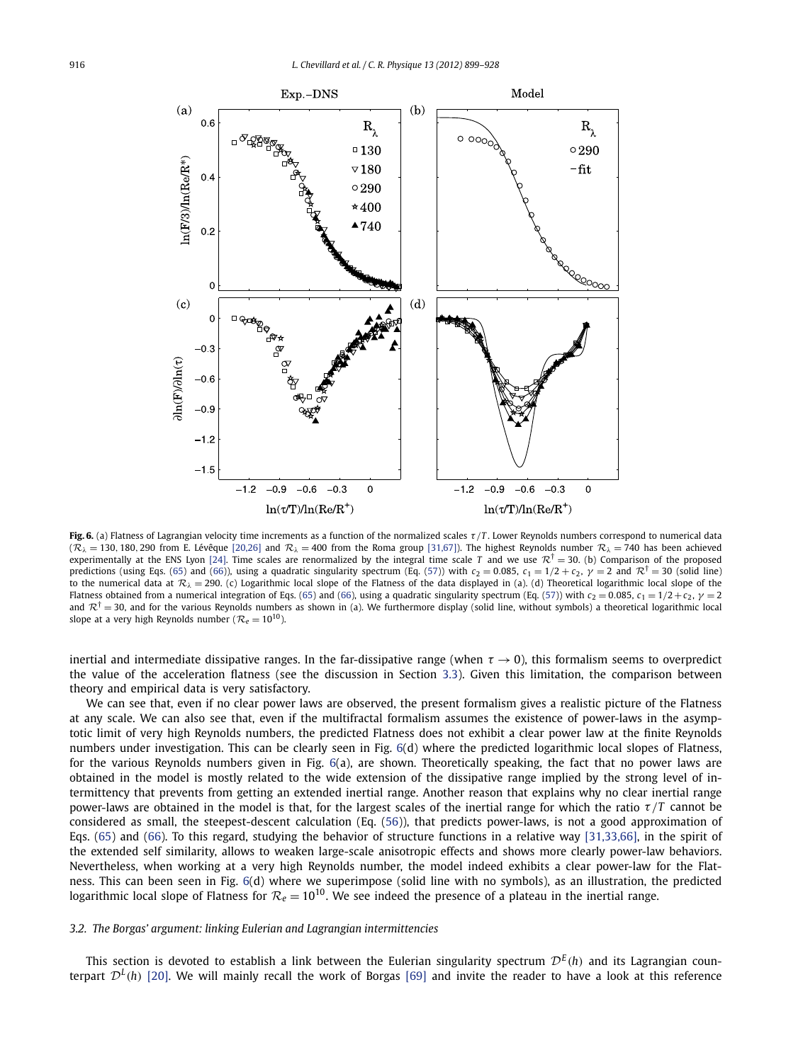<span id="page-17-0"></span>

**Fig. 6.** (a) Flatness of Lagrangian velocity time increments as a function of the normalized scales *τ /T* . Lower Reynolds numbers correspond to numerical data  $(\mathcal{R}_{\lambda} = 130, 180, 290$  from E. Lévêque [\[20,26\]](#page-27-0) and  $\mathcal{R}_{\lambda} = 400$  from the Roma group [\[31,67\]\)](#page-28-0). The highest Reynolds number  $\mathcal{R}_{\lambda} = 740$  has been achieved experimentally at the ENS Lyon [\[24\].](#page-28-0) Time scales are renormalized by the integral time scale *T* and we use  $\mathcal{R}^{\dagger} = 30$ . (b) Comparison of the proposed predictions (using Eqs. [\(65\)](#page-15-0) and [\(66\)](#page-15-0)), using a quadratic singularity spectrum (Eq. [\(57\)](#page-14-0)) with  $c_2 = 0.085$ ,  $c_1 = 1/2 + c_2$ ,  $\gamma = 2$  and  $\mathcal{R}^{\dagger} = 30$  (solid line) to the numerical data at  $\mathcal{R}_{\lambda} = 290$ . (c) Logarithmic local slope of the Flatness of the data displayed in (a). (d) Theoretical logarithmic local slope of the Flatness obtained from a numerical integration of Eqs. [\(65\)](#page-15-0) and [\(66\)](#page-15-0), using a quadratic singularity spectrum (Eq. [\(57\)](#page-14-0)) with  $c_2 = 0.085$ ,  $c_1 = 1/2 + c_2$ ,  $\gamma = 2$ and  $\mathcal{R}^{\dagger} = 30$ , and for the various Reynolds numbers as shown in (a). We furthermore display (solid line, without symbols) a theoretical logarithmic local slope at a very high Reynolds number ( $\mathcal{R}_e = 10^{10}$ ).

inertial and intermediate dissipative ranges. In the far-dissipative range (when  $\tau \to 0$ ), this formalism seems to overpredict the value of the acceleration flatness (see the discussion in Section [3.3\)](#page-20-0). Given this limitation, the comparison between theory and empirical data is very satisfactory.

We can see that, even if no clear power laws are observed, the present formalism gives a realistic picture of the Flatness at any scale. We can also see that, even if the multifractal formalism assumes the existence of power-laws in the asymptotic limit of very high Reynolds numbers, the predicted Flatness does not exhibit a clear power law at the finite Reynolds numbers under investigation. This can be clearly seen in Fig. 6(d) where the predicted logarithmic local slopes of Flatness, for the various Reynolds numbers given in Fig. 6(a), are shown. Theoretically speaking, the fact that no power laws are obtained in the model is mostly related to the wide extension of the dissipative range implied by the strong level of intermittency that prevents from getting an extended inertial range. Another reason that explains why no clear inertial range power-laws are obtained in the model is that, for the largest scales of the inertial range for which the ratio *τ /T* cannot be considered as small, the steepest-descent calculation (Eq. [\(56\)](#page-14-0)), that predicts power-laws, is not a good approximation of Eqs. [\(65\)](#page-15-0) and [\(66\)](#page-15-0). To this regard, studying the behavior of structure functions in a relative way [\[31,33,66\],](#page-28-0) in the spirit of the extended self similarity, allows to weaken large-scale anisotropic effects and shows more clearly power-law behaviors. Nevertheless, when working at a very high Reynolds number, the model indeed exhibits a clear power-law for the Flatness. This can been seen in Fig. 6(d) where we superimpose (solid line with no symbols), as an illustration, the predicted logarithmic local slope of Flatness for  $\mathcal{R}_e = 10^{10}$ . We see indeed the presence of a plateau in the inertial range.

#### *3.2. The Borgas' argument: linking Eulerian and Lagrangian intermittencies*

This section is devoted to establish a link between the Eulerian singularity spectrum  $\mathcal{D}^E(h)$  and its Lagrangian counterpart  $\mathcal{D}^L(h)$  [\[20\].](#page-27-0) We will mainly recall the work of Borgas [\[69\]](#page-28-0) and invite the reader to have a look at this reference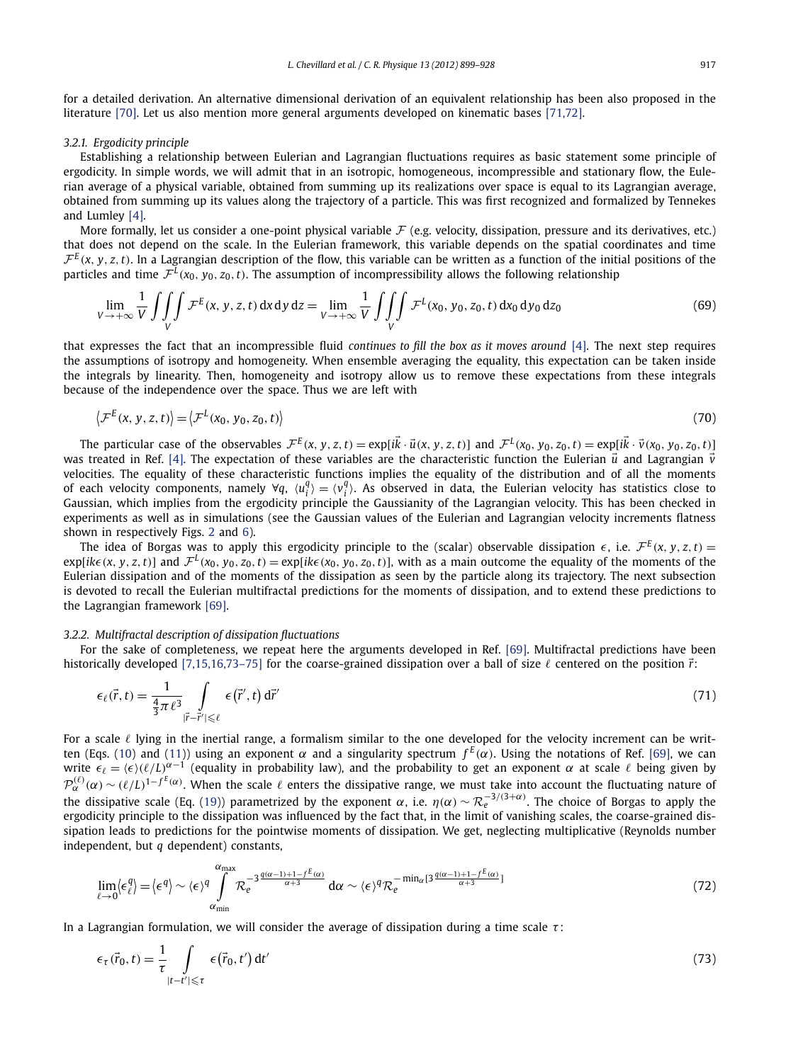<span id="page-18-0"></span>for a detailed derivation. An alternative dimensional derivation of an equivalent relationship has been also proposed in the literature [\[70\].](#page-28-0) Let us also mention more general arguments developed on kinematic bases [\[71,72\].](#page-28-0)

# *3.2.1. Ergodicity principle*

Establishing a relationship between Eulerian and Lagrangian fluctuations requires as basic statement some principle of ergodicity. In simple words, we will admit that in an isotropic, homogeneous, incompressible and stationary flow, the Eulerian average of a physical variable, obtained from summing up its realizations over space is equal to its Lagrangian average, obtained from summing up its values along the trajectory of a particle. This was first recognized and formalized by Tennekes and Lumley [\[4\].](#page-27-0)

More formally, let us consider a one-point physical variable  $\mathcal F$  (e.g. velocity, dissipation, pressure and its derivatives, etc.) that does not depend on the scale. In the Eulerian framework, this variable depends on the spatial coordinates and time  $\mathcal{F}^E(x, y, z, t)$ . In a Lagrangian description of the flow, this variable can be written as a function of the initial positions of the particles and time  $\mathcal{F}^{\mathcal{I}}(x_0, y_0, z_0, t)$ . The assumption of incompressibility allows the following relationship

$$
\lim_{V \to +\infty} \frac{1}{V} \iiint_{V} \mathcal{F}^{E}(x, y, z, t) dx dy dz = \lim_{V \to +\infty} \frac{1}{V} \iiint_{V} \mathcal{F}^{L}(x_0, y_0, z_0, t) dx_0 dy_0 dz_0
$$
(69)

that expresses the fact that an incompressible fluid *continues to fill the box as it moves around* [\[4\].](#page-27-0) The next step requires the assumptions of isotropy and homogeneity. When ensemble averaging the equality, this expectation can be taken inside the integrals by linearity. Then, homogeneity and isotropy allow us to remove these expectations from these integrals because of the independence over the space. Thus we are left with

$$
\left\langle \mathcal{F}^{E}(x, y, z, t) \right\rangle = \left\langle \mathcal{F}^{L}(x_0, y_0, z_0, t) \right\rangle \tag{70}
$$

The particular case of the observables  $\mathcal{F}^E(x, y, z, t) = \exp[i\vec{k} \cdot \vec{u}(x, y, z, t)]$  and  $\mathcal{F}^L(x_0, y_0, z_0, t) = \exp[i\vec{k} \cdot \vec{v}(x_0, y_0, z_0, t)]$ was treated in Ref. [\[4\].](#page-27-0) The expectation of these variables are the characteristic function the Eulerian  $\vec{u}$  and Lagrangian  $\vec{v}$ velocities. The equality of these characteristic functions implies the equality of the distribution and of all the moments of each velocity components, namely  $\forall q, \langle u_i^q \rangle = \langle v_i^q \rangle$ . As observed in data, the Eulerian velocity has statistics close to Gaussian, which implies from the ergodicity principle the Gaussianity of the Lagrangian velocity. This has been checked in experiments as well as in simulations (see the Gaussian values of the Eulerian and Lagrangian velocity increments flatness shown in respectively Figs. [2](#page-3-0) and [6\)](#page-17-0).

The idea of Borgas was to apply this ergodicity principle to the (scalar) observable dissipation  $\epsilon$ , i.e.  $\mathcal{F}^E(x, y, z, t) =$  $exp[i\kappa(x, y, z, t)]$  and  $\mathcal{F}^L(x_0, y_0, z_0, t) = exp[i\kappa(x_0, y_0, z_0, t)]$ , with as a main outcome the equality of the moments of the Eulerian dissipation and of the moments of the dissipation as seen by the particle along its trajectory. The next subsection is devoted to recall the Eulerian multifractal predictions for the moments of dissipation, and to extend these predictions to the Lagrangian framework [\[69\].](#page-28-0)

# *3.2.2. Multifractal description of dissipation fluctuations*

For the sake of completeness, we repeat here the arguments developed in Ref. [\[69\].](#page-28-0) Multifractal predictions have been historically developed [\[7,15,16,73–75\]](#page-27-0) for the coarse-grained dissipation over a ball of size  $\ell$  centered on the position  $\vec{r}$ :

$$
\epsilon_{\ell}(\vec{r},t) = \frac{1}{\frac{4}{3}\pi \ell^3} \int\limits_{|\vec{r}-\vec{r}'| \leq \ell} \epsilon(\vec{r}',t) d\vec{r}' \tag{71}
$$

For a scale  $\ell$  lying in the inertial range, a formalism similar to the one developed for the velocity increment can be writ-ten (Eqs. [\(10\)](#page-4-0) and [\(11\)](#page-4-0)) using an exponent *α* and a singularity spectrum  $f<sup>E</sup>(α)$ . Using the notations of Ref. [\[69\],](#page-28-0) we can write  $\epsilon_{\ell} = \langle \epsilon \rangle (\ell/L)^{\alpha-1}$  (equality in probability law), and the probability to get an exponent  $\alpha$  at scale  $\ell$  being given by  $\mathcal{P}_{\alpha}^{(\ell)}(\alpha) \sim (\ell/L)^{1-f^E(\alpha)}$ . When the scale  $\ell$  enters the dissipative range, we must take into account the fluctuating nature of the dissipative scale (Eq. [\(19\)](#page-6-0)) parametrized by the exponent *α*, i.e.  $η(α) \sim R_e^{-3/(3+α)}$ . The choice of Borgas to apply the ergodicity principle to the dissipation was influenced by the fact that, in the limit of vanishing scales, the coarse-grained dissipation leads to predictions for the pointwise moments of dissipation. We get, neglecting multiplicative (Reynolds number independent, but *q* dependent) constants,

$$
\lim_{\ell \to 0} \langle \epsilon_{\ell}^q \rangle = \langle \epsilon^q \rangle \sim \langle \epsilon \rangle^q \int_{\alpha_{\min}}^{\alpha_{\max}} \mathcal{R}_e^{-3 \frac{q(\alpha - 1) + 1 - f^E(\alpha)}{\alpha + 3}} d\alpha \sim \langle \epsilon \rangle^q \mathcal{R}_e^{-\min_{\alpha} \left[ 3 \frac{q(\alpha - 1) + 1 - f^E(\alpha)}{\alpha + 3} \right]}
$$
(72)

In a Lagrangian formulation, we will consider the average of dissipation during a time scale *τ* :

$$
\epsilon_{\tau}(\vec{r}_0, t) = \frac{1}{\tau} \int_{|t - t'| \leq \tau} \epsilon(\vec{r}_0, t') dt'
$$
\n(73)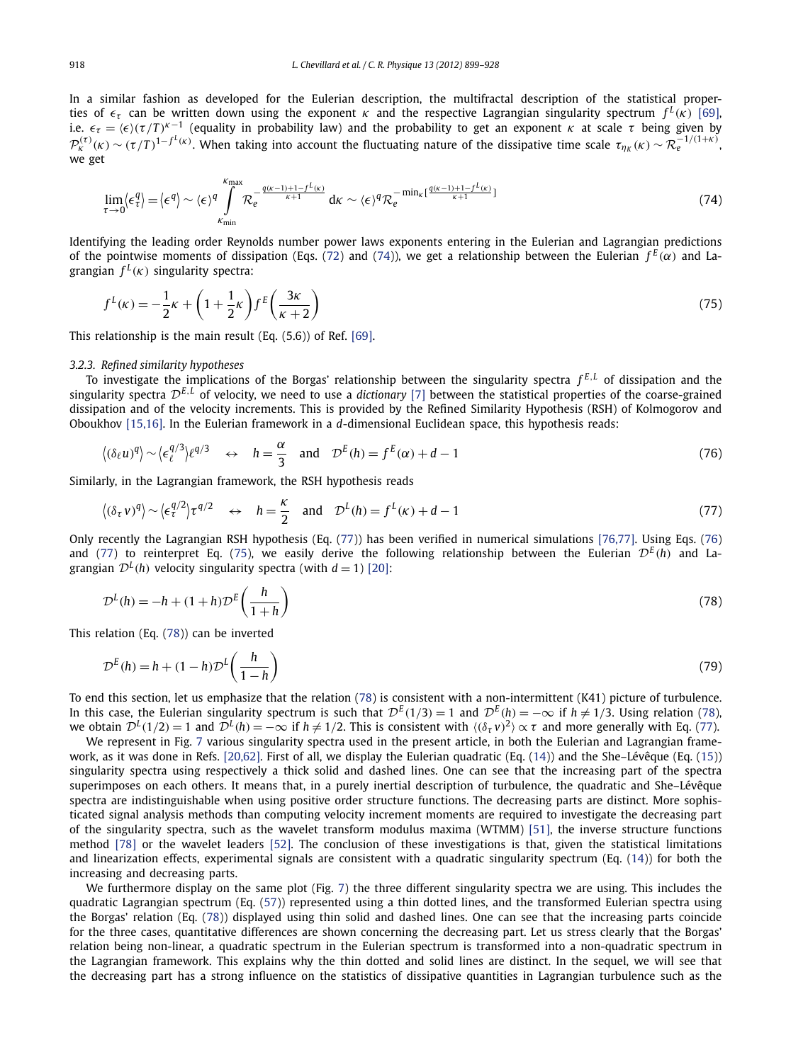<span id="page-19-0"></span>In a similar fashion as developed for the Eulerian description, the multifractal description of the statistical properties of  $\epsilon_{\tau}$  can be written down using the exponent *κ* and the respective Lagrangian singularity spectrum  $f^L$ (*κ*) [\[69\],](#page-28-0) i.e.  $\epsilon_{\tau} = \langle \epsilon \rangle (\tau/T)^{\kappa-1}$  (equality in probability law) and the probability to get an exponent  $\kappa$  at scale  $\tau$  being given by  $\mathcal{P}_{\kappa}^{(\tau)}(\kappa) \sim (\tau/T)^{1-f^L(\kappa)}$ . When taking into account the fluctuating nature of the dissipative time scale  $\tau_{\eta_K}(\kappa) \sim \mathcal{R}_e^{-1/(1+\kappa)}$ we get

$$
\lim_{\tau \to 0} \langle \epsilon^q_\tau \rangle = \langle \epsilon^q \rangle \sim \langle \epsilon \rangle^q \int_{K_{\min}}^{K_{\max}} \mathcal{R}_e^{-\frac{q(\kappa - 1) + 1 - f^L(\kappa)}{\kappa + 1}} d\kappa \sim \langle \epsilon \rangle^q \mathcal{R}_e^{-\min_{\kappa} \left[ \frac{q(\kappa - 1) + 1 - f^L(\kappa)}{\kappa + 1} \right]}
$$
(74)

Identifying the leading order Reynolds number power laws exponents entering in the Eulerian and Lagrangian predictions of the pointwise moments of dissipation (Eqs. [\(72\)](#page-18-0) and (74)), we get a relationship between the Eulerian  $f^E(\alpha)$  and Lagrangian  $f^L(\kappa)$  singularity spectra:

$$
f^{L}(\kappa) = -\frac{1}{2}\kappa + \left(1 + \frac{1}{2}\kappa\right)f^{E}\left(\frac{3\kappa}{\kappa + 2}\right)
$$
\n(75)

This relationship is the main result (Eq. (5.6)) of Ref. [\[69\].](#page-28-0)

### *3.2.3. Refined similarity hypotheses*

To investigate the implications of the Borgas' relationship between the singularity spectra *f <sup>E</sup>,<sup>L</sup>* of dissipation and the singularity spectra  $\mathcal{D}^{E,L}$  of velocity, we need to use a *dictionary* [\[7\]](#page-27-0) between the statistical properties of the coarse-grained dissipation and of the velocity increments. This is provided by the Refined Similarity Hypothesis (RSH) of Kolmogorov and Oboukhov [\[15,16\].](#page-27-0) In the Eulerian framework in a *d*-dimensional Euclidean space, this hypothesis reads:

$$
\left\langle (\delta_{\ell}u)^q \right\rangle \sim \left\langle \epsilon_{\ell}^{q/3} \right\rangle \ell^{q/3} \quad \leftrightarrow \quad h = \frac{\alpha}{3} \quad \text{and} \quad \mathcal{D}^E(h) = f^E(\alpha) + d - 1 \tag{76}
$$

Similarly, in the Lagrangian framework, the RSH hypothesis reads

$$
\left\langle (\delta_{\tau} v)^q \right\rangle \sim \left\langle \epsilon_{\tau}^{q/2} \right\rangle \tau^{q/2} \quad \leftrightarrow \quad h = \frac{\kappa}{2} \quad \text{and} \quad \mathcal{D}^L(h) = f^L(\kappa) + d - 1 \tag{77}
$$

Only recently the Lagrangian RSH hypothesis (Eq. (77)) has been verified in numerical simulations [\[76,77\].](#page-29-0) Using Eqs. (76) and (77) to reinterpret Eq. (75), we easily derive the following relationship between the Eulerian  $\mathcal{D}^{E}(h)$  and Lagrangian  $\mathcal{D}^{L}(h)$  velocity singularity spectra (with  $d = 1$ ) [\[20\]:](#page-27-0)

$$
\mathcal{D}^{L}(h) = -h + (1+h)\mathcal{D}^{E}\left(\frac{h}{1+h}\right)
$$
\n(78)

This relation (Eq. (78)) can be inverted

$$
\mathcal{D}^{E}(h) = h + (1 - h)\mathcal{D}^{L}\left(\frac{h}{1 - h}\right)
$$
\n(79)

To end this section, let us emphasize that the relation (78) is consistent with a non-intermittent (K41) picture of turbulence. In this case, the Eulerian singularity spectrum is such that  $D^{E}(1/3) = 1$  and  $D^{E}(h) = −∞$  if  $h ≠ 1/3$ . Using relation (78), we obtain  $\mathcal{D}^L(1/2) = 1$  and  $\mathcal{D}^L(h) = -\infty$  if  $h \neq 1/2$ . This is consistent with  $(\delta_\tau v)^2 \propto \tau$  and more generally with Eq. (77).

We represent in Fig. [7](#page-20-0) various singularity spectra used in the present article, in both the Eulerian and Lagrangian framework, as it was done in Refs. [\[20,62\].](#page-27-0) First of all, we display the Eulerian quadratic (Eq. [\(14\)](#page-4-0)) and the She–Lévêque (Eq. [\(15\)](#page-5-0)) singularity spectra using respectively a thick solid and dashed lines. One can see that the increasing part of the spectra superimposes on each others. It means that, in a purely inertial description of turbulence, the quadratic and She–Lévêque spectra are indistinguishable when using positive order structure functions. The decreasing parts are distinct. More sophisticated signal analysis methods than computing velocity increment moments are required to investigate the decreasing part of the singularity spectra, such as the wavelet transform modulus maxima (WTMM) [\[51\],](#page-28-0) the inverse structure functions method [\[78\]](#page-29-0) or the wavelet leaders [\[52\].](#page-28-0) The conclusion of these investigations is that, given the statistical limitations and linearization effects, experimental signals are consistent with a quadratic singularity spectrum (Eq. [\(14\)](#page-4-0)) for both the increasing and decreasing parts.

We furthermore display on the same plot (Fig. [7\)](#page-20-0) the three different singularity spectra we are using. This includes the quadratic Lagrangian spectrum (Eq. [\(57\)](#page-14-0)) represented using a thin dotted lines, and the transformed Eulerian spectra using the Borgas' relation (Eq. (78)) displayed using thin solid and dashed lines. One can see that the increasing parts coincide for the three cases, quantitative differences are shown concerning the decreasing part. Let us stress clearly that the Borgas' relation being non-linear, a quadratic spectrum in the Eulerian spectrum is transformed into a non-quadratic spectrum in the Lagrangian framework. This explains why the thin dotted and solid lines are distinct. In the sequel, we will see that the decreasing part has a strong influence on the statistics of dissipative quantities in Lagrangian turbulence such as the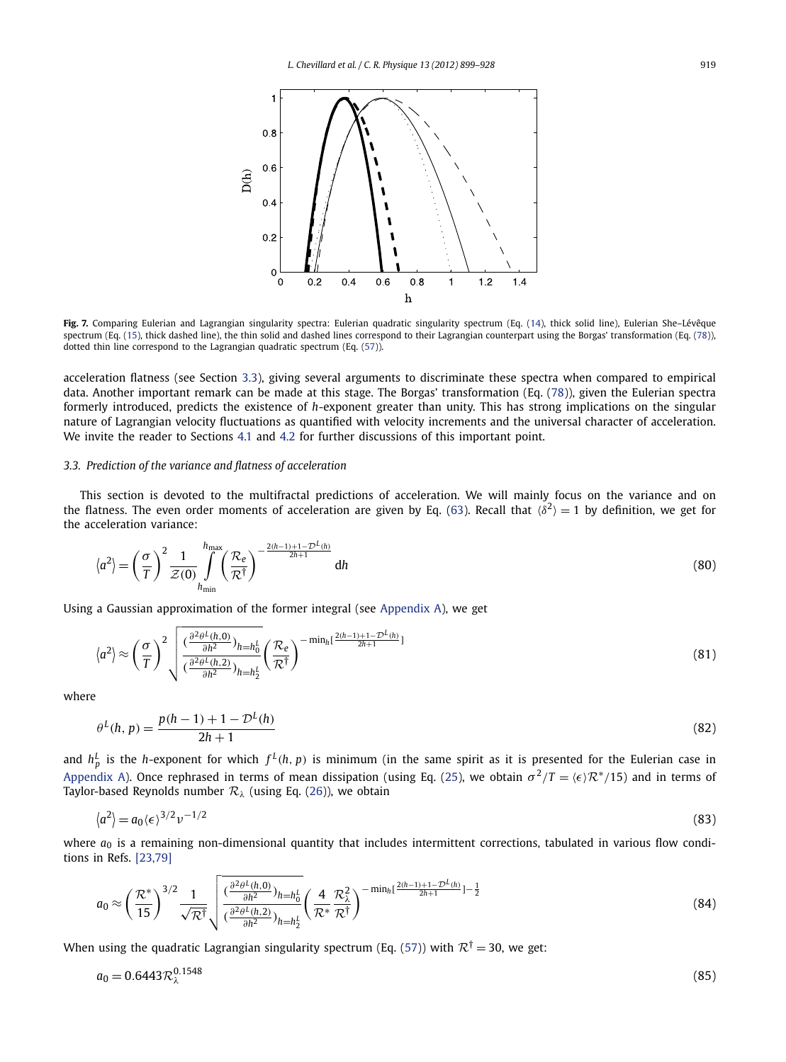<span id="page-20-0"></span>

**Fig. 7.** Comparing Eulerian and Lagrangian singularity spectra: Eulerian quadratic singularity spectrum (Eq. [\(14\)](#page-4-0), thick solid line), Eulerian She–Lévêque spectrum (Eq. [\(15\)](#page-5-0), thick dashed line), the thin solid and dashed lines correspond to their Lagrangian counterpart using the Borgas' transformation (Eq. [\(78\)](#page-19-0)), dotted thin line correspond to the Lagrangian quadratic spectrum (Eq. [\(57\)](#page-14-0)).

acceleration flatness (see Section 3.3), giving several arguments to discriminate these spectra when compared to empirical data. Another important remark can be made at this stage. The Borgas' transformation (Eq. [\(78\)](#page-19-0)), given the Eulerian spectra formerly introduced, predicts the existence of *h*-exponent greater than unity. This has strong implications on the singular nature of Lagrangian velocity fluctuations as quantified with velocity increments and the universal character of acceleration. We invite the reader to Sections [4.1](#page-22-0) and [4.2](#page-23-0) for further discussions of this important point.

# *3.3. Prediction of the variance and flatness of acceleration*

This section is devoted to the multifractal predictions of acceleration. We will mainly focus on the variance and on the flatness. The even order moments of acceleration are given by Eq. [\(63\)](#page-15-0). Recall that  $\langle \delta^2 \rangle = 1$  by definition, we get for the acceleration variance:

$$
\langle a^2 \rangle = \left(\frac{\sigma}{T}\right)^2 \frac{1}{\mathcal{Z}(0)} \int_{h_{\min}}^{h_{\max}} \left(\frac{\mathcal{R}_e}{\mathcal{R}^\dagger}\right)^{-\frac{2(h-1)+1-\mathcal{D}^L(h)}{2h+1}} dh
$$
\n(80)

Using a Gaussian approximation of the former integral (see [Appendix A\)](#page-26-0), we get

$$
\left\langle a^{2}\right\rangle \approx \left(\frac{\sigma}{T}\right)^{2} \sqrt{\frac{\left(\frac{\partial^{2}\theta^{L}(h,0)}{\partial h^{2}}\right)_{h=h_{0}^{L}}}{\left(\frac{\partial^{2}\theta^{L}(h,2)}{\partial h^{2}}\right)_{h=h_{2}^{L}}}\left(\frac{\mathcal{R}_{e}}{\mathcal{R}^{\dagger}}\right)^{-\min_{h}\left[\frac{2(h-1)+1-\mathcal{D}^{L}(h)}{2h+1}\right]}
$$
\n(81)

where

$$
\theta^{L}(h, p) = \frac{p(h-1) + 1 - \mathcal{D}^{L}(h)}{2h + 1}
$$
\n(82)

and  $h_p^L$  is the *h*-exponent for which  $f^L(h, p)$  is minimum (in the same spirit as it is presented for the Eulerian case in [Appendix A\)](#page-26-0). Once rephrased in terms of mean dissipation (using Eq. [\(25\)](#page-7-0), we obtain  $\sigma^2/T = \langle \epsilon \rangle \mathcal{R}^*/15$ ) and in terms of Taylor-based Reynolds number  $\mathcal{R}_{\lambda}$  (using Eq. [\(26\)](#page-7-0)), we obtain

$$
\langle a^2 \rangle = a_0 \langle \epsilon \rangle^{3/2} \nu^{-1/2} \tag{83}
$$

where  $a_0$  is a remaining non-dimensional quantity that includes intermittent corrections, tabulated in various flow conditions in Refs. [\[23,79\]](#page-28-0)

$$
a_0 \approx \left(\frac{\mathcal{R}^*}{15}\right)^{3/2} \frac{1}{\sqrt{\mathcal{R}^{\dagger}}} \sqrt{\frac{\left(\frac{\partial^2 \theta^L(h,0)}{\partial h^2}\right)_{h=h_0^L}}{\left(\frac{\partial^2 \theta^L(h,2)}{\partial h^2}\right)_{h=h_2^L}} \left(\frac{4}{\mathcal{R}^*} \frac{\mathcal{R}_{\lambda}^2}{\mathcal{R}^{\dagger}}\right)^{-\min_{h} \left[\frac{2(h-1)+1-\mathcal{D}^L(h)}{2h+1}\right]-\frac{1}{2}} \tag{84}
$$

When using the quadratic Lagrangian singularity spectrum (Eq. [\(57\)](#page-14-0)) with  $R^{\dagger} = 30$ , we get:

$$
a_0 = 0.6443 \mathcal{R}_{\lambda}^{0.1548} \tag{85}
$$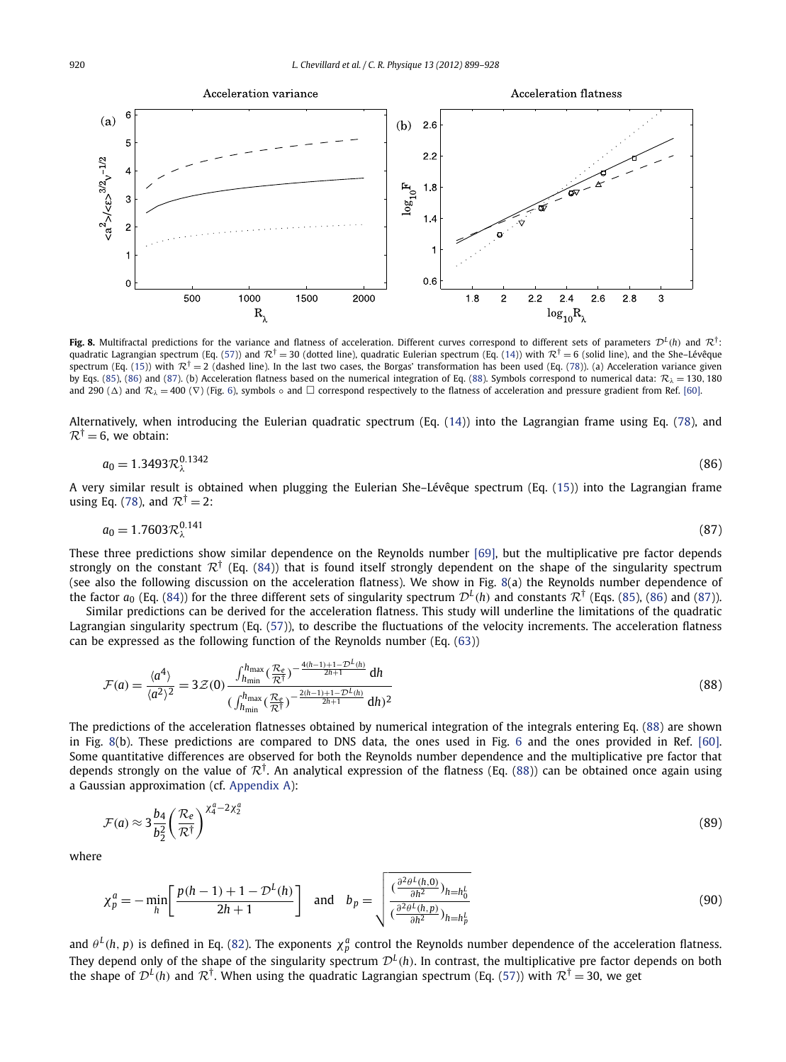<span id="page-21-0"></span>

**Fig. 8.** Multifractal predictions for the variance and flatness of acceleration. Different curves correspond to different sets of parameters  $\mathcal{D}^{L}(h)$  and  $\mathcal{R}^{\dagger}$ : quadratic Lagrangian spectrum (Eq. [\(57\)](#page-14-0)) and  $\mathcal{R}^{\dagger} = 30$  (dotted line), quadratic Eulerian spectrum (Eq. [\(14\)](#page-4-0)) with  $\mathcal{R}^{\dagger} = 6$  (solid line), and the She–Lévêque spectrum (Eq. [\(15\)](#page-5-0)) with  $\mathcal{R}^{\dagger} = 2$  (dashed line). In the last two cases, the Borgas' transformation has been used (Eq. [\(78\)](#page-19-0)). (a) Acceleration variance given by Eqs. [\(85\)](#page-20-0), (86) and (87). (b) Acceleration flatness based on the numerical integration of Eq. (88). Symbols correspond to numerical data: R*<sup>λ</sup>* = <sup>130</sup>*,* <sup>180</sup> and 290 ( $\Delta$ ) and  $\mathcal{R}_{\lambda}$  = 400 ( $\nabla$ ) (Fig. [6\)](#page-17-0), symbols  $\circ$  and  $\Box$  correspond respectively to the flatness of acceleration and pressure gradient from Ref. [\[60\].](#page-28-0)

Alternatively, when introducing the Eulerian quadratic spectrum (Eq. [\(14\)](#page-4-0)) into the Lagrangian frame using Eq. [\(78\)](#page-19-0), and  $\mathcal{R}^{\dagger} = 6$ , we obtain:

$$
a_0 = 1.3493 \mathcal{R}_{\lambda}^{0.1342} \tag{86}
$$

A very similar result is obtained when plugging the Eulerian She–Lévêque spectrum (Eq. [\(15\)](#page-5-0)) into the Lagrangian frame using Eq. [\(78\)](#page-19-0), and  $\mathcal{R}^{\dagger} = 2$ :

$$
a_0 = 1.7603 \mathcal{R}_{\lambda}^{0.141} \tag{87}
$$

These three predictions show similar dependence on the Reynolds number [\[69\],](#page-28-0) but the multiplicative pre factor depends strongly on the constant  $\mathcal{R}^{\dagger}$  (Eq. [\(84\)](#page-20-0)) that is found itself strongly dependent on the shape of the singularity spectrum (see also the following discussion on the acceleration flatness). We show in Fig. 8(a) the Reynolds number dependence of the factor  $a_0$  (Eq. [\(84\)](#page-20-0)) for the three different sets of singularity spectrum  $\mathcal{D}^L(h)$  and constants  $\mathcal{R}^{\dagger}$  (Eqs. [\(85\)](#page-20-0), (86) and (87)).

Similar predictions can be derived for the acceleration flatness. This study will underline the limitations of the quadratic Lagrangian singularity spectrum (Eq. [\(57\)](#page-14-0)), to describe the fluctuations of the velocity increments. The acceleration flatness can be expressed as the following function of the Reynolds number (Eq. [\(63\)](#page-15-0))

$$
\mathcal{F}(a) = \frac{\langle a^4 \rangle}{\langle a^2 \rangle^2} = 3\mathcal{Z}(0) \frac{\int_{h_{\min}}^{h_{\max}} (\frac{\mathcal{R}_e}{\mathcal{R}^\dagger})^{-\frac{4(h-1)+1-\mathcal{D}^L(h)}{2h+1}} dh}{\left(\int_{h_{\min}}^{h_{\max}} (\frac{\mathcal{R}_e}{\mathcal{R}^\dagger})^{-\frac{2(h-1)+1-\mathcal{D}^L(h)}{2h+1}} dh\right)^2}
$$
(88)

The predictions of the acceleration flatnesses obtained by numerical integration of the integrals entering Eq. (88) are shown in Fig. 8(b). These predictions are compared to DNS data, the ones used in Fig. [6](#page-17-0) and the ones provided in Ref. [\[60\].](#page-28-0) Some quantitative differences are observed for both the Reynolds number dependence and the multiplicative pre factor that depends strongly on the value of  $\mathcal{R}^{\dagger}$ . An analytical expression of the flatness (Eq. (88)) can be obtained once again using a Gaussian approximation (cf. [Appendix A\)](#page-26-0):

$$
\mathcal{F}(a) \approx 3 \frac{b_4}{b_2^2} \left(\frac{\mathcal{R}_e}{\mathcal{R}^\dagger}\right)^{\chi_4^a - 2\chi_2^a} \tag{89}
$$

where

$$
\chi_p^a = -\min_h \left[ \frac{p(h-1) + 1 - \mathcal{D}^L(h)}{2h + 1} \right] \quad \text{and} \quad b_p = \sqrt{\frac{(\frac{\partial^2 \theta^L(h,0)}{\partial h^2})_{h=h_0^L}}{(\frac{\partial^2 \theta^L(h,p)}{\partial h^2})_{h=h_p^L}}}
$$
(90)

and  $\theta^L(h, p)$  is defined in Eq. [\(82\)](#page-20-0). The exponents  $\chi_p^a$  control the Reynolds number dependence of the acceleration flatness. They depend only of the shape of the singularity spectrum  $\mathcal{D}^L(h)$ . In contrast, the multiplicative pre factor depends on both the shape of  $\mathcal{D}^L(h)$  and  $\mathcal{R}^{\dagger}$ . When using the quadratic Lagrangian spectrum (Eq. [\(57\)](#page-14-0)) with  $\mathcal{R}^{\dagger} = 30$ , we get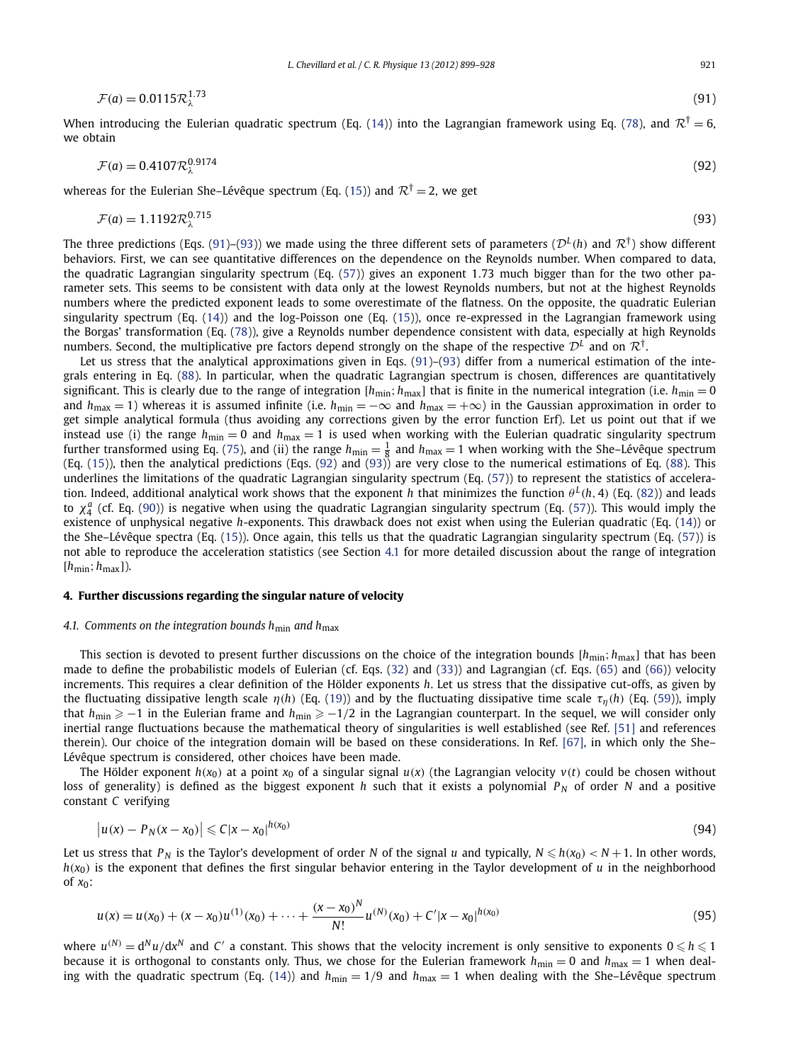<span id="page-22-0"></span>
$$
\mathcal{F}(a) = 0.0115 \mathcal{R}_{\lambda}^{1.73} \tag{91}
$$

When introducing the Eulerian quadratic spectrum (Eq. [\(14\)](#page-4-0)) into the Lagrangian framework using Eq. [\(78\)](#page-19-0), and  $\mathcal{R}^{\dagger} = 6$ . we obtain

$$
\mathcal{F}(a) = 0.4107 \mathcal{R}_{\lambda}^{0.9174} \tag{92}
$$

whereas for the Eulerian She–Lévêque spectrum (Eq. [\(15\)](#page-5-0)) and  $\mathcal{R}^{\dagger} = 2$ , we get

$$
\mathcal{F}(a) = 1.1192 \mathcal{R}_{\lambda}^{0.715} \tag{93}
$$

The three predictions (Eqs. (91)–(93)) we made using the three different sets of parameters ( $\mathcal{D}^L(h)$  and  $\mathcal{R}^{\dagger}$ ) show different behaviors. First, we can see quantitative differences on the dependence on the Reynolds number. When compared to data, the quadratic Lagrangian singularity spectrum (Eq. [\(57\)](#page-14-0)) gives an exponent 1*.*73 much bigger than for the two other parameter sets. This seems to be consistent with data only at the lowest Reynolds numbers, but not at the highest Reynolds numbers where the predicted exponent leads to some overestimate of the flatness. On the opposite, the quadratic Eulerian singularity spectrum (Eq. [\(14\)](#page-4-0)) and the log-Poisson one (Eq. [\(15\)](#page-5-0)), once re-expressed in the Lagrangian framework using the Borgas' transformation (Eq. [\(78\)](#page-19-0)), give a Reynolds number dependence consistent with data, especially at high Reynolds numbers. Second, the multiplicative pre factors depend strongly on the shape of the respective  $\mathcal{D}^L$  and on  $\mathcal{R}^{\dagger}$ .

Let us stress that the analytical approximations given in Eqs. (91)–(93) differ from a numerical estimation of the integrals entering in Eq. [\(88\)](#page-21-0). In particular, when the quadratic Lagrangian spectrum is chosen, differences are quantitatively significant. This is clearly due to the range of integration  $[h_{\min}; h_{\max}]$  that is finite in the numerical integration (i.e.  $h_{\min} = 0$ and  $h_{\text{max}} = 1$ ) whereas it is assumed infinite (i.e.  $h_{\text{min}} = -\infty$  and  $h_{\text{max}} = +\infty$ ) in the Gaussian approximation in order to get simple analytical formula (thus avoiding any corrections given by the error function Erf). Let us point out that if we instead use (i) the range  $h_{min} = 0$  and  $h_{max} = 1$  is used when working with the Eulerian quadratic singularity spectrum further transformed using Eq. [\(75\)](#page-19-0), and (ii) the range  $h_{\min} = \frac{1}{8}$  and  $h_{\max} = 1$  when working with the She–Lévêque spectrum (Eq. [\(15\)](#page-5-0)), then the analytical predictions (Eqs. (92) and (93)) are very close to the numerical estimations of Eq. [\(88\)](#page-21-0). This underlines the limitations of the quadratic Lagrangian singularity spectrum (Eq. [\(57\)](#page-14-0)) to represent the statistics of acceleration. Indeed, additional analytical work shows that the exponent *h* that minimizes the function  $\theta^L(h, 4)$  (Eq. [\(82\)](#page-20-0)) and leads to *χ<sup>a</sup>* <sup>4</sup> (cf. Eq. [\(90\)](#page-21-0)) is negative when using the quadratic Lagrangian singularity spectrum (Eq. [\(57\)](#page-14-0)). This would imply the existence of unphysical negative *h*-exponents. This drawback does not exist when using the Eulerian quadratic (Eq. [\(14\)](#page-4-0)) or the She–Lévêque spectra (Eq. [\(15\)](#page-5-0)). Once again, this tells us that the quadratic Lagrangian singularity spectrum (Eq. [\(57\)](#page-14-0)) is not able to reproduce the acceleration statistics (see Section 4.1 for more detailed discussion about the range of integration  $[h_{\min}; h_{\max}].$ 

# **4. Further discussions regarding the singular nature of velocity**

#### *4.1. Comments on the integration bounds h<sub>min</sub> and h<sub>max</sub>*

This section is devoted to present further discussions on the choice of the integration bounds  $[h_{min}; h_{max}]$  that has been made to define the probabilistic models of Eulerian (cf. Eqs. [\(32\)](#page-9-0) and [\(33\)](#page-9-0)) and Lagrangian (cf. Eqs. [\(65\)](#page-15-0) and [\(66\)](#page-15-0)) velocity increments. This requires a clear definition of the Hölder exponents *h*. Let us stress that the dissipative cut-offs, as given by the fluctuating dissipative length scale  $η(h)$  (Eq. [\(19\)](#page-6-0)) and by the fluctuating dissipative time scale  $τ<sub>n</sub>(h)$  (Eq. [\(59\)](#page-15-0)), imply that  $h_{\text{min}} \geq -1$  in the Eulerian frame and  $h_{\text{min}} \geq -1/2$  in the Lagrangian counterpart. In the sequel, we will consider only inertial range fluctuations because the mathematical theory of singularities is well established (see Ref. [\[51\]](#page-28-0) and references therein). Our choice of the integration domain will be based on these considerations. In Ref. [\[67\],](#page-28-0) in which only the She– Lévêque spectrum is considered, other choices have been made.

The Hölder exponent  $h(x_0)$  at a point  $x_0$  of a singular signal  $u(x)$  (the Lagrangian velocity  $v(t)$  could be chosen without loss of generality) is defined as the biggest exponent *h* such that it exists a polynomial *P<sub>N</sub>* of order *N* and a positive constant *C* verifying

$$
|u(x) - P_N(x - x_0)| \leq C|x - x_0|^{h(x_0)}
$$
\n(94)

Let us stress that  $P_N$  is the Taylor's development of order  $N$  of the signal  $u$  and typically,  $N \leq h(x_0) < N+1$ . In other words, *h(x*0*)* is the exponent that defines the first singular behavior entering in the Taylor development of *u* in the neighborhood of  $x_0$ :

$$
u(x) = u(x_0) + (x - x_0)u^{(1)}(x_0) + \dots + \frac{(x - x_0)^N}{N!}u^{(N)}(x_0) + C'|x - x_0|^{h(x_0)}
$$
\n(95)

where  $u^{(N)}=d^Nu/dx^N$  and  $C'$  a constant. This shows that the velocity increment is only sensitive to exponents  $0\leqslant h\leqslant 1$ because it is orthogonal to constants only. Thus, we chose for the Eulerian framework  $h_{\text{min}} = 0$  and  $h_{\text{max}} = 1$  when deal-ing with the quadratic spectrum (Eq. [\(14\)](#page-4-0)) and  $h_{\text{min}} = 1/9$  and  $h_{\text{max}} = 1$  when dealing with the She-Lévêque spectrum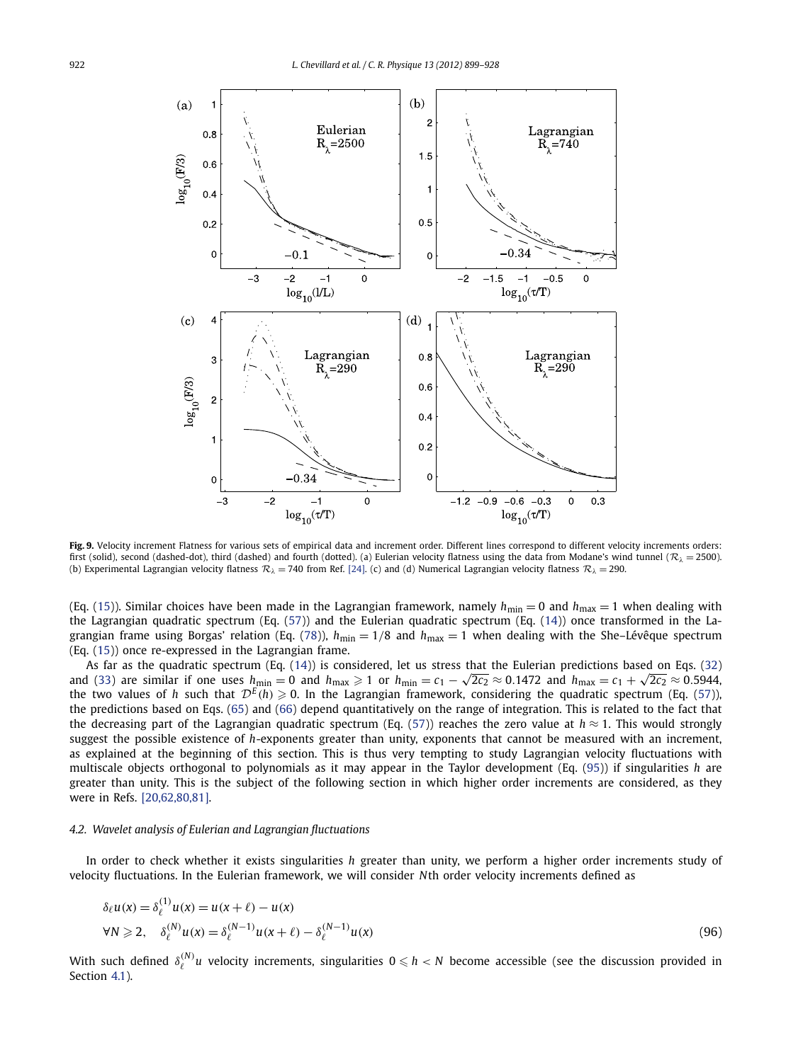<span id="page-23-0"></span>

**Fig. 9.** Velocity increment Flatness for various sets of empirical data and increment order. Different lines correspond to different velocity increments orders: first (solid), second (dashed-dot), third (dashed) and fourth (dotted). (a) Eulerian velocity flatness using the data from Modane's wind tunnel ( $\mathcal{R}_{\lambda}$  = 2500). (b) Experimental Lagrangian velocity flatness  $\mathcal{R}_{\lambda} = 740$  from Ref. [\[24\].](#page-28-0) (c) and (d) Numerical Lagrangian velocity flatness  $\mathcal{R}_{\lambda} = 290$ .

(Eq. [\(15\)](#page-5-0)). Similar choices have been made in the Lagrangian framework, namely  $h_{\min} = 0$  and  $h_{\max} = 1$  when dealing with the Lagrangian quadratic spectrum (Eq. [\(57\)](#page-14-0)) and the Eulerian quadratic spectrum (Eq. [\(14\)](#page-4-0)) once transformed in the La-grangian frame using Borgas' relation (Eq. [\(78\)](#page-19-0)),  $h_{\text{min}} = 1/8$  and  $h_{\text{max}} = 1$  when dealing with the She-Lévêque spectrum (Eq. [\(15\)](#page-5-0)) once re-expressed in the Lagrangian frame.

As far as the quadratic spectrum (Eq. [\(14\)](#page-4-0)) is considered, let us stress that the Eulerian predictions based on Eqs. [\(32\)](#page-9-0) and [\(33\)](#page-9-0) are similar if one uses  $h_{\text{min}} = 0$  and  $h_{\text{max}} \ge 1$  or  $h_{\text{min}} = c_1 - \sqrt{2c_2} \approx 0.1472$  and  $h_{\text{max}} = c_1 + \sqrt{2c_2} \approx 0.5944$ , the two values of *h* such that  $D^{E}(h) \ge 0$ . In the Lagrangian framework, considering the quadratic spectrum (Eq. [\(57\)](#page-14-0)), the predictions based on Eqs. [\(65\)](#page-15-0) and [\(66\)](#page-15-0) depend quantitatively on the range of integration. This is related to the fact that the decreasing part of the Lagrangian quadratic spectrum (Eq. [\(57\)](#page-14-0)) reaches the zero value at  $h \approx 1$ . This would strongly suggest the possible existence of *h*-exponents greater than unity, exponents that cannot be measured with an increment, as explained at the beginning of this section. This is thus very tempting to study Lagrangian velocity fluctuations with multiscale objects orthogonal to polynomials as it may appear in the Taylor development (Eq. [\(95\)](#page-22-0)) if singularities *h* are greater than unity. This is the subject of the following section in which higher order increments are considered, as they were in Refs. [\[20,62,80,81\].](#page-27-0)

#### *4.2. Wavelet analysis of Eulerian and Lagrangian fluctuations*

In order to check whether it exists singularities *h* greater than unity, we perform a higher order increments study of velocity fluctuations. In the Eulerian framework, we will consider *N*th order velocity increments defined as

$$
\delta_{\ell} u(x) = \delta_{\ell}^{(1)} u(x) = u(x + \ell) - u(x)
$$
  
\n
$$
\forall N \ge 2, \quad \delta_{\ell}^{(N)} u(x) = \delta_{\ell}^{(N-1)} u(x + \ell) - \delta_{\ell}^{(N-1)} u(x)
$$
\n(96)

With such defined  $\delta_{\ell}^{(N)}u$  velocity increments, singularities  $0 \le h < N$  become accessible (see the discussion provided in Section [4.1\)](#page-22-0).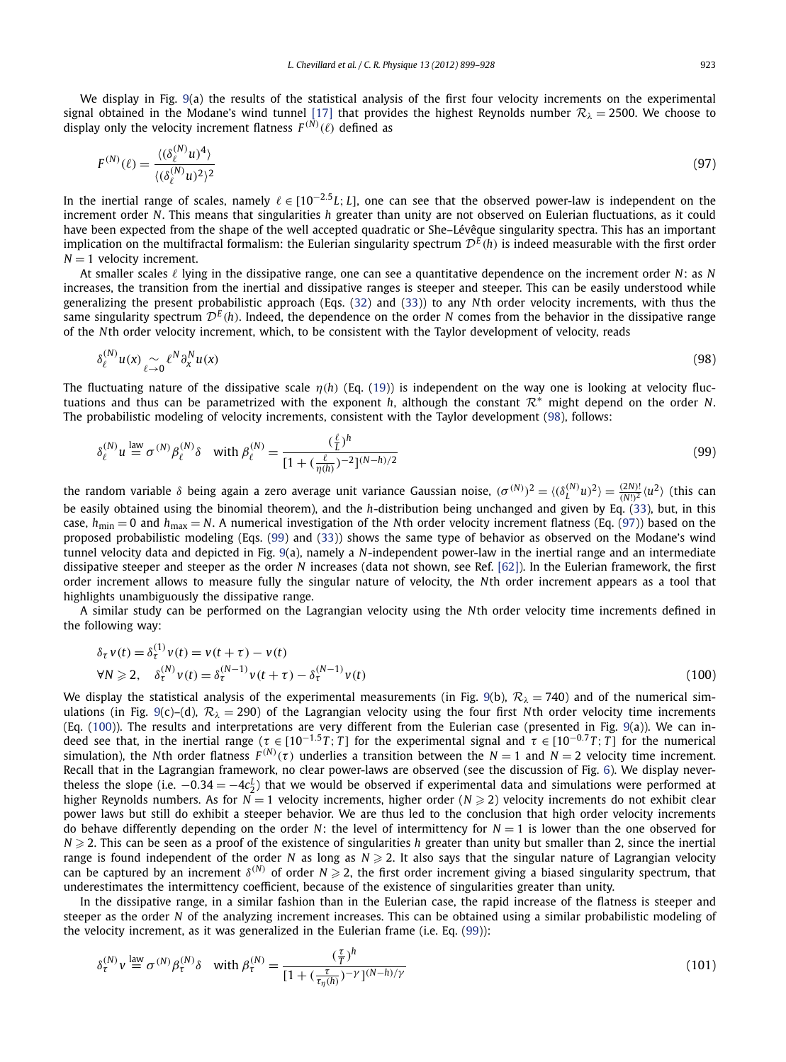<span id="page-24-0"></span>We display in Fig. [9\(](#page-23-0)a) the results of the statistical analysis of the first four velocity increments on the experimental signal obtained in the Modane's wind tunnel [\[17\]](#page-27-0) that provides the highest Reynolds number  $\mathcal{R}_{\lambda} = 2500$ . We choose to display only the velocity increment flatness  $F^{(N)}(\ell)$  defined as

$$
F^{(N)}(\ell) = \frac{\langle (\delta_{\ell}^{(N)}u)^4 \rangle}{\langle (\delta_{\ell}^{(N)}u)^2 \rangle^2}
$$
(97)

In the inertial range of scales, namely  $\ell \in [10^{-2.5}L; L]$ , one can see that the observed power-law is independent on the increment order *N*. This means that singularities *h* greater than unity are not observed on Eulerian fluctuations, as it could have been expected from the shape of the well accepted quadratic or She–Lévêque singularity spectra. This has an important implication on the multifractal formalism: the Eulerian singularity spectrum  $\mathcal{D}^E(h)$  is indeed measurable with the first order  $N = 1$  velocity increment.

At smaller scales  $\ell$  lying in the dissipative range, one can see a quantitative dependence on the increment order  $N$ : as  $N$ increases, the transition from the inertial and dissipative ranges is steeper and steeper. This can be easily understood while generalizing the present probabilistic approach (Eqs. [\(32\)](#page-9-0) and [\(33\)](#page-9-0)) to any *N*th order velocity increments, with thus the same singularity spectrum  $\mathcal{D}^{E}(h)$ . Indeed, the dependence on the order N comes from the behavior in the dissipative range of the *N*th order velocity increment, which, to be consistent with the Taylor development of velocity, reads

$$
\delta_{\ell}^{(N)} u(x) \underset{\ell \to 0}{\sim} \ell^N \partial_x^N u(x) \tag{98}
$$

The fluctuating nature of the dissipative scale *η(h)* (Eq. [\(19\)](#page-6-0)) is independent on the way one is looking at velocity fluctuations and thus can be parametrized with the exponent *<sup>h</sup>*, although the constant <sup>R</sup><sup>∗</sup> might depend on the order *<sup>N</sup>*. The probabilistic modeling of velocity increments, consistent with the Taylor development (98), follows:

$$
\delta_{\ell}^{(N)} u \stackrel{\text{law}}{=} \sigma^{(N)} \beta_{\ell}^{(N)} \delta \quad \text{with } \beta_{\ell}^{(N)} = \frac{(\frac{\ell}{L})^h}{[1 + (\frac{\ell}{\eta(h)})^{-2}]^{(N-h)/2}} \tag{99}
$$

the random variable  $\delta$  being again a zero average unit variance Gaussian noise,  $(\sigma^{(N)})^2 = \langle (\delta_L^{(N)}u)^2 \rangle = \frac{(2N)!}{(N!)^2} \langle u^2 \rangle$  (this can be easily obtained using the binomial theorem), and the *h*-distribution being unchanged and given by Eq. [\(33\)](#page-9-0), but, in this case,  $h_{\text{min}} = 0$  and  $h_{\text{max}} = N$ . A numerical investigation of the *N*th order velocity increment flatness (Eq. (97)) based on the proposed probabilistic modeling (Eqs. (99) and [\(33\)](#page-9-0)) shows the same type of behavior as observed on the Modane's wind tunnel velocity data and depicted in Fig. [9\(](#page-23-0)a), namely a *N*-independent power-law in the inertial range and an intermediate dissipative steeper and steeper as the order *N* increases (data not shown, see Ref. [\[62\]\)](#page-28-0). In the Eulerian framework, the first order increment allows to measure fully the singular nature of velocity, the *N*th order increment appears as a tool that highlights unambiguously the dissipative range.

A similar study can be performed on the Lagrangian velocity using the *N*th order velocity time increments defined in the following way:

$$
\delta_{\tau} v(t) = \delta_{\tau}^{(1)} v(t) = v(t + \tau) - v(t)
$$
  
\n
$$
\forall N \geqslant 2, \quad \delta_{\tau}^{(N)} v(t) = \delta_{\tau}^{(N-1)} v(t + \tau) - \delta_{\tau}^{(N-1)} v(t)
$$
\n(100)

We display the statistical analysis of the experimental measurements (in Fig. [9\(](#page-23-0)b),  $\mathcal{R}_{\lambda} = 740$ ) and of the numerical sim-ulations (in Fig. [9\(](#page-23-0)c)–(d),  $\mathcal{R}_{\lambda}$  = 290) of the Lagrangian velocity using the four first *Nth* order velocity time increments (Eq. (100)). The results and interpretations are very different from the Eulerian case (presented in Fig. [9\(](#page-23-0)a)). We can indeed see that, in the inertial range ( $\tau \in [10^{-1.5}T; T]$  for the experimental signal and  $\tau \in [10^{-0.7}T; T]$  for the numerical simulation), the *N*th order flatness  $F^{(N)}(\tau)$  underlies a transition between the  $N=1$  and  $N=2$  velocity time increment. Recall that in the Lagrangian framework, no clear power-laws are observed (see the discussion of Fig. [6\)](#page-17-0). We display nevertheless the slope (i.e.  $-0.34 = -4c_2^L$ ) that we would be observed if experimental data and simulations were performed at higher Reynolds numbers. As for *N* = 1 velocity increments, higher order (*N* 2) velocity increments do not exhibit clear power laws but still do exhibit a steeper behavior. We are thus led to the conclusion that high order velocity increments do behave differently depending on the order *N*: the level of intermittency for  $N = 1$  is lower than the one observed for *N* ≥ 2. This can be seen as a proof of the existence of singularities *h* greater than unity but smaller than 2, since the inertial range is found independent of the order *N* as long as  $N \ge 2$ . It also says that the singular nature of Lagrangian velocity can be captured by an increment *δ(N)* of order *N* 2, the first order increment giving a biased singularity spectrum, that underestimates the intermittency coefficient, because of the existence of singularities greater than unity.

In the dissipative range, in a similar fashion than in the Eulerian case, the rapid increase of the flatness is steeper and steeper as the order *N* of the analyzing increment increases. This can be obtained using a similar probabilistic modeling of the velocity increment, as it was generalized in the Eulerian frame (i.e. Eq. (99)):

$$
\delta_{\tau}^{(N)} \nu \stackrel{\text{law}}{=} \sigma^{(N)} \beta_{\tau}^{(N)} \delta \quad \text{with } \beta_{\tau}^{(N)} = \frac{(\frac{\tau}{T})^h}{[1 + (\frac{\tau}{\tau_{\eta}(h)})^{-\gamma}]^{(N-h)/\gamma}}
$$
(101)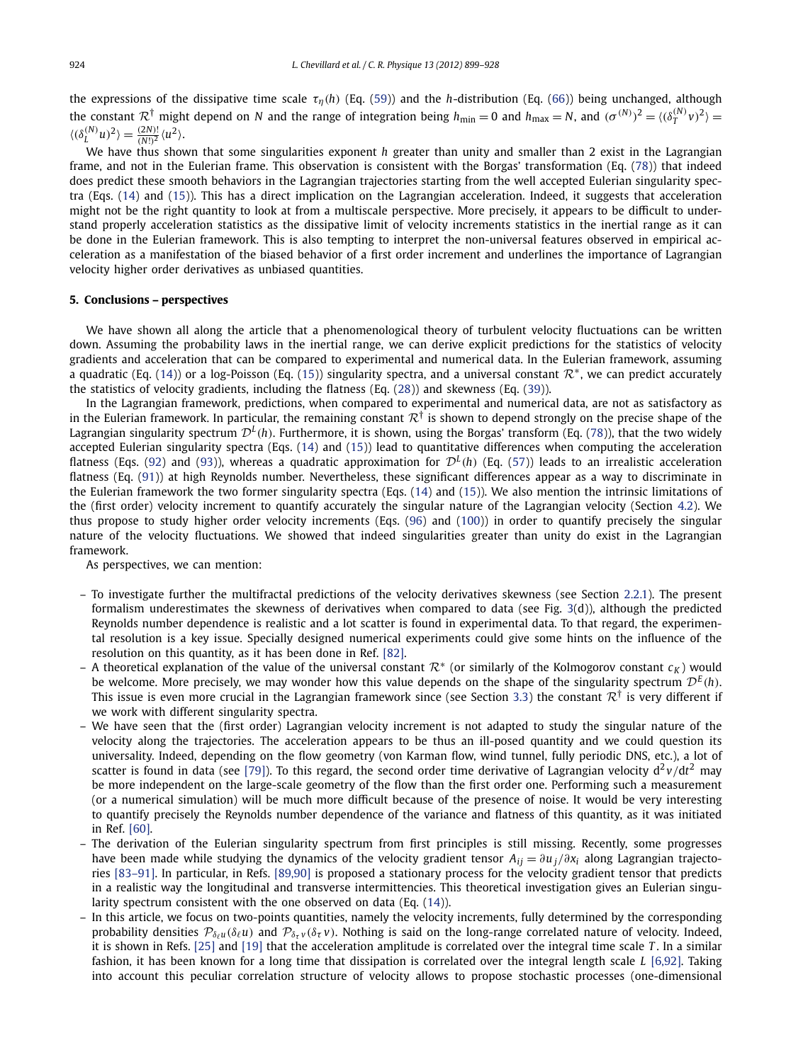the expressions of the dissipative time scale  $\tau_n(h)$  (Eq. [\(59\)](#page-15-0)) and the *h*-distribution (Eq. [\(66\)](#page-15-0)) being unchanged, although the constant  $\mathcal{R}^{\dagger}$  might depend on N and the range of integration being  $h_{\min} = 0$  and  $h_{\max} = N$ , and  $(\sigma^{(N)})^2 = \langle (\delta_T^{(N)} v)^2 \rangle =$  $\langle (\delta_L^{(N)}u)^2 \rangle = \frac{(2N)!}{(N!)^2} \langle u^2 \rangle.$ 

We have thus shown that some singularities exponent *h* greater than unity and smaller than 2 exist in the Lagrangian frame, and not in the Eulerian frame. This observation is consistent with the Borgas' transformation (Eq. [\(78\)](#page-19-0)) that indeed does predict these smooth behaviors in the Lagrangian trajectories starting from the well accepted Eulerian singularity spectra (Eqs. [\(14\)](#page-4-0) and [\(15\)](#page-5-0)). This has a direct implication on the Lagrangian acceleration. Indeed, it suggests that acceleration might not be the right quantity to look at from a multiscale perspective. More precisely, it appears to be difficult to understand properly acceleration statistics as the dissipative limit of velocity increments statistics in the inertial range as it can be done in the Eulerian framework. This is also tempting to interpret the non-universal features observed in empirical acceleration as a manifestation of the biased behavior of a first order increment and underlines the importance of Lagrangian velocity higher order derivatives as unbiased quantities.

# **5. Conclusions – perspectives**

We have shown all along the article that a phenomenological theory of turbulent velocity fluctuations can be written down. Assuming the probability laws in the inertial range, we can derive explicit predictions for the statistics of velocity gradients and acceleration that can be compared to experimental and numerical data. In the Eulerian framework, assuming a quadratic (Eq. [\(14\)](#page-4-0)) or a log-Poisson (Eq. [\(15\)](#page-5-0)) singularity spectra, and a universal constant  $\mathcal{R}^*$ , we can predict accurately the statistics of velocity gradients, including the flatness (Eq. [\(28\)](#page-7-0)) and skewness (Eq. [\(39\)](#page-11-0)).

In the Lagrangian framework, predictions, when compared to experimental and numerical data, are not as satisfactory as in the Eulerian framework. In particular, the remaining constant  $\mathcal{R}^{\dagger}$  is shown to depend strongly on the precise shape of the Lagrangian singularity spectrum  $\mathcal{D}^L(h)$ . Furthermore, it is shown, using the Borgas' transform (Eq. [\(78\)](#page-19-0)), that the two widely accepted Eulerian singularity spectra (Eqs. [\(14\)](#page-4-0) and [\(15\)](#page-5-0)) lead to quantitative differences when computing the acceleration flatness (Eqs. [\(92\)](#page-22-0) and [\(93\)](#page-22-0)), whereas a quadratic approximation for  $\mathcal{D}^L(h)$  (Eq. [\(57\)](#page-14-0)) leads to an irrealistic acceleration flatness (Eq. [\(91\)](#page-22-0)) at high Reynolds number. Nevertheless, these significant differences appear as a way to discriminate in the Eulerian framework the two former singularity spectra (Eqs. [\(14\)](#page-4-0) and [\(15\)](#page-5-0)). We also mention the intrinsic limitations of the (first order) velocity increment to quantify accurately the singular nature of the Lagrangian velocity (Section [4.2\)](#page-23-0). We thus propose to study higher order velocity increments (Eqs. [\(96\)](#page-23-0) and [\(100\)](#page-24-0)) in order to quantify precisely the singular nature of the velocity fluctuations. We showed that indeed singularities greater than unity do exist in the Lagrangian framework.

As perspectives, we can mention:

- To investigate further the multifractal predictions of the velocity derivatives skewness (see Section [2.2.1\)](#page-10-0). The present formalism underestimates the skewness of derivatives when compared to data (see Fig. [3\(](#page-8-0)d)), although the predicted Reynolds number dependence is realistic and a lot scatter is found in experimental data. To that regard, the experimental resolution is a key issue. Specially designed numerical experiments could give some hints on the influence of the resolution on this quantity, as it has been done in Ref. [\[82\].](#page-29-0)
- A theoretical explanation of the value of the universal constant  $\mathcal{R}^*$  (or similarly of the Kolmogorov constant  $c_K$ ) would be welcome. More precisely, we may wonder how this value depends on the shape of the singularity spectrum  $\mathcal{D}^E(h)$ . This issue is even more crucial in the Lagrangian framework since (see Section [3.3\)](#page-20-0) the constant  $\mathcal{R}^{\dagger}$  is very different if we work with different singularity spectra.
- We have seen that the (first order) Lagrangian velocity increment is not adapted to study the singular nature of the velocity along the trajectories. The acceleration appears to be thus an ill-posed quantity and we could question its universality. Indeed, depending on the flow geometry (von Karman flow, wind tunnel, fully periodic DNS, etc.), a lot of scatter is found in data (see [\[79\]\)](#page-29-0). To this regard, the second order time derivative of Lagrangian velocity  $d^2v/dt^2$  may be more independent on the large-scale geometry of the flow than the first order one. Performing such a measurement (or a numerical simulation) will be much more difficult because of the presence of noise. It would be very interesting to quantify precisely the Reynolds number dependence of the variance and flatness of this quantity, as it was initiated in Ref. [\[60\].](#page-28-0)
- The derivation of the Eulerian singularity spectrum from first principles is still missing. Recently, some progresses have been made while studying the dynamics of the velocity gradient tensor *Aij* = *∂u <sup>j</sup>/∂xi* along Lagrangian trajectories [\[83–91\].](#page-29-0) In particular, in Refs. [\[89,90\]](#page-29-0) is proposed a stationary process for the velocity gradient tensor that predicts in a realistic way the longitudinal and transverse intermittencies. This theoretical investigation gives an Eulerian singularity spectrum consistent with the one observed on data (Eq. [\(14\)](#page-4-0)).
- In this article, we focus on two-points quantities, namely the velocity increments, fully determined by the corresponding probability densities  $\mathcal{P}_{\delta_f u}(\delta_\ell u)$  and  $\mathcal{P}_{\delta_\tau v}(\delta_\tau v)$ . Nothing is said on the long-range correlated nature of velocity. Indeed, it is shown in Refs. [\[25\]](#page-28-0) and [\[19\]](#page-27-0) that the acceleration amplitude is correlated over the integral time scale *T* . In a similar fashion, it has been known for a long time that dissipation is correlated over the integral length scale *L* [\[6,92\].](#page-27-0) Taking into account this peculiar correlation structure of velocity allows to propose stochastic processes (one-dimensional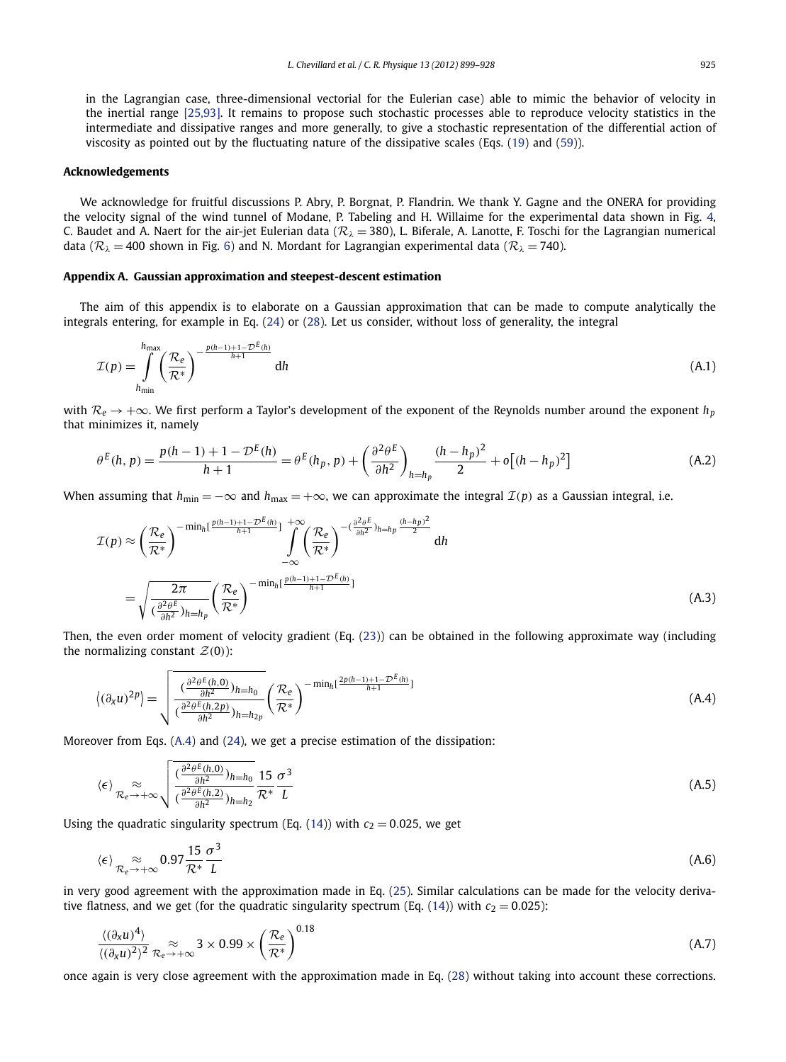<span id="page-26-0"></span>in the Lagrangian case, three-dimensional vectorial for the Eulerian case) able to mimic the behavior of velocity in the inertial range [\[25,93\].](#page-28-0) It remains to propose such stochastic processes able to reproduce velocity statistics in the intermediate and dissipative ranges and more generally, to give a stochastic representation of the differential action of viscosity as pointed out by the fluctuating nature of the dissipative scales (Eqs. [\(19\)](#page-6-0) and [\(59\)](#page-15-0)).

# **Acknowledgements**

We acknowledge for fruitful discussions P. Abry, P. Borgnat, P. Flandrin. We thank Y. Gagne and the ONERA for providing the velocity signal of the wind tunnel of Modane, P. Tabeling and H. Willaime for the experimental data shown in Fig. [4,](#page-10-0) C. Baudet and A. Naert for the air-jet Eulerian data (R*<sup>λ</sup>* = 380), L. Biferale, A. Lanotte, F. Toschi for the Lagrangian numerical data ( $\mathcal{R}_{\lambda} = 400$  shown in Fig. [6\)](#page-17-0) and N. Mordant for Lagrangian experimental data ( $\mathcal{R}_{\lambda} = 740$ ).

# **Appendix A. Gaussian approximation and steepest-descent estimation**

The aim of this appendix is to elaborate on a Gaussian approximation that can be made to compute analytically the integrals entering, for example in Eq. [\(24\)](#page-7-0) or [\(28\)](#page-7-0). Let us consider, without loss of generality, the integral

$$
\mathcal{I}(p) = \int_{h_{\min}}^{h_{\max}} \left(\frac{\mathcal{R}_e}{\mathcal{R}^*}\right)^{-\frac{p(h-1)+1-\mathcal{D}^E(h)}{h+1}} dh
$$
\n(A.1)

with R*<sup>e</sup>* → +∞. We first perform a Taylor's development of the exponent of the Reynolds number around the exponent *hp* that minimizes it, namely

$$
\theta^{E}(h, p) = \frac{p(h-1)+1-\mathcal{D}^{E}(h)}{h+1} = \theta^{E}(h_p, p) + \left(\frac{\partial^2 \theta^{E}}{\partial h^2}\right)_{h=h_p} \frac{(h-h_p)^2}{2} + o\left[(h-h_p)^2\right] \tag{A.2}
$$

When assuming that  $h_{\text{min}} = -\infty$  and  $h_{\text{max}} = +\infty$ , we can approximate the integral  $\mathcal{I}(p)$  as a Gaussian integral, i.e.

$$
\mathcal{I}(p) \approx \left(\frac{\mathcal{R}_e}{\mathcal{R}^*}\right)^{-\min_{h} \left[\frac{p(h-1)+1-\mathcal{D}^E(h)}{h+1}\right]} \int_{-\infty}^{+\infty} \left(\frac{\mathcal{R}_e}{\mathcal{R}^*}\right)^{-(\frac{\partial^2 \theta^E}{\partial h^2})_{h=h_p} \frac{(h-h_p)^2}{2}} dh
$$

$$
= \sqrt{\frac{2\pi}{(\frac{\partial^2 \theta^E}{\partial h^2})_{h=h_p}} \left(\frac{\mathcal{R}_e}{\mathcal{R}^*}\right)^{-\min_{h} \left[\frac{p(h-1)+1-\mathcal{D}^E(h)}{h+1}\right]}
$$
(A.3)

Then, the even order moment of velocity gradient (Eq. [\(23\)](#page-7-0)) can be obtained in the following approximate way (including the normalizing constant  $\mathcal{Z}(0)$ ):

$$
\langle (\partial_x u)^{2p} \rangle = \sqrt{\frac{(\frac{\partial^2 \theta^E(h,0)}{\partial h^2})_{h=h_0}}{(\frac{\partial^2 \theta^E(h,2p)}{\partial h^2})_{h=h_{2p}}} \left(\frac{\mathcal{R}_e}{\mathcal{R}^*}\right)^{-\min_{h\in\mathbb{Z}} \frac{2p(h-1)+1-\mathcal{D}^E(h)}{h+1}}}
$$
(A.4)

Moreover from Eqs. (A.4) and [\(24\)](#page-7-0), we get a precise estimation of the dissipation:

$$
\langle \epsilon \rangle \underset{\mathcal{R}_e \to +\infty}{\approx} \sqrt{\frac{(\frac{\partial^2 \theta^E(h,0)}{\partial h^2})_{h=h_0}}{(\frac{\partial^2 \theta^E(h,2)}{\partial h^2})_{h=h_2}} \frac{15}{\mathcal{R}^*} \frac{\sigma^3}{L}}
$$
(A.5)

Using the quadratic singularity spectrum (Eq.  $(14)$ ) with  $c<sub>2</sub> = 0.025$ , we get

$$
\langle \epsilon \rangle_{\mathcal{R}_e \to +\infty} 0.97 \frac{15}{\mathcal{R}^*} \frac{\sigma^3}{L} \tag{A.6}
$$

in very good agreement with the approximation made in Eq. [\(25\)](#page-7-0). Similar calculations can be made for the velocity deriva-tive flatness, and we get (for the quadratic singularity spectrum (Eq. [\(14\)](#page-4-0)) with  $c_2 = 0.025$ ):

$$
\frac{\langle (\partial_x u)^4 \rangle}{\langle (\partial_x u)^2 \rangle^2} \underset{\mathcal{R}_e \to +\infty}{\approx} 3 \times 0.99 \times \left(\frac{\mathcal{R}_e}{\mathcal{R}^*}\right)^{0.18} \tag{A.7}
$$

once again is very close agreement with the approximation made in Eq. [\(28\)](#page-7-0) without taking into account these corrections.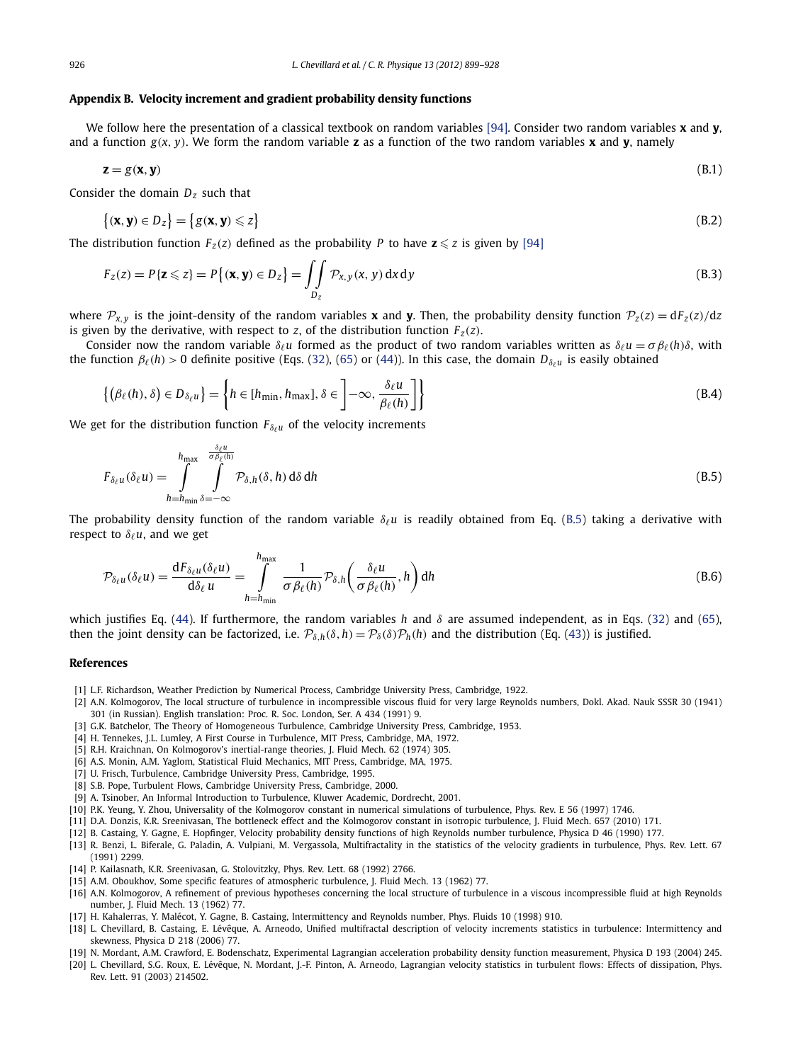#### <span id="page-27-0"></span>**Appendix B. Velocity increment and gradient probability density functions**

We follow here the presentation of a classical textbook on random variables [\[94\].](#page-29-0) Consider two random variables **x** and **y**, and a function *g(x, y)*. We form the random variable **z** as a function of the two random variables **x** and **y**, namely

$$
z = g(x, y) \tag{B.1}
$$

Consider the domain *Dz* such that

$$
\{(\mathbf{x}, \mathbf{y}) \in D_z\} = \{g(\mathbf{x}, \mathbf{y}) \leqslant z\}
$$
\n(B.2)

The distribution function  $F_z(z)$  defined as the probability P to have  $\mathbf{z} \leqslant z$  is given by [\[94\]](#page-29-0)

$$
F_z(z) = P\{\mathbf{z} \leq z\} = P\{(\mathbf{x}, \mathbf{y}) \in D_z\} = \iint_{D_z} \mathcal{P}_{x, y}(x, y) \, dx \, dy \tag{B.3}
$$

where  $\mathcal{P}_{x,y}$  is the joint-density of the random variables **x** and **y**. Then, the probability density function  $\mathcal{P}_z(z) = dF_z(z)/dz$ is given by the derivative, with respect to *z*, of the distribution function  $F_z(z)$ .

Consider now the random variable  $δ$ *u* formed as the product of two random variables written as  $δ$ *<sub>l</sub>* $u = σ$  *β*<sub>*l*</sub>(*h*) $δ$ , with the function  $\beta_{\ell}(h) > 0$  definite positive (Eqs. [\(32\)](#page-9-0), [\(65\)](#page-15-0) or [\(44\)](#page-12-0)). In this case, the domain  $D_{\delta_{\ell}u}$  is easily obtained

$$
\{(\beta_{\ell}(h), \delta) \in D_{\delta_{\ell}u}\} = \left\{h \in [h_{\min}, h_{\max}], \delta \in \left]-\infty, \frac{\delta_{\ell}u}{\beta_{\ell}(h)}\right]\right\}
$$
(B.4)

We get for the distribution function  $F_{\delta_{\ell}u}$  of the velocity increments

$$
F_{\delta_{\ell}u}(\delta_{\ell}u) = \int_{h=h_{\min}}^{h_{\max}} \int_{\delta=-\infty}^{\frac{\delta_{\ell}u}{\sigma\beta_{\ell}(h)}} \mathcal{P}_{\delta,h}(\delta,h) d\delta dh
$$
\n(B.5)

The probability density function of the random variable *δu* is readily obtained from Eq. (B.5) taking a derivative with respect to  $\delta_\ell u$ , and we get

$$
\mathcal{P}_{\delta_{\ell}u}(\delta_{\ell}u) = \frac{\mathrm{d}F_{\delta_{\ell}u}(\delta_{\ell}u)}{\mathrm{d}\delta_{\ell}u} = \int_{h=h_{\min}}^{h_{\max}} \frac{1}{\sigma \beta_{\ell}(h)} \mathcal{P}_{\delta,h}\left(\frac{\delta_{\ell}u}{\sigma \beta_{\ell}(h)}, h\right) \mathrm{d}h \tag{B.6}
$$

which justifies Eq. [\(44\)](#page-12-0). If furthermore, the random variables *h* and *δ* are assumed independent, as in Eqs. [\(32\)](#page-9-0) and [\(65\)](#page-15-0), then the joint density can be factorized, i.e.  $\mathcal{P}_{\delta,h}(\delta,h) = \mathcal{P}_{\delta}(\delta)\mathcal{P}_h(h)$  and the distribution (Eq. [\(43\)](#page-11-0)) is justified.

### **References**

- [1] L.F. Richardson, Weather Prediction by Numerical Process, Cambridge University Press, Cambridge, 1922.
- [2] A.N. Kolmogorov, The local structure of turbulence in incompressible viscous fluid for very large Reynolds numbers, Dokl. Akad. Nauk SSSR 30 (1941) 301 (in Russian). English translation: Proc. R. Soc. London, Ser. A 434 (1991) 9.
- [3] G.K. Batchelor, The Theory of Homogeneous Turbulence, Cambridge University Press, Cambridge, 1953.
- [4] H. Tennekes, J.L. Lumley, A First Course in Turbulence, MIT Press, Cambridge, MA, 1972.
- [5] R.H. Kraichnan, On Kolmogorov's inertial-range theories, J. Fluid Mech. 62 (1974) 305.
- [6] A.S. Monin, A.M. Yaglom, Statistical Fluid Mechanics, MIT Press, Cambridge, MA, 1975.
- [7] U. Frisch, Turbulence, Cambridge University Press, Cambridge, 1995.
- [8] S.B. Pope, Turbulent Flows, Cambridge University Press, Cambridge, 2000.
- [9] A. Tsinober, An Informal Introduction to Turbulence, Kluwer Academic, Dordrecht, 2001.
- [10] P.K. Yeung, Y. Zhou, Universality of the Kolmogorov constant in numerical simulations of turbulence, Phys. Rev. E 56 (1997) 1746.
- [11] D.A. Donzis, K.R. Sreenivasan, The bottleneck effect and the Kolmogorov constant in isotropic turbulence, J. Fluid Mech. 657 (2010) 171.
- [12] B. Castaing, Y. Gagne, E. Hopfinger, Velocity probability density functions of high Reynolds number turbulence, Physica D 46 (1990) 177.
- [13] R. Benzi, L. Biferale, G. Paladin, A. Vulpiani, M. Vergassola, Multifractality in the statistics of the velocity gradients in turbulence, Phys. Rev. Lett. 67 (1991) 2299.
- [14] P. Kailasnath, K.R. Sreenivasan, G. Stolovitzky, Phys. Rev. Lett. 68 (1992) 2766.
- [15] A.M. Oboukhov, Some specific features of atmospheric turbulence, J. Fluid Mech. 13 (1962) 77.
- [16] A.N. Kolmogorov, A refinement of previous hypotheses concerning the local structure of turbulence in a viscous incompressible fluid at high Reynolds number, J. Fluid Mech. 13 (1962) 77.
- [17] H. Kahalerras, Y. Malécot, Y. Gagne, B. Castaing, Intermittency and Reynolds number, Phys. Fluids 10 (1998) 910.
- [18] L. Chevillard, B. Castaing, E. Lévêque, A. Arneodo, Unified multifractal description of velocity increments statistics in turbulence: Intermittency and skewness, Physica D 218 (2006) 77.
- [19] N. Mordant, A.M. Crawford, E. Bodenschatz, Experimental Lagrangian acceleration probability density function measurement, Physica D 193 (2004) 245.
- [20] L. Chevillard, S.G. Roux, E. Lévêque, N. Mordant, J.-F. Pinton, A. Arneodo, Lagrangian velocity statistics in turbulent flows: Effects of dissipation, Phys. Rev. Lett. 91 (2003) 214502.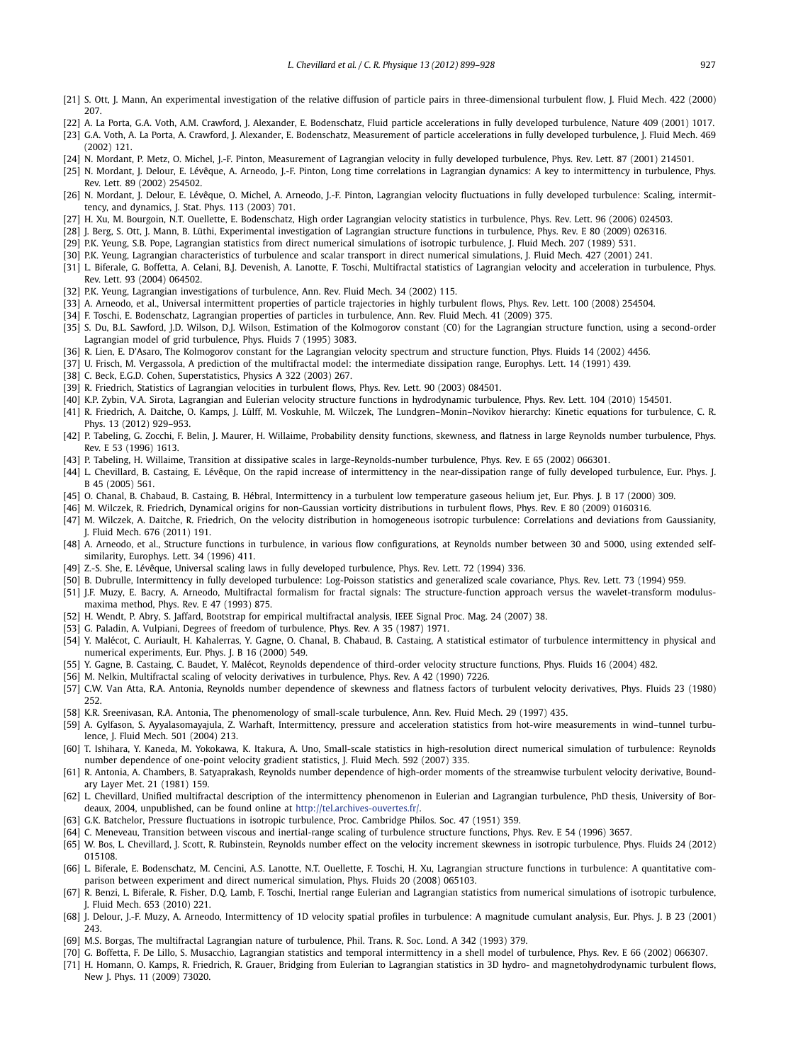- <span id="page-28-0"></span>[21] S. Ott, J. Mann, An experimental investigation of the relative diffusion of particle pairs in three-dimensional turbulent flow, J. Fluid Mech. 422 (2000) 207.
- [22] A. La Porta, G.A. Voth, A.M. Crawford, J. Alexander, E. Bodenschatz, Fluid particle accelerations in fully developed turbulence, Nature 409 (2001) 1017.
- [23] G.A. Voth, A. La Porta, A. Crawford, J. Alexander, E. Bodenschatz, Measurement of particle accelerations in fully developed turbulence, J. Fluid Mech. 469 (2002) 121.
- [24] N. Mordant, P. Metz, O. Michel, J.-F. Pinton, Measurement of Lagrangian velocity in fully developed turbulence, Phys. Rev. Lett. 87 (2001) 214501.
- [25] N. Mordant, J. Delour, E. Lévêque, A. Arneodo, J.-F. Pinton, Long time correlations in Lagrangian dynamics: A key to intermittency in turbulence, Phys. Rev. Lett. 89 (2002) 254502.
- [26] N. Mordant, J. Delour, E. Lévêque, O. Michel, A. Arneodo, J.-F. Pinton, Lagrangian velocity fluctuations in fully developed turbulence: Scaling, intermittency, and dynamics, J. Stat. Phys. 113 (2003) 701.
- [27] H. Xu, M. Bourgoin, N.T. Ouellette, E. Bodenschatz, High order Lagrangian velocity statistics in turbulence, Phys. Rev. Lett. 96 (2006) 024503.
- [28] J. Berg, S. Ott, J. Mann, B. Lüthi, Experimental investigation of Lagrangian structure functions in turbulence, Phys. Rev. E 80 (2009) 026316.
- [29] P.K. Yeung, S.B. Pope, Lagrangian statistics from direct numerical simulations of isotropic turbulence, J. Fluid Mech. 207 (1989) 531.
- [30] P.K. Yeung, Lagrangian characteristics of turbulence and scalar transport in direct numerical simulations, J. Fluid Mech. 427 (2001) 241.
- [31] L. Biferale, G. Boffetta, A. Celani, B.J. Devenish, A. Lanotte, F. Toschi, Multifractal statistics of Lagrangian velocity and acceleration in turbulence, Phys. Rev. Lett. 93 (2004) 064502.
- [32] P.K. Yeung, Lagrangian investigations of turbulence, Ann. Rev. Fluid Mech. 34 (2002) 115.
- [33] A. Arneodo, et al., Universal intermittent properties of particle trajectories in highly turbulent flows, Phys. Rev. Lett. 100 (2008) 254504.
- [34] F. Toschi, E. Bodenschatz, Lagrangian properties of particles in turbulence, Ann. Rev. Fluid Mech. 41 (2009) 375.
- [35] S. Du, B.L. Sawford, J.D. Wilson, D.J. Wilson, Estimation of the Kolmogorov constant (C0) for the Lagrangian structure function, using a second-order Lagrangian model of grid turbulence, Phys. Fluids 7 (1995) 3083.
- [36] R. Lien, E. D'Asaro, The Kolmogorov constant for the Lagrangian velocity spectrum and structure function, Phys. Fluids 14 (2002) 4456.
- [37] U. Frisch, M. Vergassola, A prediction of the multifractal model: the intermediate dissipation range, Europhys. Lett. 14 (1991) 439.
- [38] C. Beck, E.G.D. Cohen, Superstatistics, Physics A 322 (2003) 267.
- [39] R. Friedrich, Statistics of Lagrangian velocities in turbulent flows, Phys. Rev. Lett. 90 (2003) 084501.
- [40] K.P. Zybin, V.A. Sirota, Lagrangian and Eulerian velocity structure functions in hydrodynamic turbulence, Phys. Rev. Lett. 104 (2010) 154501.
- [41] R. Friedrich, A. Daitche, O. Kamps, J. Lülff, M. Voskuhle, M. Wilczek, The Lundgren–Monin–Novikov hierarchy: Kinetic equations for turbulence, C. R. Phys. 13 (2012) 929–953.
- [42] P. Tabeling, G. Zocchi, F. Belin, J. Maurer, H. Willaime, Probability density functions, skewness, and flatness in large Reynolds number turbulence, Phys. Rev. E 53 (1996) 1613.
- [43] P. Tabeling, H. Willaime, Transition at dissipative scales in large-Reynolds-number turbulence, Phys. Rev. E 65 (2002) 066301.
- [44] L. Chevillard, B. Castaing, E. Lévêque, On the rapid increase of intermittency in the near-dissipation range of fully developed turbulence, Eur. Phys. J. B 45 (2005) 561.
- [45] O. Chanal, B. Chabaud, B. Castaing, B. Hébral, Intermittency in a turbulent low temperature gaseous helium jet, Eur. Phys. J. B 17 (2000) 309.
- [46] M. Wilczek, R. Friedrich, Dynamical origins for non-Gaussian vorticity distributions in turbulent flows, Phys. Rev. E 80 (2009) 0160316.
- [47] M. Wilczek, A. Daitche, R. Friedrich, On the velocity distribution in homogeneous isotropic turbulence: Correlations and deviations from Gaussianity, J. Fluid Mech. 676 (2011) 191.
- [48] A. Arneodo, et al., Structure functions in turbulence, in various flow configurations, at Reynolds number between 30 and 5000, using extended selfsimilarity, Europhys. Lett. 34 (1996) 411.
- [49] Z.-S. She, E. Lévêque, Universal scaling laws in fully developed turbulence, Phys. Rev. Lett. 72 (1994) 336.
- [50] B. Dubrulle, Intermittency in fully developed turbulence: Log-Poisson statistics and generalized scale covariance, Phys. Rev. Lett. 73 (1994) 959.
- [51] J.F. Muzy, E. Bacry, A. Arneodo, Multifractal formalism for fractal signals: The structure-function approach versus the wavelet-transform modulusmaxima method, Phys. Rev. E 47 (1993) 875.
- [52] H. Wendt, P. Abry, S. Jaffard, Bootstrap for empirical multifractal analysis, IEEE Signal Proc. Mag. 24 (2007) 38.
- [53] G. Paladin, A. Vulpiani, Degrees of freedom of turbulence, Phys. Rev. A 35 (1987) 1971.
- [54] Y. Malécot, C. Auriault, H. Kahalerras, Y. Gagne, O. Chanal, B. Chabaud, B. Castaing, A statistical estimator of turbulence intermittency in physical and numerical experiments, Eur. Phys. J. B 16 (2000) 549.
- [55] Y. Gagne, B. Castaing, C. Baudet, Y. Malécot, Reynolds dependence of third-order velocity structure functions, Phys. Fluids 16 (2004) 482.
- [56] M. Nelkin, Multifractal scaling of velocity derivatives in turbulence, Phys. Rev. A 42 (1990) 7226.
- [57] C.W. Van Atta, R.A. Antonia, Reynolds number dependence of skewness and flatness factors of turbulent velocity derivatives, Phys. Fluids 23 (1980) 252.
- [58] K.R. Sreenivasan, R.A. Antonia, The phenomenology of small-scale turbulence, Ann. Rev. Fluid Mech. 29 (1997) 435.
- [59] A. Gylfason, S. Ayyalasomayajula, Z. Warhaft, Intermittency, pressure and acceleration statistics from hot-wire measurements in wind–tunnel turbulence, J. Fluid Mech. 501 (2004) 213.
- [60] T. Ishihara, Y. Kaneda, M. Yokokawa, K. Itakura, A. Uno, Small-scale statistics in high-resolution direct numerical simulation of turbulence: Reynolds number dependence of one-point velocity gradient statistics, J. Fluid Mech. 592 (2007) 335.
- [61] R. Antonia, A. Chambers, B. Satyaprakash, Reynolds number dependence of high-order moments of the streamwise turbulent velocity derivative, Boundary Layer Met. 21 (1981) 159.
- [62] L. Chevillard, Unified multifractal description of the intermittency phenomenon in Eulerian and Lagrangian turbulence, PhD thesis, University of Bordeaux, 2004, unpublished, can be found online at <http://tel.archives-ouvertes.fr/>.
- [63] G.K. Batchelor, Pressure fluctuations in isotropic turbulence, Proc. Cambridge Philos. Soc. 47 (1951) 359.
- [64] C. Meneveau, Transition between viscous and inertial-range scaling of turbulence structure functions, Phys. Rev. E 54 (1996) 3657.
- [65] W. Bos, L. Chevillard, J. Scott, R. Rubinstein, Reynolds number effect on the velocity increment skewness in isotropic turbulence, Phys. Fluids 24 (2012) 015108.
- [66] L. Biferale, E. Bodenschatz, M. Cencini, A.S. Lanotte, N.T. Ouellette, F. Toschi, H. Xu, Lagrangian structure functions in turbulence: A quantitative comparison between experiment and direct numerical simulation, Phys. Fluids 20 (2008) 065103.
- [67] R. Benzi, L. Biferale, R. Fisher, D.Q. Lamb, F. Toschi, Inertial range Eulerian and Lagrangian statistics from numerical simulations of isotropic turbulence, J. Fluid Mech. 653 (2010) 221.
- [68] J. Delour, J.-F. Muzy, A. Arneodo, Intermittency of 1D velocity spatial profiles in turbulence: A magnitude cumulant analysis, Eur. Phys. J. B 23 (2001) 243.
- [69] M.S. Borgas, The multifractal Lagrangian nature of turbulence, Phil. Trans. R. Soc. Lond. A 342 (1993) 379.
- [70] G. Boffetta, F. De Lillo, S. Musacchio, Lagrangian statistics and temporal intermittency in a shell model of turbulence, Phys. Rev. E 66 (2002) 066307.
- [71] H. Homann, O. Kamps, R. Friedrich, R. Grauer, Bridging from Eulerian to Lagrangian statistics in 3D hydro- and magnetohydrodynamic turbulent flows, New J. Phys. 11 (2009) 73020.